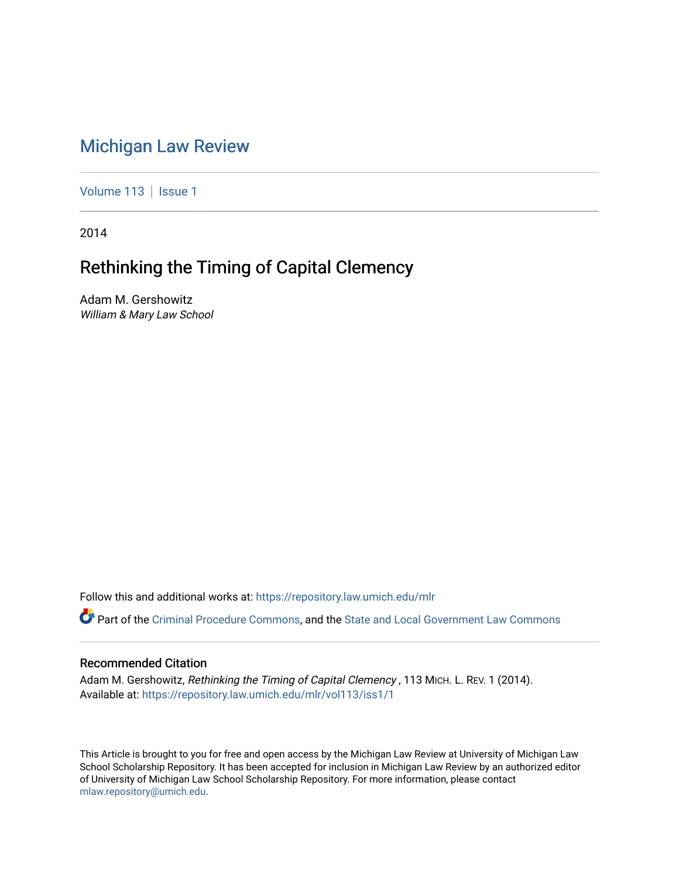# [Michigan Law Review](https://repository.law.umich.edu/mlr)

[Volume 113](https://repository.law.umich.edu/mlr/vol113) | [Issue 1](https://repository.law.umich.edu/mlr/vol113/iss1)

2014

# Rethinking the Timing of Capital Clemency

Adam M. Gershowitz William & Mary Law School

Follow this and additional works at: [https://repository.law.umich.edu/mlr](https://repository.law.umich.edu/mlr?utm_source=repository.law.umich.edu%2Fmlr%2Fvol113%2Fiss1%2F1&utm_medium=PDF&utm_campaign=PDFCoverPages) 

Part of the [Criminal Procedure Commons,](http://network.bepress.com/hgg/discipline/1073?utm_source=repository.law.umich.edu%2Fmlr%2Fvol113%2Fiss1%2F1&utm_medium=PDF&utm_campaign=PDFCoverPages) and the [State and Local Government Law Commons](http://network.bepress.com/hgg/discipline/879?utm_source=repository.law.umich.edu%2Fmlr%2Fvol113%2Fiss1%2F1&utm_medium=PDF&utm_campaign=PDFCoverPages) 

# Recommended Citation

Adam M. Gershowitz, Rethinking the Timing of Capital Clemency, 113 MICH. L. REV. 1 (2014). Available at: [https://repository.law.umich.edu/mlr/vol113/iss1/1](https://repository.law.umich.edu/mlr/vol113/iss1/1?utm_source=repository.law.umich.edu%2Fmlr%2Fvol113%2Fiss1%2F1&utm_medium=PDF&utm_campaign=PDFCoverPages) 

This Article is brought to you for free and open access by the Michigan Law Review at University of Michigan Law School Scholarship Repository. It has been accepted for inclusion in Michigan Law Review by an authorized editor of University of Michigan Law School Scholarship Repository. For more information, please contact [mlaw.repository@umich.edu.](mailto:mlaw.repository@umich.edu)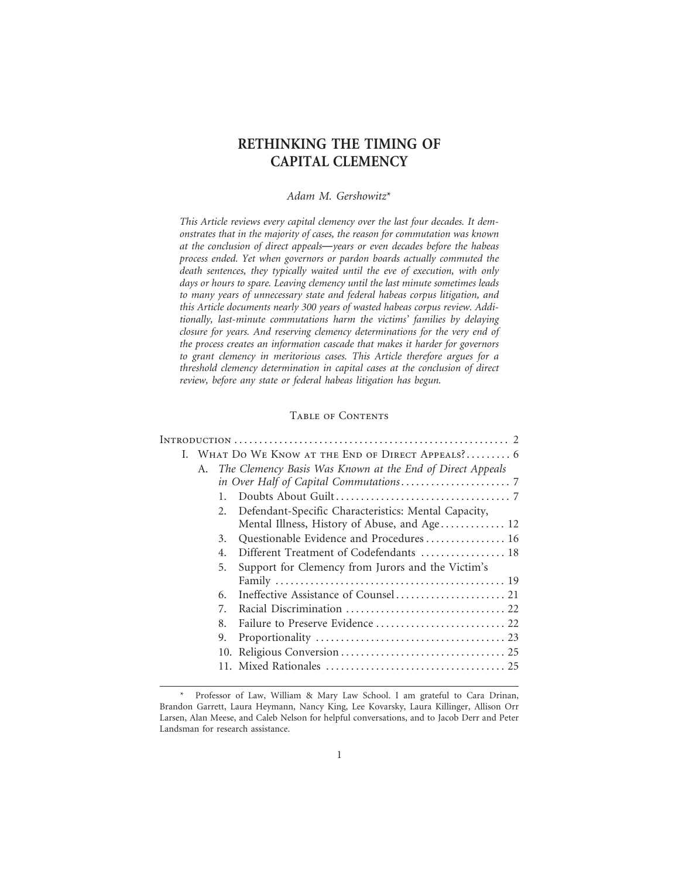# **RETHINKING THE TIMING OF CAPITAL CLEMENCY**

#### *Adam M. Gershowitz*\*

*This Article reviews every capital clemency over the last four decades. It demonstrates that in the majority of cases, the reason for commutation was known at the conclusion of direct appeals*—*years or even decades before the habeas process ended. Yet when governors or pardon boards actually commuted the death sentences, they typically waited until the eve of execution, with only days or hours to spare. Leaving clemency until the last minute sometimes leads to many years of unnecessary state and federal habeas corpus litigation, and this Article documents nearly 300 years of wasted habeas corpus review. Additionally, last-minute commutations harm the victims' families by delaying closure for years. And reserving clemency determinations for the very end of the process creates an information cascade that makes it harder for governors to grant clemency in meritorious cases. This Article therefore argues for a threshold clemency determination in capital cases at the conclusion of direct review, before any state or federal habeas litigation has begun.*

# Table of Contents

|    |                  | I. WHAT DO WE KNOW AT THE END OF DIRECT APPEALS? 6        |  |
|----|------------------|-----------------------------------------------------------|--|
| А. |                  | The Clemency Basis Was Known at the End of Direct Appeals |  |
|    |                  |                                                           |  |
|    |                  |                                                           |  |
|    |                  | Defendant-Specific Characteristics: Mental Capacity,      |  |
|    |                  | Mental Illness, History of Abuse, and Age 12              |  |
|    | 3.               | Questionable Evidence and Procedures 16                   |  |
|    | $\overline{4}$ . |                                                           |  |
|    | 5.               | Support for Clemency from Jurors and the Victim's         |  |
|    |                  |                                                           |  |
|    | 6.               |                                                           |  |
|    | 7.               |                                                           |  |
|    | 8.               | Failure to Preserve Evidence  22                          |  |
|    | 9.               |                                                           |  |
|    |                  |                                                           |  |
|    |                  |                                                           |  |
|    |                  |                                                           |  |

<sup>\*</sup> Professor of Law, William & Mary Law School. I am grateful to Cara Drinan, Brandon Garrett, Laura Heymann, Nancy King, Lee Kovarsky, Laura Killinger, Allison Orr Larsen, Alan Meese, and Caleb Nelson for helpful conversations, and to Jacob Derr and Peter Landsman for research assistance.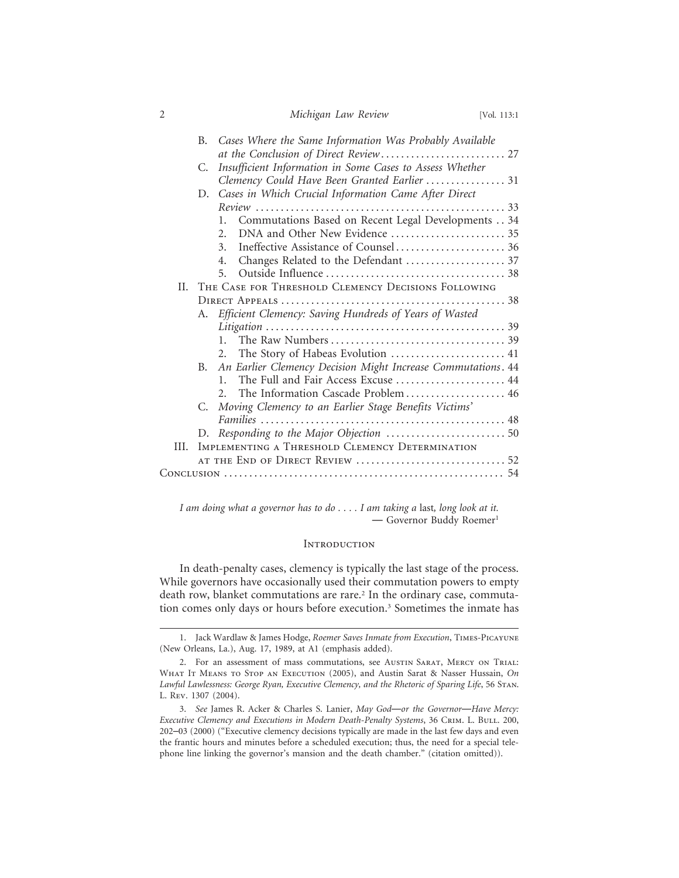| $\overline{2}$ |    | Michigan Law Review                                          | [Vol. 113:1] |
|----------------|----|--------------------------------------------------------------|--------------|
|                | B. | Cases Where the Same Information Was Probably Available      |              |
|                |    |                                                              |              |
|                | C. | Insufficient Information in Some Cases to Assess Whether     |              |
|                |    |                                                              |              |
|                |    | D. Cases in Which Crucial Information Came After Direct      |              |
|                |    |                                                              |              |
|                |    | Commutations Based on Recent Legal Developments 34<br>1.     |              |
|                |    | 2.                                                           |              |
|                |    | 3.                                                           |              |
|                |    | 4.                                                           |              |
|                |    | 5.                                                           |              |
| II.            |    | THE CASE FOR THRESHOLD CLEMENCY DECISIONS FOLLOWING          |              |
|                |    |                                                              |              |
|                | А. | Efficient Clemency: Saving Hundreds of Years of Wasted       |              |
|                |    |                                                              |              |
|                |    | $\mathbf{1}$ .                                               |              |
|                |    | 2.                                                           |              |
|                | B. | An Earlier Clemency Decision Might Increase Commutations. 44 |              |
|                |    | The Full and Fair Access Excuse  44<br>$\mathbf{1}$          |              |
|                |    | 2.                                                           |              |
|                | C. | Moving Clemency to an Earlier Stage Benefits Victims'        |              |
|                |    |                                                              |              |
|                | D. |                                                              |              |
| III.           |    | IMPLEMENTING A THRESHOLD CLEMENCY DETERMINATION              |              |
|                |    |                                                              |              |
|                |    |                                                              |              |

*I am doing what a governor has to do .... I am taking a last, long look at it.* — Governor Buddy Roemer1

#### **INTRODUCTION**

In death-penalty cases, clemency is typically the last stage of the process. While governors have occasionally used their commutation powers to empty death row, blanket commutations are rare.<sup>2</sup> In the ordinary case, commutation comes only days or hours before execution.<sup>3</sup> Sometimes the inmate has

<sup>1.</sup> Jack Wardlaw & James Hodge, *Roemer Saves Inmate from Execution*, Times-Picayune (New Orleans, La.), Aug. 17, 1989, at A1 (emphasis added).

<sup>2.</sup> For an assessment of mass commutations, see Austin Sarat, Mercy on Trial: What It Means to Stop an Execution (2005), and Austin Sarat & Nasser Hussain, *On Lawful Lawlessness: George Ryan, Executive Clemency, and the Rhetoric of Sparing Life*, 56 Stan. L. Rev. 1307 (2004).

<sup>3.</sup> *See* James R. Acker & Charles S. Lanier, *May God*—*or the Governor*—*Have Mercy: Executive Clemency and Executions in Modern Death-Penalty Systems*, 36 Crim. L. Bull. 200, 202–03 (2000) ("Executive clemency decisions typically are made in the last few days and even the frantic hours and minutes before a scheduled execution; thus, the need for a special telephone line linking the governor's mansion and the death chamber." (citation omitted)).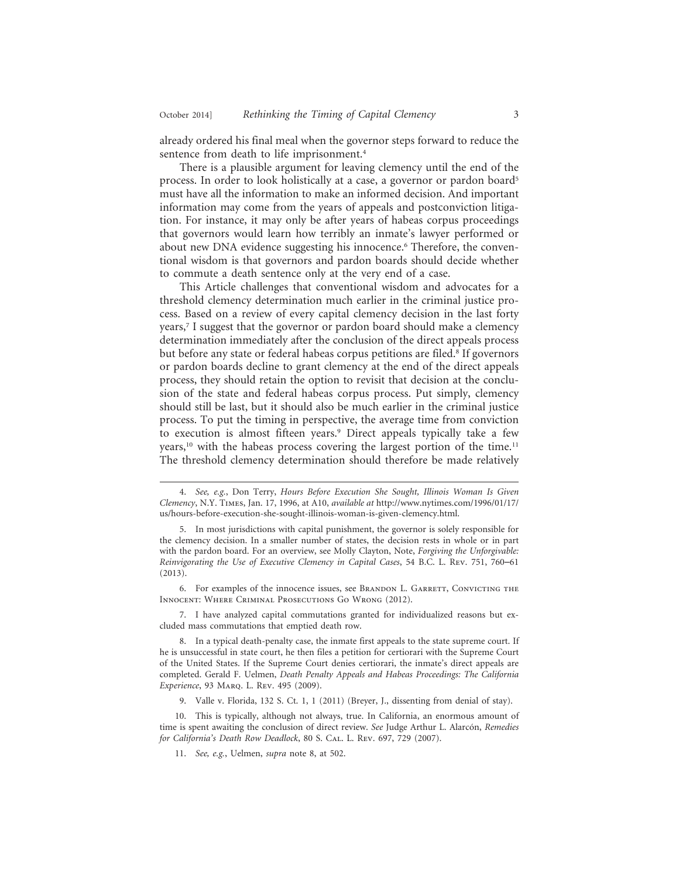already ordered his final meal when the governor steps forward to reduce the sentence from death to life imprisonment.<sup>4</sup>

There is a plausible argument for leaving clemency until the end of the process. In order to look holistically at a case, a governor or pardon board5 must have all the information to make an informed decision. And important information may come from the years of appeals and postconviction litigation. For instance, it may only be after years of habeas corpus proceedings that governors would learn how terribly an inmate's lawyer performed or about new DNA evidence suggesting his innocence.<sup>6</sup> Therefore, the conventional wisdom is that governors and pardon boards should decide whether to commute a death sentence only at the very end of a case.

This Article challenges that conventional wisdom and advocates for a threshold clemency determination much earlier in the criminal justice process. Based on a review of every capital clemency decision in the last forty years,7 I suggest that the governor or pardon board should make a clemency determination immediately after the conclusion of the direct appeals process but before any state or federal habeas corpus petitions are filed.<sup>8</sup> If governors or pardon boards decline to grant clemency at the end of the direct appeals process, they should retain the option to revisit that decision at the conclusion of the state and federal habeas corpus process. Put simply, clemency should still be last, but it should also be much earlier in the criminal justice process. To put the timing in perspective, the average time from conviction to execution is almost fifteen years.9 Direct appeals typically take a few years,10 with the habeas process covering the largest portion of the time.11 The threshold clemency determination should therefore be made relatively

6. For examples of the innocence issues, see BRANDON L. GARRETT, CONVICTING THE Innocent: Where Criminal Prosecutions Go Wrong (2012).

7. I have analyzed capital commutations granted for individualized reasons but excluded mass commutations that emptied death row.

9. Valle v. Florida, 132 S. Ct. 1, 1 (2011) (Breyer, J., dissenting from denial of stay).

<sup>4.</sup> *See, e.g.*, Don Terry, *Hours Before Execution She Sought, Illinois Woman Is Given Clemency*, N.Y. Times, Jan. 17, 1996, at A10, *available at* http://www.nytimes.com/1996/01/17/ us/hours-before-execution-she-sought-illinois-woman-is-given-clemency.html.

<sup>5.</sup> In most jurisdictions with capital punishment, the governor is solely responsible for the clemency decision. In a smaller number of states, the decision rests in whole or in part with the pardon board. For an overview, see Molly Clayton, Note, *Forgiving the Unforgivable: Reinvigorating the Use of Executive Clemency in Capital Cases*, 54 B.C. L. Rev. 751, 760–61 (2013).

<sup>8.</sup> In a typical death-penalty case, the inmate first appeals to the state supreme court. If he is unsuccessful in state court, he then files a petition for certiorari with the Supreme Court of the United States. If the Supreme Court denies certiorari, the inmate's direct appeals are completed. Gerald F. Uelmen, *Death Penalty Appeals and Habeas Proceedings: The California Experience*, 93 Marq. L. Rev. 495 (2009).

<sup>10.</sup> This is typically, although not always, true. In California, an enormous amount of time is spent awaiting the conclusion of direct review. *See* Judge Arthur L. Alarcón, *Remedies for California's Death Row Deadlock*, 80 S. Cal. L. Rev. 697, 729 (2007).

<sup>11.</sup> *See, e.g.*, Uelmen, *supra* note 8, at 502.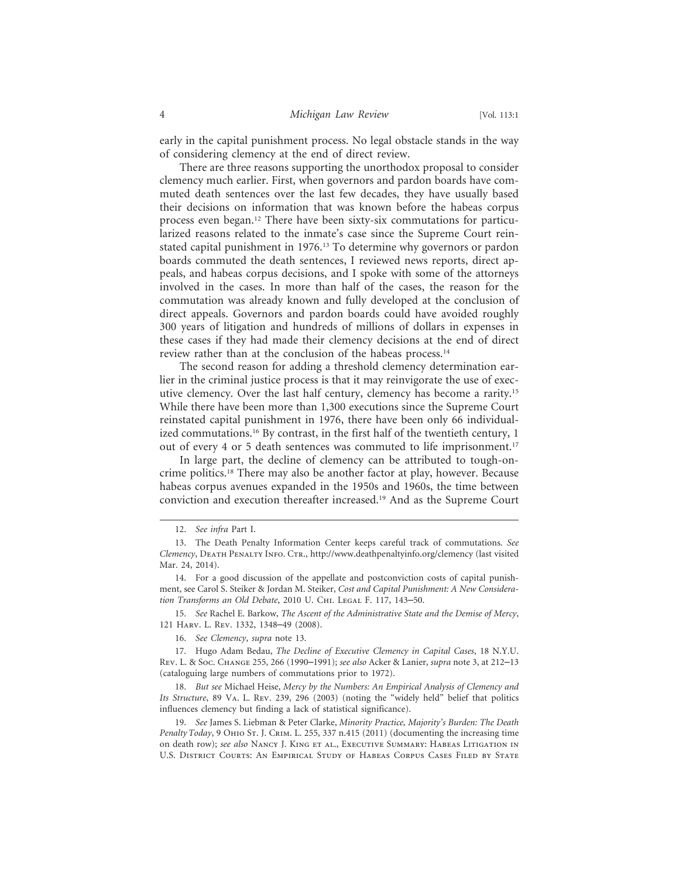early in the capital punishment process. No legal obstacle stands in the way of considering clemency at the end of direct review.

There are three reasons supporting the unorthodox proposal to consider clemency much earlier. First, when governors and pardon boards have commuted death sentences over the last few decades, they have usually based their decisions on information that was known before the habeas corpus process even began.<sup>12</sup> There have been sixty-six commutations for particularized reasons related to the inmate's case since the Supreme Court reinstated capital punishment in 1976.13 To determine why governors or pardon boards commuted the death sentences, I reviewed news reports, direct appeals, and habeas corpus decisions, and I spoke with some of the attorneys involved in the cases. In more than half of the cases, the reason for the commutation was already known and fully developed at the conclusion of direct appeals. Governors and pardon boards could have avoided roughly 300 years of litigation and hundreds of millions of dollars in expenses in these cases if they had made their clemency decisions at the end of direct review rather than at the conclusion of the habeas process.<sup>14</sup>

The second reason for adding a threshold clemency determination earlier in the criminal justice process is that it may reinvigorate the use of executive clemency. Over the last half century, clemency has become a rarity.15 While there have been more than 1,300 executions since the Supreme Court reinstated capital punishment in 1976, there have been only 66 individualized commutations.<sup>16</sup> By contrast, in the first half of the twentieth century, 1 out of every 4 or 5 death sentences was commuted to life imprisonment.17

In large part, the decline of clemency can be attributed to tough-oncrime politics.18 There may also be another factor at play, however. Because habeas corpus avenues expanded in the 1950s and 1960s, the time between conviction and execution thereafter increased.19 And as the Supreme Court

15. *See* Rachel E. Barkow, *The Ascent of the Administrative State and the Demise of Mercy*, 121 Harv. L. Rev. 1332, 1348–49 (2008).

16. *See Clemency*, *supra* note 13.

17. Hugo Adam Bedau, *The Decline of Executive Clemency in Capital Cases*, 18 N.Y.U. Rev. L. & Soc. Change 255, 266 (1990–1991); *see also* Acker & Lanier, *supra* note 3, at 212–13 (cataloguing large numbers of commutations prior to 1972).

18. *But see* Michael Heise, *Mercy by the Numbers: An Empirical Analysis of Clemency and Its Structure*, 89 Va. L. Rev. 239, 296 (2003) (noting the "widely held" belief that politics influences clemency but finding a lack of statistical significance).

19. *See* James S. Liebman & Peter Clarke, *Minority Practice, Majority's Burden: The Death Penalty Today*, 9 Ohio St. J. Crim. L. 255, 337 n.415 (2011) (documenting the increasing time on death row); *see also* Nancy J. King et al., Executive Summary: Habeas Litigation in U.S. District Courts: An Empirical Study of Habeas Corpus Cases Filed by State

<sup>12.</sup> *See infra* Part I.

<sup>13.</sup> The Death Penalty Information Center keeps careful track of commutations. *See Clemency*, Death Penalty Info. Ctr., http://www.deathpenaltyinfo.org/clemency (last visited Mar. 24, 2014).

<sup>14.</sup> For a good discussion of the appellate and postconviction costs of capital punishment, see Carol S. Steiker & Jordan M. Steiker, *Cost and Capital Punishment: A New Considera*tion Transforms an Old Debate, 2010 U. CHI. LEGAL F. 117, 143-50.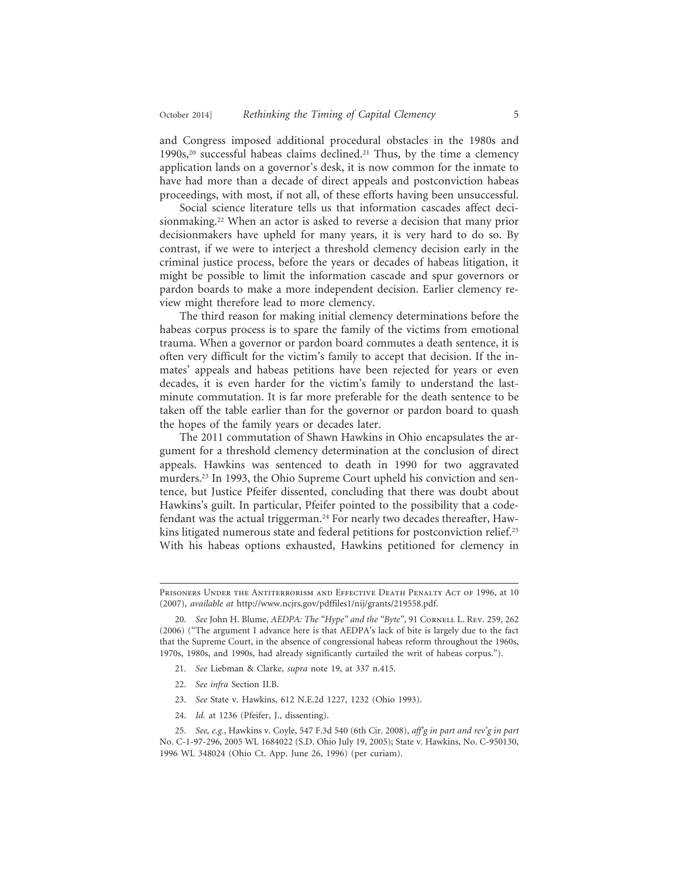and Congress imposed additional procedural obstacles in the 1980s and 1990s, $20$  successful habeas claims declined.<sup>21</sup> Thus, by the time a clemency application lands on a governor's desk, it is now common for the inmate to have had more than a decade of direct appeals and postconviction habeas proceedings, with most, if not all, of these efforts having been unsuccessful.

Social science literature tells us that information cascades affect decisionmaking.<sup>22</sup> When an actor is asked to reverse a decision that many prior decisionmakers have upheld for many years, it is very hard to do so. By contrast, if we were to interject a threshold clemency decision early in the criminal justice process, before the years or decades of habeas litigation, it might be possible to limit the information cascade and spur governors or pardon boards to make a more independent decision. Earlier clemency review might therefore lead to more clemency.

The third reason for making initial clemency determinations before the habeas corpus process is to spare the family of the victims from emotional trauma. When a governor or pardon board commutes a death sentence, it is often very difficult for the victim's family to accept that decision. If the inmates' appeals and habeas petitions have been rejected for years or even decades, it is even harder for the victim's family to understand the lastminute commutation. It is far more preferable for the death sentence to be taken off the table earlier than for the governor or pardon board to quash the hopes of the family years or decades later.

The 2011 commutation of Shawn Hawkins in Ohio encapsulates the argument for a threshold clemency determination at the conclusion of direct appeals. Hawkins was sentenced to death in 1990 for two aggravated murders.23 In 1993, the Ohio Supreme Court upheld his conviction and sentence, but Justice Pfeifer dissented, concluding that there was doubt about Hawkins's guilt. In particular, Pfeifer pointed to the possibility that a codefendant was the actual triggerman.24 For nearly two decades thereafter, Hawkins litigated numerous state and federal petitions for postconviction relief.<sup>25</sup> With his habeas options exhausted, Hawkins petitioned for clemency in

- 21. *See* Liebman & Clarke, *supra* note 19, at 337 n.415.
- 22. *See infra* Section II.B.
- 23. *See* State v. Hawkins, 612 N.E.2d 1227, 1232 (Ohio 1993).
- 24. *Id.* at 1236 (Pfeifer, J., dissenting).

PRISONERS UNDER THE ANTITERRORISM AND EFFECTIVE DEATH PENALTY ACT OF 1996, at 10 (2007), *available at* http://www.ncjrs.gov/pdffiles1/nij/grants/219558.pdf.

<sup>20.</sup> *See* John H. Blume, *AEDPA: The "Hype" and the "Byte"*, 91 CORNELL L. REV. 259, 262 (2006) ("The argument I advance here is that AEDPA's lack of bite is largely due to the fact that the Supreme Court, in the absence of congressional habeas reform throughout the 1960s, 1970s, 1980s, and 1990s, had already significantly curtailed the writ of habeas corpus.").

<sup>25.</sup> *See, e.g.*, Hawkins v. Coyle, 547 F.3d 540 (6th Cir. 2008), *aff'g in part and rev'g in part* No. C-1-97-296, 2005 WL 1684022 (S.D. Ohio July 19, 2005); State v. Hawkins, No. C-950130, 1996 WL 348024 (Ohio Ct. App. June 26, 1996) (per curiam).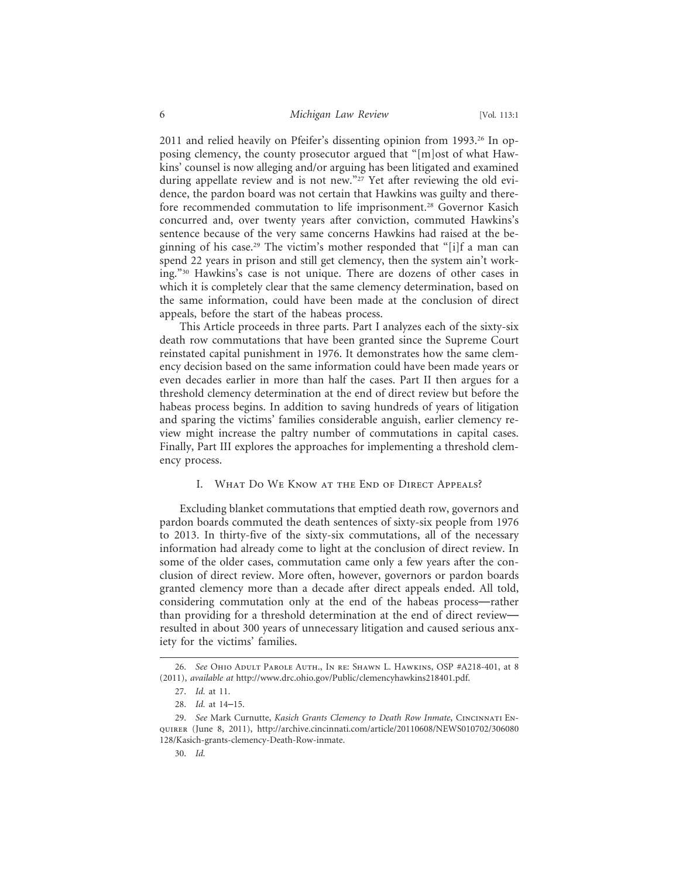2011 and relied heavily on Pfeifer's dissenting opinion from 1993.26 In opposing clemency, the county prosecutor argued that "[m]ost of what Hawkins' counsel is now alleging and/or arguing has been litigated and examined during appellate review and is not new."<sup>27</sup> Yet after reviewing the old evidence, the pardon board was not certain that Hawkins was guilty and therefore recommended commutation to life imprisonment.<sup>28</sup> Governor Kasich concurred and, over twenty years after conviction, commuted Hawkins's sentence because of the very same concerns Hawkins had raised at the beginning of his case.29 The victim's mother responded that "[i]f a man can spend 22 years in prison and still get clemency, then the system ain't working."30 Hawkins's case is not unique. There are dozens of other cases in which it is completely clear that the same clemency determination, based on the same information, could have been made at the conclusion of direct appeals, before the start of the habeas process.

This Article proceeds in three parts. Part I analyzes each of the sixty-six death row commutations that have been granted since the Supreme Court reinstated capital punishment in 1976. It demonstrates how the same clemency decision based on the same information could have been made years or even decades earlier in more than half the cases. Part II then argues for a threshold clemency determination at the end of direct review but before the habeas process begins. In addition to saving hundreds of years of litigation and sparing the victims' families considerable anguish, earlier clemency review might increase the paltry number of commutations in capital cases. Finally, Part III explores the approaches for implementing a threshold clemency process.

#### I. What Do We Know at the End of Direct Appeals?

Excluding blanket commutations that emptied death row, governors and pardon boards commuted the death sentences of sixty-six people from 1976 to 2013. In thirty-five of the sixty-six commutations, all of the necessary information had already come to light at the conclusion of direct review. In some of the older cases, commutation came only a few years after the conclusion of direct review. More often, however, governors or pardon boards granted clemency more than a decade after direct appeals ended. All told, considering commutation only at the end of the habeas process—rather than providing for a threshold determination at the end of direct review resulted in about 300 years of unnecessary litigation and caused serious anxiety for the victims' families.

<sup>26.</sup> *See* Ohio Adult Parole Auth., In re: Shawn L. Hawkins, OSP #A218-401, at 8 (2011), *available at* http://www.drc.ohio.gov/Public/clemencyhawkins218401.pdf.

<sup>27.</sup> *Id.* at 11.

<sup>28.</sup> *Id.* at 14–15.

<sup>29.</sup> *See* Mark Curnutte, *Kasich Grants Clemency to Death Row Inmate*, Cincinnati Enquirer (June 8, 2011), http://archive.cincinnati.com/article/20110608/NEWS010702/306080 128/Kasich-grants-clemency-Death-Row-inmate.

<sup>30.</sup> *Id.*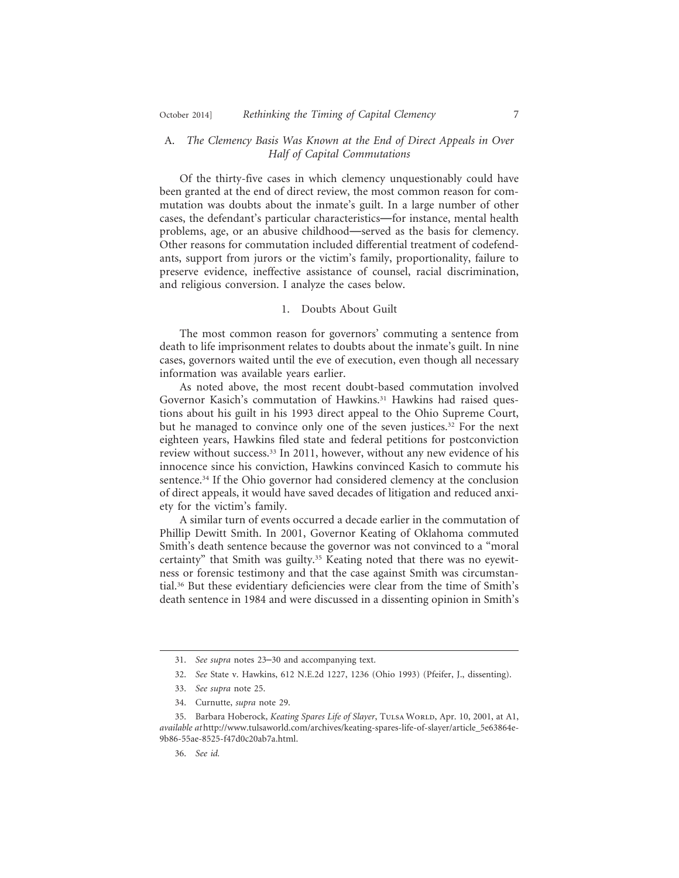#### A. *The Clemency Basis Was Known at the End of Direct Appeals in Over Half of Capital Commutations*

Of the thirty-five cases in which clemency unquestionably could have been granted at the end of direct review, the most common reason for commutation was doubts about the inmate's guilt. In a large number of other cases, the defendant's particular characteristics—for instance, mental health problems, age, or an abusive childhood—served as the basis for clemency. Other reasons for commutation included differential treatment of codefendants, support from jurors or the victim's family, proportionality, failure to preserve evidence, ineffective assistance of counsel, racial discrimination, and religious conversion. I analyze the cases below.

#### 1. Doubts About Guilt

The most common reason for governors' commuting a sentence from death to life imprisonment relates to doubts about the inmate's guilt. In nine cases, governors waited until the eve of execution, even though all necessary information was available years earlier.

As noted above, the most recent doubt-based commutation involved Governor Kasich's commutation of Hawkins.<sup>31</sup> Hawkins had raised questions about his guilt in his 1993 direct appeal to the Ohio Supreme Court, but he managed to convince only one of the seven justices.<sup>32</sup> For the next eighteen years, Hawkins filed state and federal petitions for postconviction review without success.<sup>33</sup> In 2011, however, without any new evidence of his innocence since his conviction, Hawkins convinced Kasich to commute his sentence.<sup>34</sup> If the Ohio governor had considered clemency at the conclusion of direct appeals, it would have saved decades of litigation and reduced anxiety for the victim's family.

A similar turn of events occurred a decade earlier in the commutation of Phillip Dewitt Smith. In 2001, Governor Keating of Oklahoma commuted Smith's death sentence because the governor was not convinced to a "moral certainty" that Smith was guilty.<sup>35</sup> Keating noted that there was no eyewitness or forensic testimony and that the case against Smith was circumstantial.36 But these evidentiary deficiencies were clear from the time of Smith's death sentence in 1984 and were discussed in a dissenting opinion in Smith's

34. Curnutte, *supra* note 29.

#### 36. *See id.*

<sup>31.</sup> *See supra* notes 23–30 and accompanying text.

<sup>32.</sup> *See* State v. Hawkins, 612 N.E.2d 1227, 1236 (Ohio 1993) (Pfeifer, J., dissenting).

<sup>33.</sup> *See supra* note 25.

<sup>35.</sup> Barbara Hoberock, *Keating Spares Life of Slayer*, Tulsa World, Apr. 10, 2001, at A1, *available at* http://www.tulsaworld.com/archives/keating-spares-life-of-slayer/article\_5e63864e-9b86-55ae-8525-f47d0c20ab7a.html.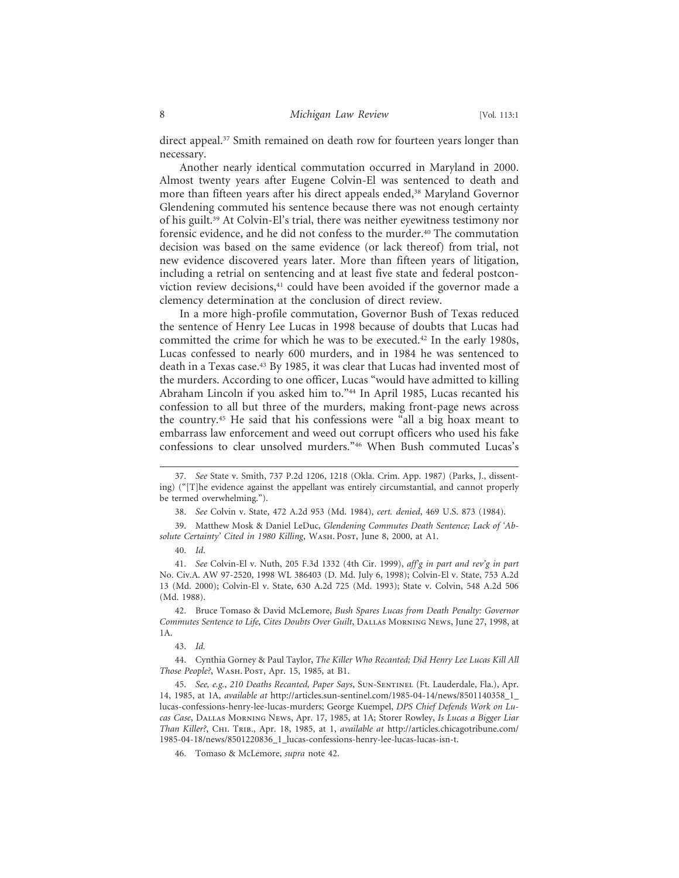direct appeal.<sup>37</sup> Smith remained on death row for fourteen years longer than necessary.

Another nearly identical commutation occurred in Maryland in 2000. Almost twenty years after Eugene Colvin-El was sentenced to death and more than fifteen years after his direct appeals ended,<sup>38</sup> Maryland Governor Glendening commuted his sentence because there was not enough certainty of his guilt.39 At Colvin-El's trial, there was neither eyewitness testimony nor forensic evidence, and he did not confess to the murder.40 The commutation decision was based on the same evidence (or lack thereof) from trial, not new evidence discovered years later. More than fifteen years of litigation, including a retrial on sentencing and at least five state and federal postconviction review decisions,<sup>41</sup> could have been avoided if the governor made a clemency determination at the conclusion of direct review.

In a more high-profile commutation, Governor Bush of Texas reduced the sentence of Henry Lee Lucas in 1998 because of doubts that Lucas had committed the crime for which he was to be executed.<sup>42</sup> In the early 1980s, Lucas confessed to nearly 600 murders, and in 1984 he was sentenced to death in a Texas case.43 By 1985, it was clear that Lucas had invented most of the murders. According to one officer, Lucas "would have admitted to killing Abraham Lincoln if you asked him to."44 In April 1985, Lucas recanted his confession to all but three of the murders, making front-page news across the country.45 He said that his confessions were "all a big hoax meant to embarrass law enforcement and weed out corrupt officers who used his fake confessions to clear unsolved murders."46 When Bush commuted Lucas's

38. *See* Colvin v. State, 472 A.2d 953 (Md. 1984), *cert. denied*, 469 U.S. 873 (1984).

39. Matthew Mosk & Daniel LeDuc, *Glendening Commutes Death Sentence; Lack of 'Ab*solute Certainty' Cited in 1980 Killing, WASH. Post, June 8, 2000, at A1.

40. *Id*.

41. *See* Colvin-El v. Nuth, 205 F.3d 1332 (4th Cir. 1999), *aff'g in part and rev'g in part* No. Civ.A. AW 97-2520, 1998 WL 386403 (D. Md. July 6, 1998); Colvin-El v. State, 753 A.2d 13 (Md. 2000); Colvin-El v. State, 630 A.2d 725 (Md. 1993); State v. Colvin, 548 A.2d 506 (Md. 1988).

42. Bruce Tomaso & David McLemore, *Bush Spares Lucas from Death Penalty: Governor Commutes Sentence to Life, Cites Doubts Over Guilt*, Dallas Morning News, June 27, 1998, at 1A.

43. *Id.*

44. Cynthia Gorney & Paul Taylor, *The Killer Who Recanted; Did Henry Lee Lucas Kill All Those People?*, WASH. POST, Apr. 15, 1985, at B1.

45. *See, e.g.*, *210 Deaths Recanted, Paper Says*, Sun-Sentinel (Ft. Lauderdale, Fla.), Apr. 14, 1985, at 1A, *available at* http://articles.sun-sentinel.com/1985-04-14/news/8501140358\_1\_ lucas-confessions-henry-lee-lucas-murders; George Kuempel, *DPS Chief Defends Work on Lucas Case*, Dallas Morning News, Apr. 17, 1985, at 1A; Storer Rowley, *Is Lucas a Bigger Liar Than Killer?*, Chi. Trib., Apr. 18, 1985, at 1, *available at* http://articles.chicagotribune.com/ 1985-04-18/news/8501220836\_1\_lucas-confessions-henry-lee-lucas-lucas-isn-t.

46. Tomaso & McLemore, *supra* note 42.

<sup>37.</sup> *See* State v. Smith, 737 P.2d 1206, 1218 (Okla. Crim. App. 1987) (Parks, J., dissenting) ("[T]he evidence against the appellant was entirely circumstantial, and cannot properly be termed overwhelming.").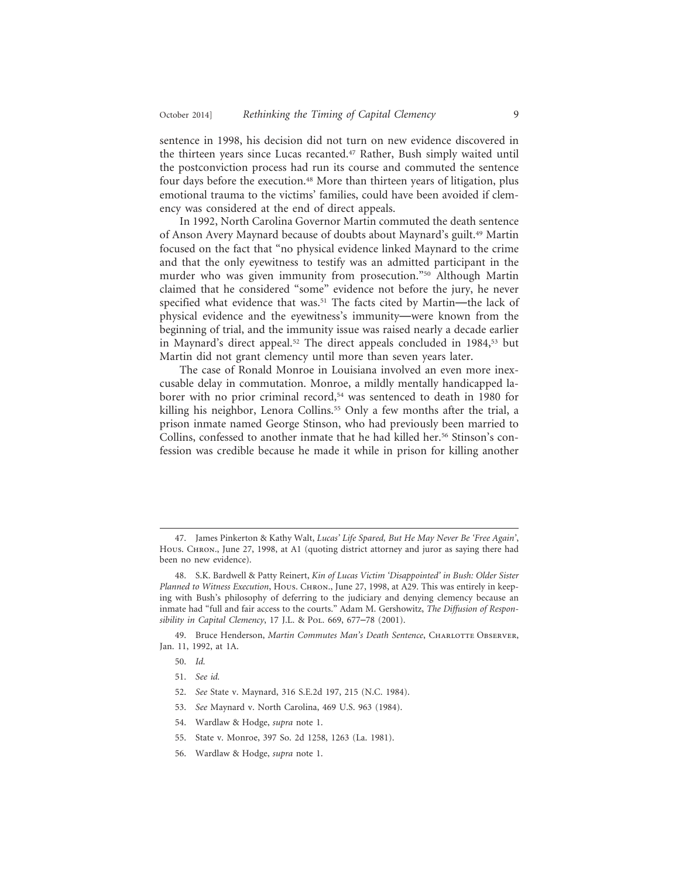sentence in 1998, his decision did not turn on new evidence discovered in the thirteen years since Lucas recanted.47 Rather, Bush simply waited until the postconviction process had run its course and commuted the sentence four days before the execution.<sup>48</sup> More than thirteen years of litigation, plus emotional trauma to the victims' families, could have been avoided if clemency was considered at the end of direct appeals.

In 1992, North Carolina Governor Martin commuted the death sentence of Anson Avery Maynard because of doubts about Maynard's guilt.<sup>49</sup> Martin focused on the fact that "no physical evidence linked Maynard to the crime and that the only eyewitness to testify was an admitted participant in the murder who was given immunity from prosecution."50 Although Martin claimed that he considered "some" evidence not before the jury, he never specified what evidence that was.<sup>51</sup> The facts cited by Martin—the lack of physical evidence and the eyewitness's immunity—were known from the beginning of trial, and the immunity issue was raised nearly a decade earlier in Maynard's direct appeal.52 The direct appeals concluded in 1984,53 but Martin did not grant clemency until more than seven years later.

The case of Ronald Monroe in Louisiana involved an even more inexcusable delay in commutation. Monroe, a mildly mentally handicapped laborer with no prior criminal record,<sup>54</sup> was sentenced to death in 1980 for killing his neighbor, Lenora Collins.<sup>55</sup> Only a few months after the trial, a prison inmate named George Stinson, who had previously been married to Collins, confessed to another inmate that he had killed her.<sup>56</sup> Stinson's confession was credible because he made it while in prison for killing another

49. Bruce Henderson, Martin Commutes Man's Death Sentence, CHARLOTTE OBSERVER, Jan. 11, 1992, at 1A.

- 52. *See* State v. Maynard, 316 S.E.2d 197, 215 (N.C. 1984).
- 53. *See* Maynard v. North Carolina, 469 U.S. 963 (1984).
- 54. Wardlaw & Hodge, *supra* note 1.
- 55. State v. Monroe, 397 So. 2d 1258, 1263 (La. 1981).
- 56. Wardlaw & Hodge, *supra* note 1.

<sup>47.</sup> James Pinkerton & Kathy Walt, *Lucas' Life Spared, But He May Never Be 'Free Again'*, Hous. Chron., June 27, 1998, at A1 (quoting district attorney and juror as saying there had been no new evidence).

<sup>48.</sup> S.K. Bardwell & Patty Reinert, *Kin of Lucas Victim 'Disappointed' in Bush: Older Sister Planned to Witness Execution*, Hous. Chron., June 27, 1998, at A29. This was entirely in keeping with Bush's philosophy of deferring to the judiciary and denying clemency because an inmate had "full and fair access to the courts." Adam M. Gershowitz, *The Diffusion of Responsibility in Capital Clemency*, 17 J.L. & Pol. 669, 677–78 (2001).

<sup>50.</sup> *Id.*

<sup>51.</sup> *See id.*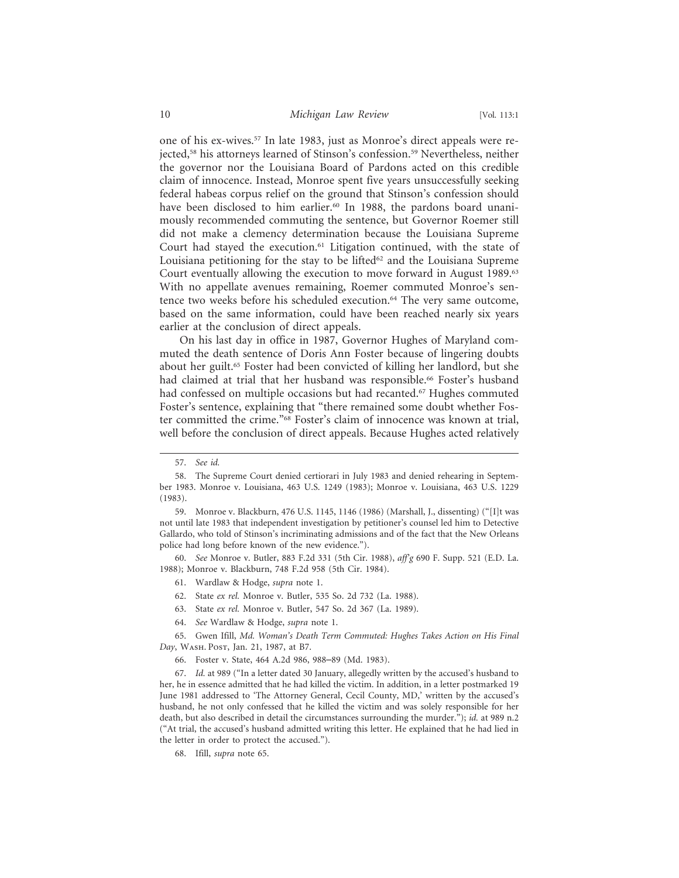one of his ex-wives.57 In late 1983, just as Monroe's direct appeals were rejected,58 his attorneys learned of Stinson's confession.59 Nevertheless, neither the governor nor the Louisiana Board of Pardons acted on this credible claim of innocence. Instead, Monroe spent five years unsuccessfully seeking federal habeas corpus relief on the ground that Stinson's confession should have been disclosed to him earlier.<sup>60</sup> In 1988, the pardons board unanimously recommended commuting the sentence, but Governor Roemer still did not make a clemency determination because the Louisiana Supreme Court had stayed the execution.61 Litigation continued, with the state of Louisiana petitioning for the stay to be lifted $62$  and the Louisiana Supreme Court eventually allowing the execution to move forward in August 1989.63 With no appellate avenues remaining, Roemer commuted Monroe's sentence two weeks before his scheduled execution.64 The very same outcome, based on the same information, could have been reached nearly six years earlier at the conclusion of direct appeals.

On his last day in office in 1987, Governor Hughes of Maryland commuted the death sentence of Doris Ann Foster because of lingering doubts about her guilt.65 Foster had been convicted of killing her landlord, but she had claimed at trial that her husband was responsible.<sup>66</sup> Foster's husband had confessed on multiple occasions but had recanted.<sup>67</sup> Hughes commuted Foster's sentence, explaining that "there remained some doubt whether Foster committed the crime."68 Foster's claim of innocence was known at trial, well before the conclusion of direct appeals. Because Hughes acted relatively

59. Monroe v. Blackburn, 476 U.S. 1145, 1146 (1986) (Marshall, J., dissenting) ("[I]t was not until late 1983 that independent investigation by petitioner's counsel led him to Detective Gallardo, who told of Stinson's incriminating admissions and of the fact that the New Orleans police had long before known of the new evidence.").

60. *See* Monroe v. Butler, 883 F.2d 331 (5th Cir. 1988), *aff'g* 690 F. Supp. 521 (E.D. La. 1988); Monroe v. Blackburn, 748 F.2d 958 (5th Cir. 1984).

61. Wardlaw & Hodge, *supra* note 1.

- 62. State *ex rel.* Monroe v. Butler, 535 So. 2d 732 (La. 1988).
- 63. State *ex rel.* Monroe v. Butler, 547 So. 2d 367 (La. 1989).
- 64. *See* Wardlaw & Hodge, *supra* note 1.

65. Gwen Ifill, *Md. Woman's Death Term Commuted: Hughes Takes Action on His Final Day*, Wash. Post, Jan. 21, 1987, at B7.

68. Ifill, *supra* note 65.

<sup>57.</sup> *See id.*

<sup>58.</sup> The Supreme Court denied certiorari in July 1983 and denied rehearing in September 1983. Monroe v. Louisiana, 463 U.S. 1249 (1983); Monroe v. Louisiana, 463 U.S. 1229 (1983).

<sup>66.</sup> Foster v. State, 464 A.2d 986, 988–89 (Md. 1983).

<sup>67.</sup> *Id.* at 989 ("In a letter dated 30 January, allegedly written by the accused's husband to her, he in essence admitted that he had killed the victim. In addition, in a letter postmarked 19 June 1981 addressed to 'The Attorney General, Cecil County, MD,' written by the accused's husband, he not only confessed that he killed the victim and was solely responsible for her death, but also described in detail the circumstances surrounding the murder."); *id.* at 989 n.2 ("At trial, the accused's husband admitted writing this letter. He explained that he had lied in the letter in order to protect the accused.").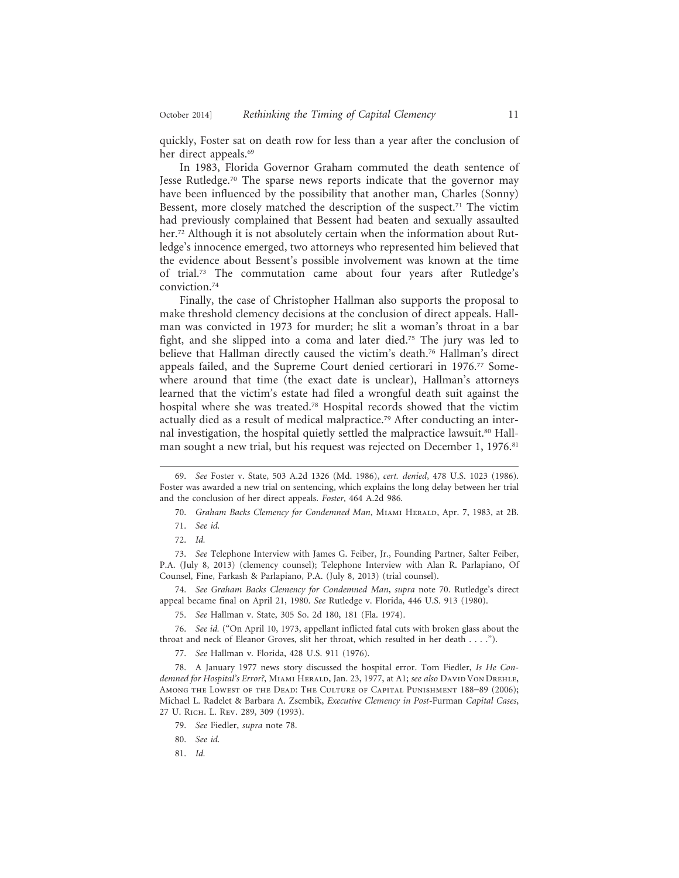quickly, Foster sat on death row for less than a year after the conclusion of her direct appeals.<sup>69</sup>

In 1983, Florida Governor Graham commuted the death sentence of Jesse Rutledge.70 The sparse news reports indicate that the governor may have been influenced by the possibility that another man, Charles (Sonny) Bessent, more closely matched the description of the suspect.<sup>71</sup> The victim had previously complained that Bessent had beaten and sexually assaulted her.<sup>72</sup> Although it is not absolutely certain when the information about Rutledge's innocence emerged, two attorneys who represented him believed that the evidence about Bessent's possible involvement was known at the time of trial.73 The commutation came about four years after Rutledge's conviction.74

Finally, the case of Christopher Hallman also supports the proposal to make threshold clemency decisions at the conclusion of direct appeals. Hallman was convicted in 1973 for murder; he slit a woman's throat in a bar fight, and she slipped into a coma and later died.75 The jury was led to believe that Hallman directly caused the victim's death.76 Hallman's direct appeals failed, and the Supreme Court denied certiorari in 1976.77 Somewhere around that time (the exact date is unclear), Hallman's attorneys learned that the victim's estate had filed a wrongful death suit against the hospital where she was treated.<sup>78</sup> Hospital records showed that the victim actually died as a result of medical malpractice.79 After conducting an internal investigation, the hospital quietly settled the malpractice lawsuit.<sup>80</sup> Hallman sought a new trial, but his request was rejected on December 1, 1976.<sup>81</sup>

70. *Graham Backs Clemency for Condemned Man*, MIAMI HERALD, Apr. 7, 1983, at 2B.

74. *See Graham Backs Clemency for Condemned Man*, *supra* note 70. Rutledge's direct appeal became final on April 21, 1980. *See* Rutledge v. Florida, 446 U.S. 913 (1980).

75. *See* Hallman v. State, 305 So. 2d 180, 181 (Fla. 1974).

76. *See id.* ("On April 10, 1973, appellant inflicted fatal cuts with broken glass about the throat and neck of Eleanor Groves, slit her throat, which resulted in her death . . . .").

77. *See* Hallman v. Florida, 428 U.S. 911 (1976).

78. A January 1977 news story discussed the hospital error. Tom Fiedler, *Is He Condemned for Hospital's Error?*, MIAMI HERALD, Jan. 23, 1977, at A1; *see also* DAVID VON DREHLE, Among the Lowest of the Dead: The Culture of Capital Punishment 188–89 (2006); Michael L. Radelet & Barbara A. Zsembik, *Executive Clemency in Post-*Furman *Capital Cases*, 27 U. Rich. L. Rev. 289, 309 (1993).

79. *See* Fiedler, *supra* note 78.

80. *See id.*

81. *Id.*

<sup>69.</sup> *See* Foster v. State, 503 A.2d 1326 (Md. 1986), *cert. denied*, 478 U.S. 1023 (1986). Foster was awarded a new trial on sentencing, which explains the long delay between her trial and the conclusion of her direct appeals. *Foster*, 464 A.2d 986.

<sup>71.</sup> *See id.*

<sup>72.</sup> *Id.*

<sup>73.</sup> *See* Telephone Interview with James G. Feiber, Jr., Founding Partner, Salter Feiber, P.A. (July 8, 2013) (clemency counsel); Telephone Interview with Alan R. Parlapiano, Of Counsel, Fine, Farkash & Parlapiano, P.A. (July 8, 2013) (trial counsel).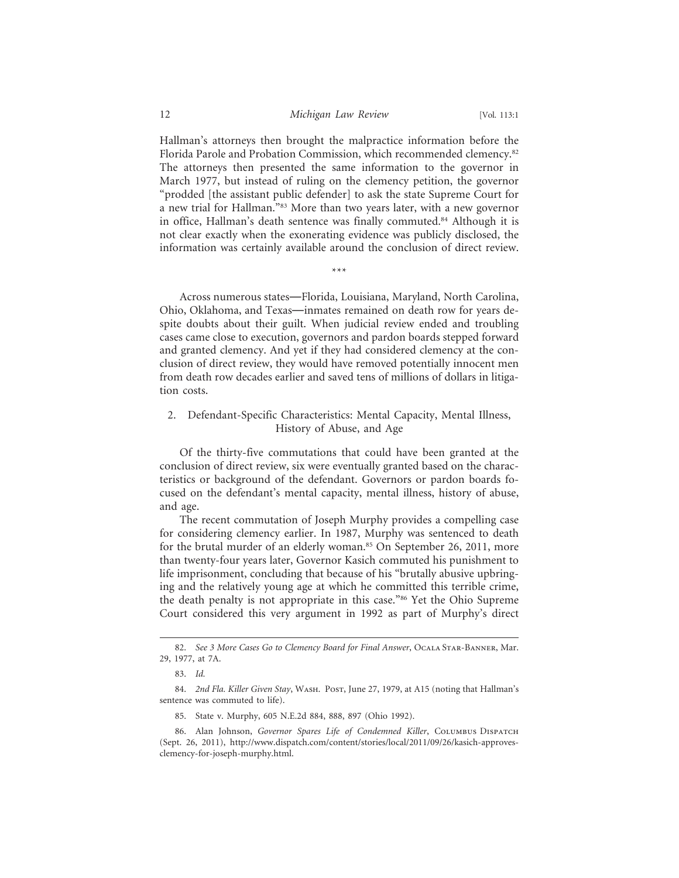Hallman's attorneys then brought the malpractice information before the Florida Parole and Probation Commission, which recommended clemency.82 The attorneys then presented the same information to the governor in March 1977, but instead of ruling on the clemency petition, the governor "prodded [the assistant public defender] to ask the state Supreme Court for a new trial for Hallman."83 More than two years later, with a new governor in office, Hallman's death sentence was finally commuted.<sup>84</sup> Although it is not clear exactly when the exonerating evidence was publicly disclosed, the information was certainly available around the conclusion of direct review.

\*\*\*

Across numerous states—Florida, Louisiana, Maryland, North Carolina, Ohio, Oklahoma, and Texas—inmates remained on death row for years despite doubts about their guilt. When judicial review ended and troubling cases came close to execution, governors and pardon boards stepped forward and granted clemency. And yet if they had considered clemency at the conclusion of direct review, they would have removed potentially innocent men from death row decades earlier and saved tens of millions of dollars in litigation costs.

# 2. Defendant-Specific Characteristics: Mental Capacity, Mental Illness, History of Abuse, and Age

Of the thirty-five commutations that could have been granted at the conclusion of direct review, six were eventually granted based on the characteristics or background of the defendant. Governors or pardon boards focused on the defendant's mental capacity, mental illness, history of abuse, and age.

The recent commutation of Joseph Murphy provides a compelling case for considering clemency earlier. In 1987, Murphy was sentenced to death for the brutal murder of an elderly woman.<sup>85</sup> On September 26, 2011, more than twenty-four years later, Governor Kasich commuted his punishment to life imprisonment, concluding that because of his "brutally abusive upbringing and the relatively young age at which he committed this terrible crime, the death penalty is not appropriate in this case."86 Yet the Ohio Supreme Court considered this very argument in 1992 as part of Murphy's direct

<sup>82.</sup> See 3 More Cases Go to Clemency Board for Final Answer, OCALA STAR-BANNER, Mar. 29, 1977, at 7A.

<sup>83.</sup> *Id.*

<sup>84. 2</sup>nd Fla. Killer Given Stay, WASH. Post, June 27, 1979, at A15 (noting that Hallman's sentence was commuted to life).

<sup>85.</sup> State v. Murphy, 605 N.E.2d 884, 888, 897 (Ohio 1992).

<sup>86.</sup> Alan Johnson, *Governor Spares Life of Condemned Killer*, COLUMBUS DISPATCH (Sept. 26, 2011), http://www.dispatch.com/content/stories/local/2011/09/26/kasich-approvesclemency-for-joseph-murphy.html.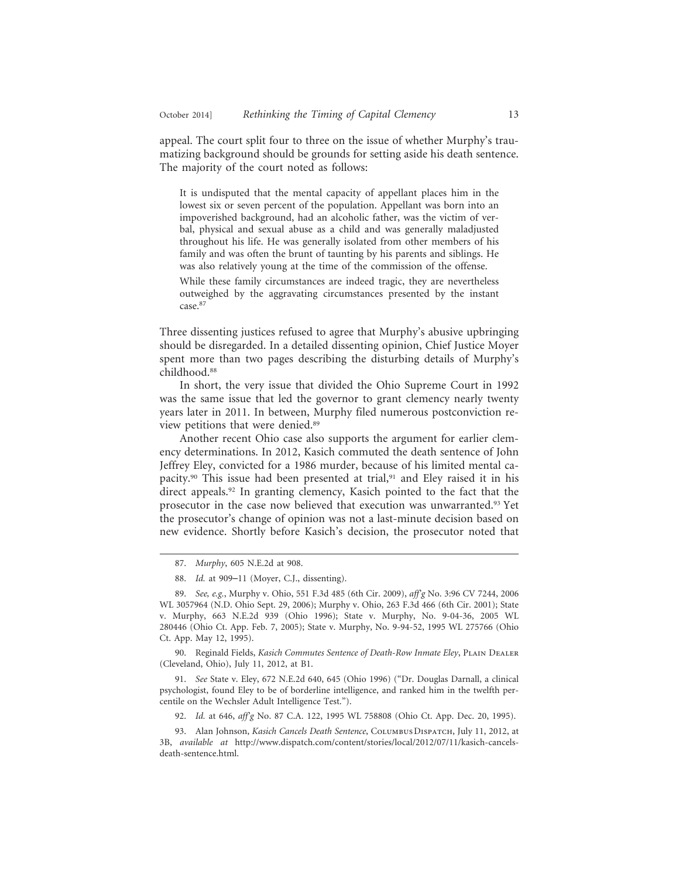appeal. The court split four to three on the issue of whether Murphy's traumatizing background should be grounds for setting aside his death sentence. The majority of the court noted as follows:

It is undisputed that the mental capacity of appellant places him in the lowest six or seven percent of the population. Appellant was born into an impoverished background, had an alcoholic father, was the victim of verbal, physical and sexual abuse as a child and was generally maladjusted throughout his life. He was generally isolated from other members of his family and was often the brunt of taunting by his parents and siblings. He was also relatively young at the time of the commission of the offense.

While these family circumstances are indeed tragic, they are nevertheless outweighed by the aggravating circumstances presented by the instant case.<sup>87</sup>

Three dissenting justices refused to agree that Murphy's abusive upbringing should be disregarded. In a detailed dissenting opinion, Chief Justice Moyer spent more than two pages describing the disturbing details of Murphy's childhood.88

In short, the very issue that divided the Ohio Supreme Court in 1992 was the same issue that led the governor to grant clemency nearly twenty years later in 2011. In between, Murphy filed numerous postconviction review petitions that were denied.89

Another recent Ohio case also supports the argument for earlier clemency determinations. In 2012, Kasich commuted the death sentence of John Jeffrey Eley, convicted for a 1986 murder, because of his limited mental capacity.<sup>90</sup> This issue had been presented at trial,<sup>91</sup> and Eley raised it in his direct appeals.<sup>92</sup> In granting clemency, Kasich pointed to the fact that the prosecutor in the case now believed that execution was unwarranted.93 Yet the prosecutor's change of opinion was not a last-minute decision based on new evidence. Shortly before Kasich's decision, the prosecutor noted that

90. Reginald Fields, *Kasich Commutes Sentence of Death-Row Inmate Eley*, PLAIN DEALER (Cleveland, Ohio), July 11, 2012, at B1.

91. *See* State v. Eley, 672 N.E.2d 640, 645 (Ohio 1996) ("Dr. Douglas Darnall, a clinical psychologist, found Eley to be of borderline intelligence, and ranked him in the twelfth percentile on the Wechsler Adult Intelligence Test.").

92. *Id.* at 646, *aff'g* No. 87 C.A. 122, 1995 WL 758808 (Ohio Ct. App. Dec. 20, 1995).

<sup>87.</sup> *Murphy*, 605 N.E.2d at 908.

<sup>88.</sup> *Id.* at 909–11 (Moyer, C.J., dissenting).

<sup>89.</sup> *See, e.g.*, Murphy v. Ohio, 551 F.3d 485 (6th Cir. 2009), *aff'g* No. 3:96 CV 7244, 2006 WL 3057964 (N.D. Ohio Sept. 29, 2006); Murphy v. Ohio, 263 F.3d 466 (6th Cir. 2001); State v. Murphy, 663 N.E.2d 939 (Ohio 1996); State v. Murphy, No. 9-04-36, 2005 WL 280446 (Ohio Ct. App. Feb. 7, 2005); State v. Murphy, No. 9-94-52, 1995 WL 275766 (Ohio Ct. App. May 12, 1995).

<sup>93.</sup> Alan Johnson, *Kasich Cancels Death Sentence*, COLUMBUS DISPATCH, July 11, 2012, at 3B, *available at* http://www.dispatch.com/content/stories/local/2012/07/11/kasich-cancelsdeath-sentence.html.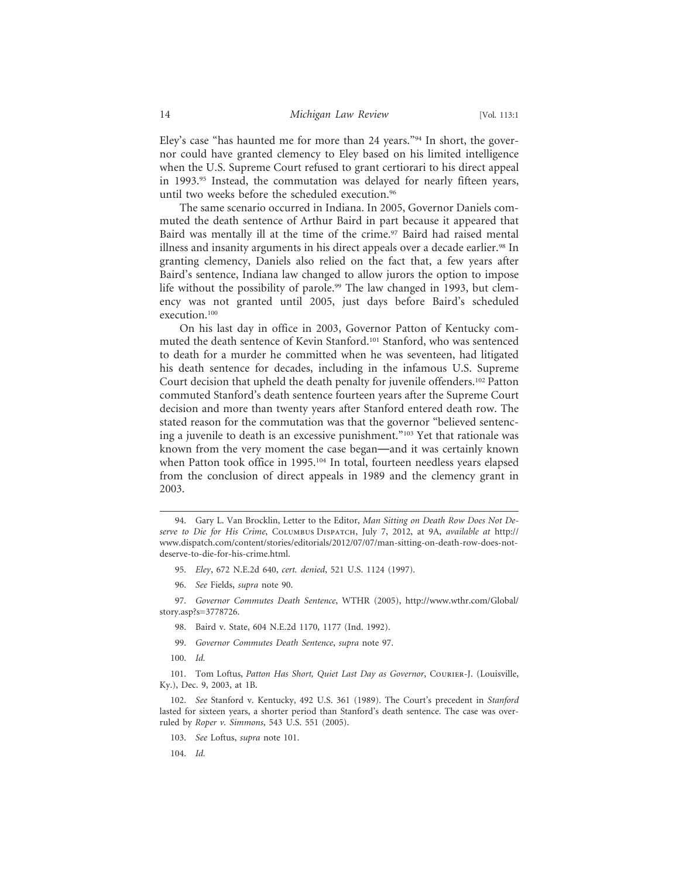Eley's case "has haunted me for more than 24 years."94 In short, the governor could have granted clemency to Eley based on his limited intelligence when the U.S. Supreme Court refused to grant certiorari to his direct appeal in 1993.95 Instead, the commutation was delayed for nearly fifteen years, until two weeks before the scheduled execution.<sup>96</sup>

The same scenario occurred in Indiana. In 2005, Governor Daniels commuted the death sentence of Arthur Baird in part because it appeared that Baird was mentally ill at the time of the crime.<sup>97</sup> Baird had raised mental illness and insanity arguments in his direct appeals over a decade earlier.<sup>98</sup> In granting clemency, Daniels also relied on the fact that, a few years after Baird's sentence, Indiana law changed to allow jurors the option to impose life without the possibility of parole.<sup>99</sup> The law changed in 1993, but clemency was not granted until 2005, just days before Baird's scheduled execution.100

On his last day in office in 2003, Governor Patton of Kentucky commuted the death sentence of Kevin Stanford.101 Stanford, who was sentenced to death for a murder he committed when he was seventeen, had litigated his death sentence for decades, including in the infamous U.S. Supreme Court decision that upheld the death penalty for juvenile offenders.102 Patton commuted Stanford's death sentence fourteen years after the Supreme Court decision and more than twenty years after Stanford entered death row. The stated reason for the commutation was that the governor "believed sentencing a juvenile to death is an excessive punishment."103 Yet that rationale was known from the very moment the case began—and it was certainly known when Patton took office in 1995.<sup>104</sup> In total, fourteen needless years elapsed from the conclusion of direct appeals in 1989 and the clemency grant in 2003.

- 95. *Eley*, 672 N.E.2d 640, *cert. denied*, 521 U.S. 1124 (1997).
- 96. *See* Fields, *supra* note 90.

97. *Governor Commutes Death Sentence*, WTHR (2005), http://www.wthr.com/Global/ story.asp?s=3778726.

- 98. Baird v. State, 604 N.E.2d 1170, 1177 (Ind. 1992).
- 99. *Governor Commutes Death Sentence*, *supra* note 97.
- 100. *Id.*

104. *Id.*

<sup>94.</sup> Gary L. Van Brocklin, Letter to the Editor, *Man Sitting on Death Row Does Not Deserve to Die for His Crime*, Columbus Dispatch, July 7, 2012, at 9A, *available at* http:// www.dispatch.com/content/stories/editorials/2012/07/07/man-sitting-on-death-row-does-notdeserve-to-die-for-his-crime.html.

<sup>101.</sup> Tom Loftus, *Patton Has Short, Quiet Last Day as Governor*, Courier-J. (Louisville, Ky.), Dec. 9, 2003, at 1B.

<sup>102.</sup> *See* Stanford v. Kentucky, 492 U.S. 361 (1989). The Court's precedent in *Stanford* lasted for sixteen years, a shorter period than Stanford's death sentence. The case was overruled by *Roper v. Simmons*, 543 U.S. 551 (2005).

<sup>103.</sup> *See* Loftus, *supra* note 101.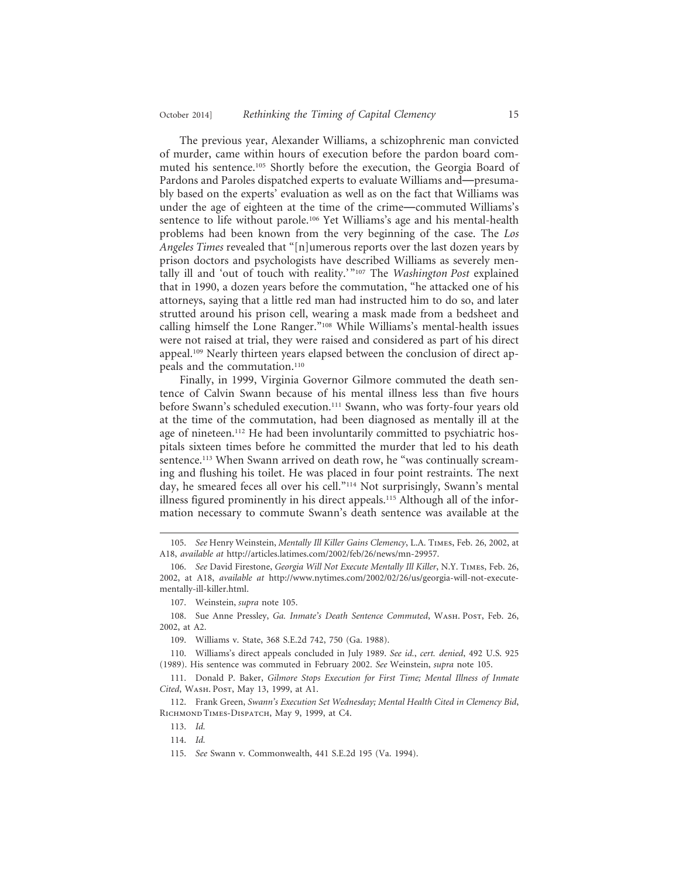The previous year, Alexander Williams, a schizophrenic man convicted of murder, came within hours of execution before the pardon board commuted his sentence.105 Shortly before the execution, the Georgia Board of Pardons and Paroles dispatched experts to evaluate Williams and—presumably based on the experts' evaluation as well as on the fact that Williams was under the age of eighteen at the time of the crime—commuted Williams's sentence to life without parole.<sup>106</sup> Yet Williams's age and his mental-health problems had been known from the very beginning of the case. The *Los Angeles Times* revealed that "[n]umerous reports over the last dozen years by prison doctors and psychologists have described Williams as severely mentally ill and 'out of touch with reality.' "107 The *Washington Post* explained that in 1990, a dozen years before the commutation, "he attacked one of his attorneys, saying that a little red man had instructed him to do so, and later strutted around his prison cell, wearing a mask made from a bedsheet and calling himself the Lone Ranger."108 While Williams's mental-health issues were not raised at trial, they were raised and considered as part of his direct appeal.109 Nearly thirteen years elapsed between the conclusion of direct appeals and the commutation.110

Finally, in 1999, Virginia Governor Gilmore commuted the death sentence of Calvin Swann because of his mental illness less than five hours before Swann's scheduled execution.111 Swann, who was forty-four years old at the time of the commutation, had been diagnosed as mentally ill at the age of nineteen.<sup>112</sup> He had been involuntarily committed to psychiatric hospitals sixteen times before he committed the murder that led to his death sentence.<sup>113</sup> When Swann arrived on death row, he "was continually screaming and flushing his toilet. He was placed in four point restraints. The next day, he smeared feces all over his cell."114 Not surprisingly, Swann's mental illness figured prominently in his direct appeals.<sup>115</sup> Although all of the information necessary to commute Swann's death sentence was available at the

<sup>105.</sup> *See* Henry Weinstein, *Mentally Ill Killer Gains Clemency*, L.A. Times, Feb. 26, 2002, at A18, *available at* http://articles.latimes.com/2002/feb/26/news/mn-29957.

<sup>106.</sup> *See* David Firestone, *Georgia Will Not Execute Mentally Ill Killer*, N.Y. Times, Feb. 26, 2002, at A18, *available at* http://www.nytimes.com/2002/02/26/us/georgia-will-not-executementally-ill-killer.html.

<sup>107.</sup> Weinstein, *supra* note 105.

<sup>108.</sup> Sue Anne Pressley, *Ga. Inmate's Death Sentence Commuted*, WASH. Post, Feb. 26, 2002, at A2.

<sup>109.</sup> Williams v. State, 368 S.E.2d 742, 750 (Ga. 1988).

<sup>110.</sup> Williams's direct appeals concluded in July 1989. *See id.*, *cert. denied*, 492 U.S. 925 (1989). His sentence was commuted in February 2002. *See* Weinstein, *supra* note 105.

<sup>111.</sup> Donald P. Baker, *Gilmore Stops Execution for First Time; Mental Illness of Inmate Cited*, Wash. Post, May 13, 1999, at A1.

<sup>112.</sup> Frank Green, *Swann's Execution Set Wednesday; Mental Health Cited in Clemency Bid*, Richmond Times-Dispatch, May 9, 1999, at C4.

<sup>113.</sup> *Id.*

<sup>114.</sup> *Id.*

<sup>115.</sup> *See* Swann v. Commonwealth, 441 S.E.2d 195 (Va. 1994).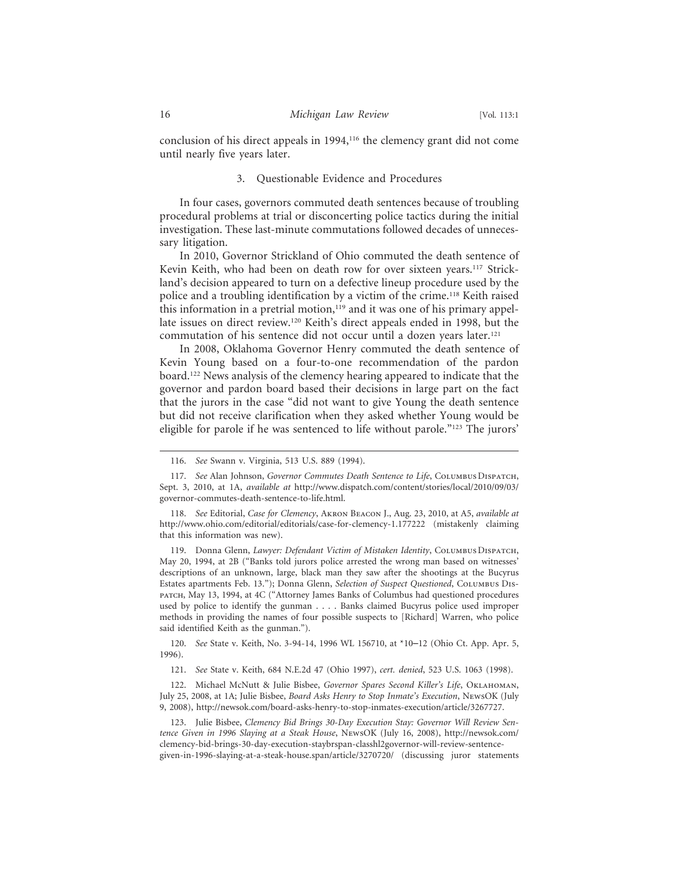conclusion of his direct appeals in 1994,116 the clemency grant did not come until nearly five years later.

#### 3. Questionable Evidence and Procedures

In four cases, governors commuted death sentences because of troubling procedural problems at trial or disconcerting police tactics during the initial investigation. These last-minute commutations followed decades of unnecessary litigation.

In 2010, Governor Strickland of Ohio commuted the death sentence of Kevin Keith, who had been on death row for over sixteen years.117 Strickland's decision appeared to turn on a defective lineup procedure used by the police and a troubling identification by a victim of the crime.118 Keith raised this information in a pretrial motion,<sup>119</sup> and it was one of his primary appellate issues on direct review.120 Keith's direct appeals ended in 1998, but the commutation of his sentence did not occur until a dozen years later.<sup>121</sup>

In 2008, Oklahoma Governor Henry commuted the death sentence of Kevin Young based on a four-to-one recommendation of the pardon board.122 News analysis of the clemency hearing appeared to indicate that the governor and pardon board based their decisions in large part on the fact that the jurors in the case "did not want to give Young the death sentence but did not receive clarification when they asked whether Young would be eligible for parole if he was sentenced to life without parole."123 The jurors'

119. Donna Glenn, *Lawyer: Defendant Victim of Mistaken Identity*, Columbus Dispatch, May 20, 1994, at 2B ("Banks told jurors police arrested the wrong man based on witnesses' descriptions of an unknown, large, black man they saw after the shootings at the Bucyrus Estates apartments Feb. 13."); Donna Glenn, *Selection of Suspect Questioned*, Columbus Dispatch, May 13, 1994, at 4C ("Attorney James Banks of Columbus had questioned procedures used by police to identify the gunman . . . . Banks claimed Bucyrus police used improper methods in providing the names of four possible suspects to [Richard] Warren, who police said identified Keith as the gunman.").

120. *See* State v. Keith, No. 3-94-14, 1996 WL 156710, at \*10–12 (Ohio Ct. App. Apr. 5, 1996).

122. Michael McNutt & Julie Bisbee, *Governor Spares Second Killer's Life*, Oklahoman, July 25, 2008, at 1A; Julie Bisbee, *Board Asks Henry to Stop Inmate's Execution*, NewsOK (July 9, 2008), http://newsok.com/board-asks-henry-to-stop-inmates-execution/article/3267727.

123. Julie Bisbee, *Clemency Bid Brings 30-Day Execution Stay: Governor Will Review Sentence Given in 1996 Slaying at a Steak House*, NewsOK (July 16, 2008), http://newsok.com/ clemency-bid-brings-30-day-execution-staybrspan-classhl2governor-will-review-sentencegiven-in-1996-slaying-at-a-steak-house.span/article/3270720/ (discussing juror statements

<sup>116.</sup> *See* Swann v. Virginia, 513 U.S. 889 (1994).

<sup>117.</sup> See Alan Johnson, *Governor Commutes Death Sentence to Life*, COLUMBUS DISPATCH, Sept. 3, 2010, at 1A, *available at* http://www.dispatch.com/content/stories/local/2010/09/03/ governor-commutes-death-sentence-to-life.html.

<sup>118.</sup> *See* Editorial, *Case for Clemency*, Akron Beacon J., Aug. 23, 2010, at A5, *available at* http://www.ohio.com/editorial/editorials/case-for-clemency-1.177222 (mistakenly claiming that this information was new).

<sup>121.</sup> *See* State v. Keith, 684 N.E.2d 47 (Ohio 1997), *cert. denied*, 523 U.S. 1063 (1998).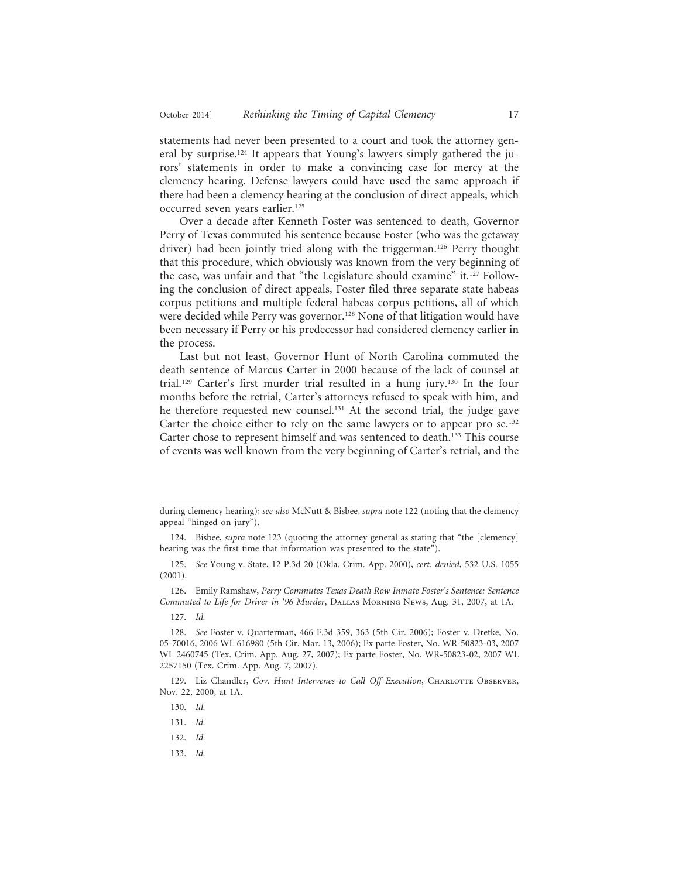statements had never been presented to a court and took the attorney general by surprise.124 It appears that Young's lawyers simply gathered the jurors' statements in order to make a convincing case for mercy at the clemency hearing. Defense lawyers could have used the same approach if there had been a clemency hearing at the conclusion of direct appeals, which occurred seven years earlier.125

Over a decade after Kenneth Foster was sentenced to death, Governor Perry of Texas commuted his sentence because Foster (who was the getaway driver) had been jointly tried along with the triggerman.126 Perry thought that this procedure, which obviously was known from the very beginning of the case, was unfair and that "the Legislature should examine" it.<sup>127</sup> Following the conclusion of direct appeals, Foster filed three separate state habeas corpus petitions and multiple federal habeas corpus petitions, all of which were decided while Perry was governor.<sup>128</sup> None of that litigation would have been necessary if Perry or his predecessor had considered clemency earlier in the process.

Last but not least, Governor Hunt of North Carolina commuted the death sentence of Marcus Carter in 2000 because of the lack of counsel at trial.129 Carter's first murder trial resulted in a hung jury.130 In the four months before the retrial, Carter's attorneys refused to speak with him, and he therefore requested new counsel.<sup>131</sup> At the second trial, the judge gave Carter the choice either to rely on the same lawyers or to appear pro se.132 Carter chose to represent himself and was sentenced to death.133 This course of events was well known from the very beginning of Carter's retrial, and the

126. Emily Ramshaw, *Perry Commutes Texas Death Row Inmate Foster's Sentence: Sentence Commuted to Life for Driver in '96 Murder*, Dallas Morning News, Aug. 31, 2007, at 1A.

127. *Id.*

129. Liz Chandler, Gov. Hunt Intervenes to Call Off Execution, CHARLOTTE OBSERVER, Nov. 22, 2000, at 1A.

- 130. *Id.*
- 131. *Id.*
- 132. *Id.*
- 133. *Id.*

during clemency hearing); *see also* McNutt & Bisbee, *supra* note 122 (noting that the clemency appeal "hinged on jury").

<sup>124.</sup> Bisbee, *supra* note 123 (quoting the attorney general as stating that "the [clemency] hearing was the first time that information was presented to the state").

<sup>125.</sup> *See* Young v. State, 12 P.3d 20 (Okla. Crim. App. 2000), *cert. denied*, 532 U.S. 1055 (2001).

<sup>128.</sup> *See* Foster v. Quarterman, 466 F.3d 359, 363 (5th Cir. 2006); Foster v. Dretke, No. 05-70016, 2006 WL 616980 (5th Cir. Mar. 13, 2006); Ex parte Foster, No. WR-50823-03, 2007 WL 2460745 (Tex. Crim. App. Aug. 27, 2007); Ex parte Foster, No. WR-50823-02, 2007 WL 2257150 (Tex. Crim. App. Aug. 7, 2007).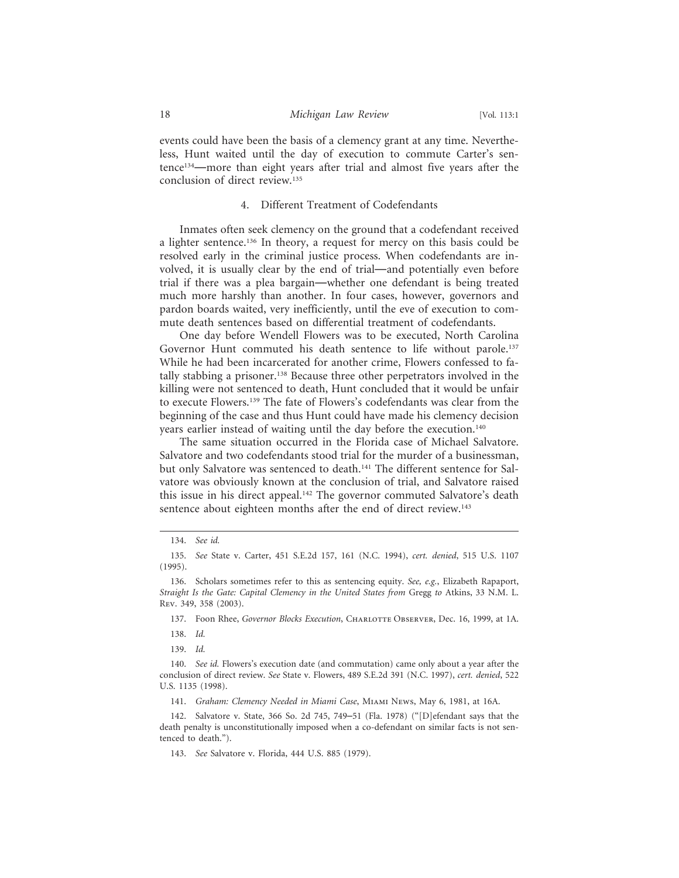events could have been the basis of a clemency grant at any time. Nevertheless, Hunt waited until the day of execution to commute Carter's sentence134—more than eight years after trial and almost five years after the conclusion of direct review.135

#### 4. Different Treatment of Codefendants

Inmates often seek clemency on the ground that a codefendant received a lighter sentence.<sup>136</sup> In theory, a request for mercy on this basis could be resolved early in the criminal justice process. When codefendants are involved, it is usually clear by the end of trial—and potentially even before trial if there was a plea bargain—whether one defendant is being treated much more harshly than another. In four cases, however, governors and pardon boards waited, very inefficiently, until the eve of execution to commute death sentences based on differential treatment of codefendants.

One day before Wendell Flowers was to be executed, North Carolina Governor Hunt commuted his death sentence to life without parole.<sup>137</sup> While he had been incarcerated for another crime, Flowers confessed to fatally stabbing a prisoner.<sup>138</sup> Because three other perpetrators involved in the killing were not sentenced to death, Hunt concluded that it would be unfair to execute Flowers.139 The fate of Flowers's codefendants was clear from the beginning of the case and thus Hunt could have made his clemency decision years earlier instead of waiting until the day before the execution.140

The same situation occurred in the Florida case of Michael Salvatore. Salvatore and two codefendants stood trial for the murder of a businessman, but only Salvatore was sentenced to death.<sup>141</sup> The different sentence for Salvatore was obviously known at the conclusion of trial, and Salvatore raised this issue in his direct appeal.<sup>142</sup> The governor commuted Salvatore's death sentence about eighteen months after the end of direct review.<sup>143</sup>

137. Foon Rhee, *Governor Blocks Execution*, CHARLOTTE OBSERVER, Dec. 16, 1999, at 1A.

138. *Id.*

139. *Id.*

140. *See id.* Flowers's execution date (and commutation) came only about a year after the conclusion of direct review. *See* State v. Flowers, 489 S.E.2d 391 (N.C. 1997), *cert. denied*, 522 U.S. 1135 (1998).

141. *Graham: Clemency Needed in Miami Case*, Miami News, May 6, 1981, at 16A.

142. Salvatore v. State, 366 So. 2d 745, 749–51 (Fla. 1978) ("[D]efendant says that the death penalty is unconstitutionally imposed when a co-defendant on similar facts is not sentenced to death.").

143. *See* Salvatore v. Florida, 444 U.S. 885 (1979).

<sup>134.</sup> *See id.*

<sup>135.</sup> *See* State v. Carter, 451 S.E.2d 157, 161 (N.C. 1994), *cert. denied*, 515 U.S. 1107 (1995).

<sup>136.</sup> Scholars sometimes refer to this as sentencing equity. *See, e.g.*, Elizabeth Rapaport, *Straight Is the Gate: Capital Clemency in the United States from* Gregg *to* Atkins, 33 N.M. L. Rev. 349, 358 (2003).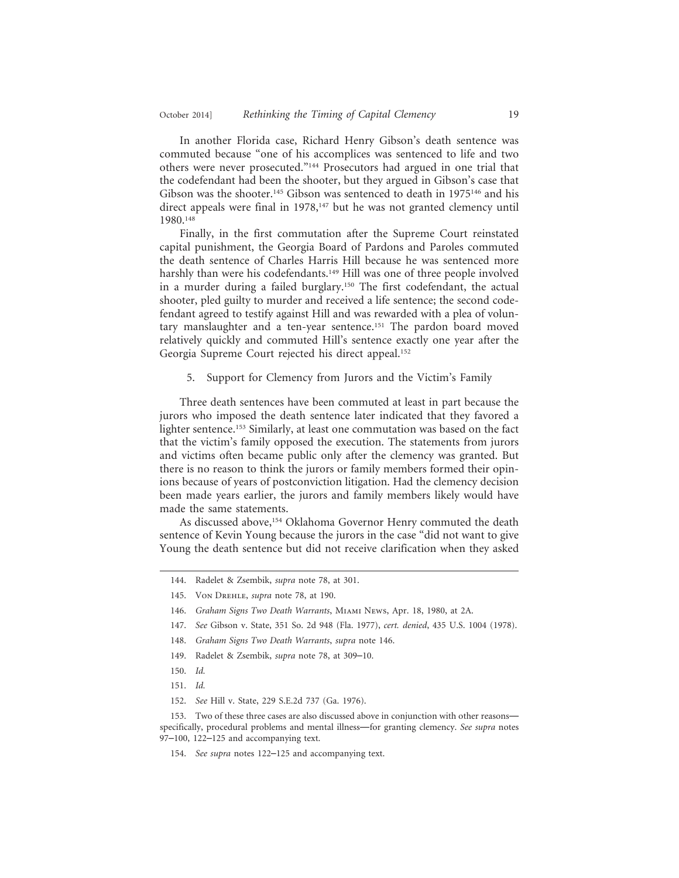In another Florida case, Richard Henry Gibson's death sentence was commuted because "one of his accomplices was sentenced to life and two others were never prosecuted."144 Prosecutors had argued in one trial that the codefendant had been the shooter, but they argued in Gibson's case that Gibson was the shooter.<sup>145</sup> Gibson was sentenced to death in 1975<sup>146</sup> and his direct appeals were final in 1978,<sup>147</sup> but he was not granted clemency until 1980.148

Finally, in the first commutation after the Supreme Court reinstated capital punishment, the Georgia Board of Pardons and Paroles commuted the death sentence of Charles Harris Hill because he was sentenced more harshly than were his codefendants.<sup>149</sup> Hill was one of three people involved in a murder during a failed burglary.<sup>150</sup> The first codefendant, the actual shooter, pled guilty to murder and received a life sentence; the second codefendant agreed to testify against Hill and was rewarded with a plea of voluntary manslaughter and a ten-year sentence.<sup>151</sup> The pardon board moved relatively quickly and commuted Hill's sentence exactly one year after the Georgia Supreme Court rejected his direct appeal.152

5. Support for Clemency from Jurors and the Victim's Family

Three death sentences have been commuted at least in part because the jurors who imposed the death sentence later indicated that they favored a lighter sentence.153 Similarly, at least one commutation was based on the fact that the victim's family opposed the execution. The statements from jurors and victims often became public only after the clemency was granted. But there is no reason to think the jurors or family members formed their opinions because of years of postconviction litigation. Had the clemency decision been made years earlier, the jurors and family members likely would have made the same statements.

As discussed above,<sup>154</sup> Oklahoma Governor Henry commuted the death sentence of Kevin Young because the jurors in the case "did not want to give Young the death sentence but did not receive clarification when they asked

- 148. *Graham Signs Two Death Warrants*, *supra* note 146.
- 149. Radelet & Zsembik, *supra* note 78, at 309–10.
- 150. *Id.*
- 151. *Id.*
- 152. *See* Hill v. State, 229 S.E.2d 737 (Ga. 1976).

153. Two of these three cases are also discussed above in conjunction with other reasons specifically, procedural problems and mental illness—for granting clemency. *See supra* notes 97–100, 122–125 and accompanying text.

154. *See supra* notes 122–125 and accompanying text.

<sup>144.</sup> Radelet & Zsembik, *supra* note 78, at 301.

<sup>145.</sup> Von Drehle, *supra* note 78, at 190.

<sup>146.</sup> *Graham Signs Two Death Warrants*, Miami News, Apr. 18, 1980, at 2A.

<sup>147.</sup> *See* Gibson v. State, 351 So. 2d 948 (Fla. 1977), *cert. denied*, 435 U.S. 1004 (1978).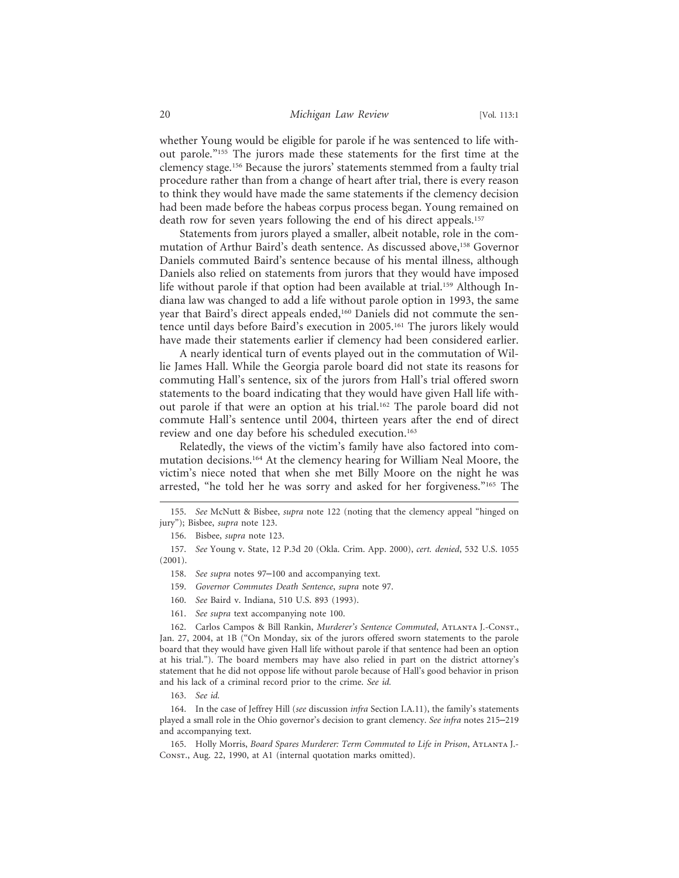whether Young would be eligible for parole if he was sentenced to life without parole."155 The jurors made these statements for the first time at the clemency stage.156 Because the jurors' statements stemmed from a faulty trial procedure rather than from a change of heart after trial, there is every reason to think they would have made the same statements if the clemency decision had been made before the habeas corpus process began. Young remained on death row for seven years following the end of his direct appeals.157

Statements from jurors played a smaller, albeit notable, role in the commutation of Arthur Baird's death sentence. As discussed above,158 Governor Daniels commuted Baird's sentence because of his mental illness, although Daniels also relied on statements from jurors that they would have imposed life without parole if that option had been available at trial.<sup>159</sup> Although Indiana law was changed to add a life without parole option in 1993, the same year that Baird's direct appeals ended,<sup>160</sup> Daniels did not commute the sentence until days before Baird's execution in 2005.161 The jurors likely would have made their statements earlier if clemency had been considered earlier.

A nearly identical turn of events played out in the commutation of Willie James Hall. While the Georgia parole board did not state its reasons for commuting Hall's sentence, six of the jurors from Hall's trial offered sworn statements to the board indicating that they would have given Hall life without parole if that were an option at his trial.162 The parole board did not commute Hall's sentence until 2004, thirteen years after the end of direct review and one day before his scheduled execution.163

Relatedly, the views of the victim's family have also factored into commutation decisions.164 At the clemency hearing for William Neal Moore, the victim's niece noted that when she met Billy Moore on the night he was arrested, "he told her he was sorry and asked for her forgiveness."<sup>165</sup> The

- 159. *Governor Commutes Death Sentence*, *supra* note 97.
- 160. *See* Baird v. Indiana, 510 U.S. 893 (1993).
- 161. *See supra* text accompanying note 100.

162. Carlos Campos & Bill Rankin, *Murderer's Sentence Commuted*, Atlanta J.-Const., Jan. 27, 2004, at 1B ("On Monday, six of the jurors offered sworn statements to the parole board that they would have given Hall life without parole if that sentence had been an option at his trial."). The board members may have also relied in part on the district attorney's statement that he did not oppose life without parole because of Hall's good behavior in prison and his lack of a criminal record prior to the crime. *See id.*

163. *See id.*

164. In the case of Jeffrey Hill (*see* discussion *infra* Section I.A.11), the family's statements played a small role in the Ohio governor's decision to grant clemency. *See infra* notes 215–219 and accompanying text.

165. Holly Morris, *Board Spares Murderer: Term Commuted to Life in Prison*, Atlanta J.- Const., Aug. 22, 1990, at A1 (internal quotation marks omitted).

<sup>155.</sup> *See* McNutt & Bisbee, *supra* note 122 (noting that the clemency appeal "hinged on jury"); Bisbee, *supra* note 123.

<sup>156.</sup> Bisbee, *supra* note 123.

<sup>157.</sup> *See* Young v. State, 12 P.3d 20 (Okla. Crim. App. 2000), *cert. denied*, 532 U.S. 1055 (2001).

<sup>158.</sup> *See supra* notes 97–100 and accompanying text.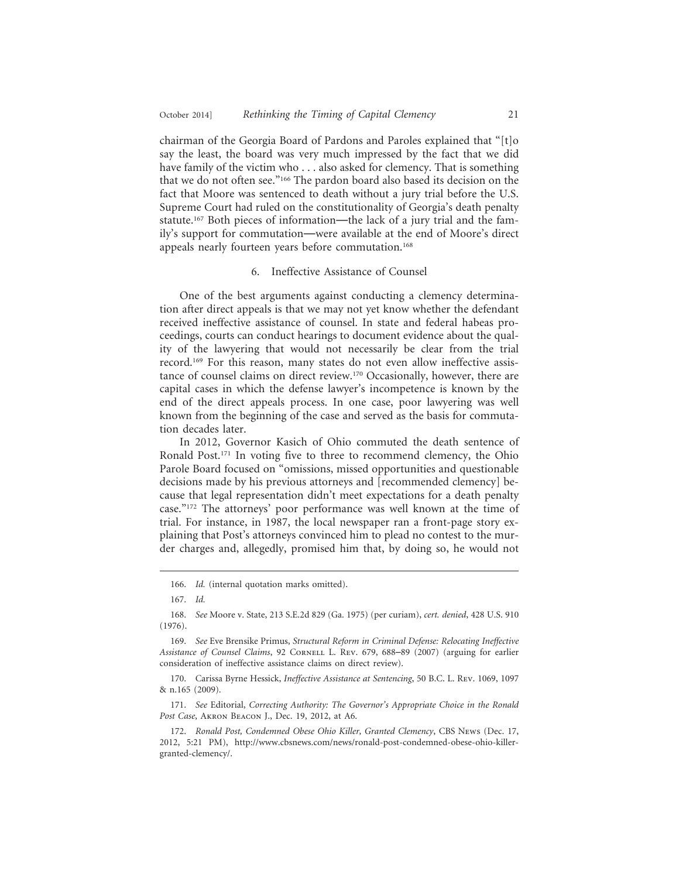chairman of the Georgia Board of Pardons and Paroles explained that "[t]o say the least, the board was very much impressed by the fact that we did have family of the victim who . . . also asked for clemency. That is something that we do not often see."166 The pardon board also based its decision on the fact that Moore was sentenced to death without a jury trial before the U.S. Supreme Court had ruled on the constitutionality of Georgia's death penalty statute.167 Both pieces of information—the lack of a jury trial and the family's support for commutation—were available at the end of Moore's direct appeals nearly fourteen years before commutation.<sup>168</sup>

#### 6. Ineffective Assistance of Counsel

One of the best arguments against conducting a clemency determination after direct appeals is that we may not yet know whether the defendant received ineffective assistance of counsel. In state and federal habeas proceedings, courts can conduct hearings to document evidence about the quality of the lawyering that would not necessarily be clear from the trial record.169 For this reason, many states do not even allow ineffective assistance of counsel claims on direct review.170 Occasionally, however, there are capital cases in which the defense lawyer's incompetence is known by the end of the direct appeals process. In one case, poor lawyering was well known from the beginning of the case and served as the basis for commutation decades later.

In 2012, Governor Kasich of Ohio commuted the death sentence of Ronald Post.<sup>171</sup> In voting five to three to recommend clemency, the Ohio Parole Board focused on "omissions, missed opportunities and questionable decisions made by his previous attorneys and [recommended clemency] because that legal representation didn't meet expectations for a death penalty case."172 The attorneys' poor performance was well known at the time of trial. For instance, in 1987, the local newspaper ran a front-page story explaining that Post's attorneys convinced him to plead no contest to the murder charges and, allegedly, promised him that, by doing so, he would not

<sup>166.</sup> *Id.* (internal quotation marks omitted).

<sup>167.</sup> *Id.*

<sup>168.</sup> *See* Moore v. State, 213 S.E.2d 829 (Ga. 1975) (per curiam), *cert. denied*, 428 U.S. 910 (1976).

<sup>169.</sup> *See* Eve Brensike Primus, *Structural Reform in Criminal Defense: Relocating Ineffective* Assistance of Counsel Claims, 92 CORNELL L. REV. 679, 688-89 (2007) (arguing for earlier consideration of ineffective assistance claims on direct review).

<sup>170.</sup> Carissa Byrne Hessick, *Ineffective Assistance at Sentencing*, 50 B.C. L. Rev. 1069, 1097 & n.165 (2009).

<sup>171.</sup> *See* Editorial, *Correcting Authority: The Governor's Appropriate Choice in the Ronald Post Case*, Akron Beacon J., Dec. 19, 2012, at A6.

<sup>172.</sup> *Ronald Post, Condemned Obese Ohio Killer, Granted Clemency*, CBS News (Dec. 17, 2012, 5:21 PM), http://www.cbsnews.com/news/ronald-post-condemned-obese-ohio-killergranted-clemency/.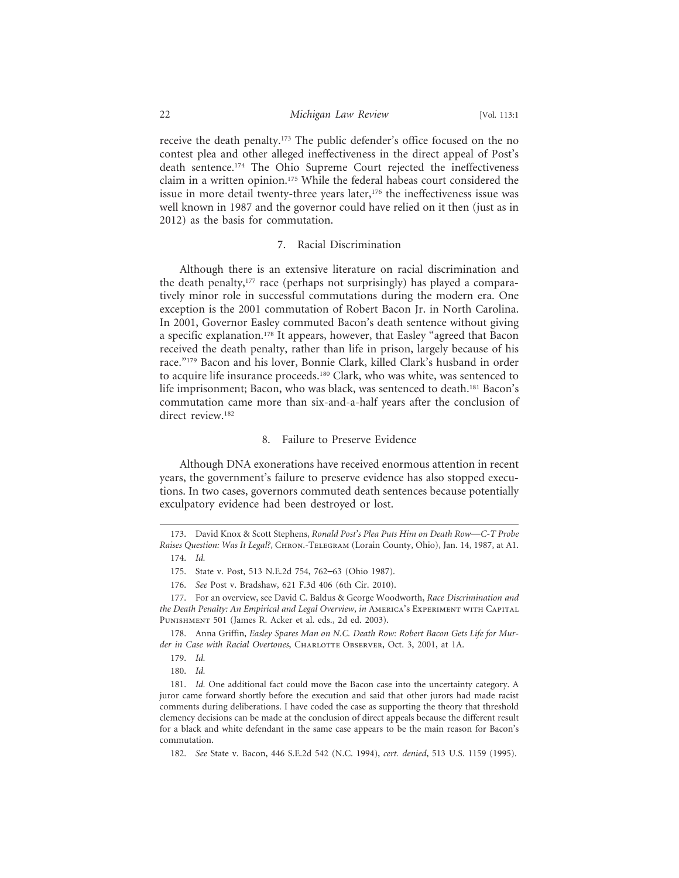receive the death penalty.173 The public defender's office focused on the no contest plea and other alleged ineffectiveness in the direct appeal of Post's death sentence.174 The Ohio Supreme Court rejected the ineffectiveness claim in a written opinion.175 While the federal habeas court considered the issue in more detail twenty-three years later,<sup>176</sup> the ineffectiveness issue was well known in 1987 and the governor could have relied on it then (just as in 2012) as the basis for commutation.

#### 7. Racial Discrimination

Although there is an extensive literature on racial discrimination and the death penalty,<sup>177</sup> race (perhaps not surprisingly) has played a comparatively minor role in successful commutations during the modern era. One exception is the 2001 commutation of Robert Bacon Jr. in North Carolina. In 2001, Governor Easley commuted Bacon's death sentence without giving a specific explanation.178 It appears, however, that Easley "agreed that Bacon received the death penalty, rather than life in prison, largely because of his race."179 Bacon and his lover, Bonnie Clark, killed Clark's husband in order to acquire life insurance proceeds.<sup>180</sup> Clark, who was white, was sentenced to life imprisonment; Bacon, who was black, was sentenced to death.181 Bacon's commutation came more than six-and-a-half years after the conclusion of direct review.<sup>182</sup>

#### 8. Failure to Preserve Evidence

Although DNA exonerations have received enormous attention in recent years, the government's failure to preserve evidence has also stopped executions. In two cases, governors commuted death sentences because potentially exculpatory evidence had been destroyed or lost.

<sup>173.</sup> David Knox & Scott Stephens, *Ronald Post's Plea Puts Him on Death Row*—*C-T Probe Raises Question: Was It Legal?*, Chron.-Telegram (Lorain County, Ohio), Jan. 14, 1987, at A1.

<sup>174.</sup> *Id.*

<sup>175.</sup> State v. Post, 513 N.E.2d 754, 762–63 (Ohio 1987).

<sup>176.</sup> *See* Post v. Bradshaw, 621 F.3d 406 (6th Cir. 2010).

<sup>177.</sup> For an overview, see David C. Baldus & George Woodworth, *Race Discrimination and the Death Penalty: An Empirical and Legal Overview*, *in* America's Experiment with Capital Punishment 501 (James R. Acker et al. eds., 2d ed. 2003).

<sup>178.</sup> Anna Griffin, *Easley Spares Man on N.C. Death Row: Robert Bacon Gets Life for Murder in Case with Racial Overtones*, CHARLOTTE OBSERVER, Oct. 3, 2001, at 1A.

<sup>179.</sup> *Id.*

<sup>180.</sup> *Id.*

<sup>181.</sup> *Id.* One additional fact could move the Bacon case into the uncertainty category. A juror came forward shortly before the execution and said that other jurors had made racist comments during deliberations. I have coded the case as supporting the theory that threshold clemency decisions can be made at the conclusion of direct appeals because the different result for a black and white defendant in the same case appears to be the main reason for Bacon's commutation.

<sup>182.</sup> *See* State v. Bacon, 446 S.E.2d 542 (N.C. 1994), *cert. denied*, 513 U.S. 1159 (1995).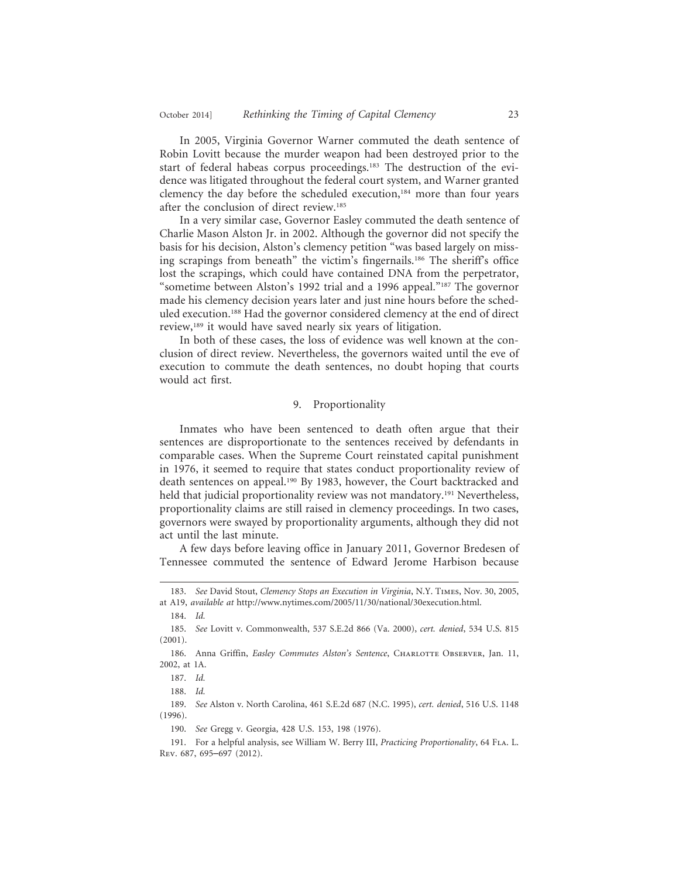In 2005, Virginia Governor Warner commuted the death sentence of Robin Lovitt because the murder weapon had been destroyed prior to the start of federal habeas corpus proceedings.<sup>183</sup> The destruction of the evidence was litigated throughout the federal court system, and Warner granted clemency the day before the scheduled execution,<sup>184</sup> more than four years after the conclusion of direct review.185

In a very similar case, Governor Easley commuted the death sentence of Charlie Mason Alston Jr. in 2002. Although the governor did not specify the basis for his decision, Alston's clemency petition "was based largely on missing scrapings from beneath" the victim's fingernails.186 The sheriff's office lost the scrapings, which could have contained DNA from the perpetrator, "sometime between Alston's 1992 trial and a 1996 appeal."<sup>187</sup> The governor made his clemency decision years later and just nine hours before the scheduled execution.188 Had the governor considered clemency at the end of direct review,189 it would have saved nearly six years of litigation.

In both of these cases, the loss of evidence was well known at the conclusion of direct review. Nevertheless, the governors waited until the eve of execution to commute the death sentences, no doubt hoping that courts would act first.

#### 9. Proportionality

Inmates who have been sentenced to death often argue that their sentences are disproportionate to the sentences received by defendants in comparable cases. When the Supreme Court reinstated capital punishment in 1976, it seemed to require that states conduct proportionality review of death sentences on appeal.190 By 1983, however, the Court backtracked and held that judicial proportionality review was not mandatory.<sup>191</sup> Nevertheless, proportionality claims are still raised in clemency proceedings. In two cases, governors were swayed by proportionality arguments, although they did not act until the last minute.

A few days before leaving office in January 2011, Governor Bredesen of Tennessee commuted the sentence of Edward Jerome Harbison because

<sup>183.</sup> *See* David Stout, *Clemency Stops an Execution in Virginia*, N.Y. Times, Nov. 30, 2005, at A19, *available at* http://www.nytimes.com/2005/11/30/national/30execution.html.

<sup>184.</sup> *Id.*

<sup>185.</sup> *See* Lovitt v. Commonwealth, 537 S.E.2d 866 (Va. 2000), *cert. denied*, 534 U.S. 815 (2001).

<sup>186.</sup> Anna Griffin, *Easley Commutes Alston's Sentence*, CHARLOTTE OBSERVER, Jan. 11, 2002, at 1A.

<sup>187.</sup> *Id.*

<sup>188.</sup> *Id.*

<sup>189.</sup> *See* Alston v. North Carolina, 461 S.E.2d 687 (N.C. 1995), *cert. denied*, 516 U.S. 1148 (1996).

<sup>190.</sup> *See* Gregg v. Georgia, 428 U.S. 153, 198 (1976).

<sup>191.</sup> For a helpful analysis, see William W. Berry III, *Practicing Proportionality*, 64 Fla. L. Rev. 687, 695–697 (2012).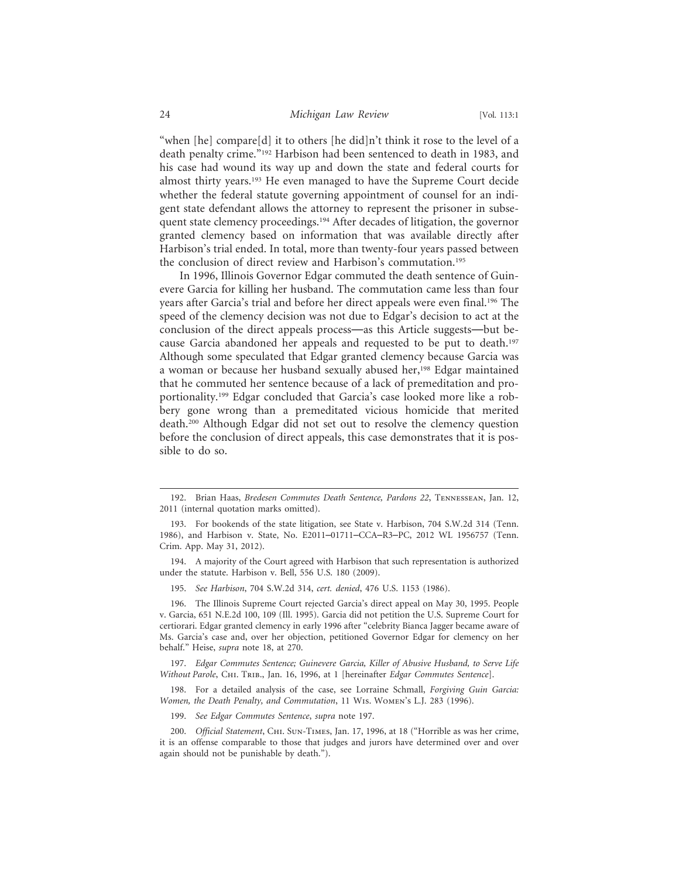"when [he] compare[d] it to others [he did]n't think it rose to the level of a death penalty crime."192 Harbison had been sentenced to death in 1983, and his case had wound its way up and down the state and federal courts for almost thirty years.<sup>193</sup> He even managed to have the Supreme Court decide whether the federal statute governing appointment of counsel for an indigent state defendant allows the attorney to represent the prisoner in subsequent state clemency proceedings.194 After decades of litigation, the governor granted clemency based on information that was available directly after Harbison's trial ended. In total, more than twenty-four years passed between the conclusion of direct review and Harbison's commutation.195

In 1996, Illinois Governor Edgar commuted the death sentence of Guinevere Garcia for killing her husband. The commutation came less than four years after Garcia's trial and before her direct appeals were even final.196 The speed of the clemency decision was not due to Edgar's decision to act at the conclusion of the direct appeals process—as this Article suggests—but because Garcia abandoned her appeals and requested to be put to death.197 Although some speculated that Edgar granted clemency because Garcia was a woman or because her husband sexually abused her,<sup>198</sup> Edgar maintained that he commuted her sentence because of a lack of premeditation and proportionality.199 Edgar concluded that Garcia's case looked more like a robbery gone wrong than a premeditated vicious homicide that merited death.200 Although Edgar did not set out to resolve the clemency question before the conclusion of direct appeals, this case demonstrates that it is possible to do so.

<sup>192.</sup> Brian Haas, *Bredesen Commutes Death Sentence, Pardons 22*, Tennessean, Jan. 12, 2011 (internal quotation marks omitted).

<sup>193.</sup> For bookends of the state litigation, see State v. Harbison, 704 S.W.2d 314 (Tenn. 1986), and Harbison v. State, No. E2011–01711–CCA–R3–PC, 2012 WL 1956757 (Tenn. Crim. App. May 31, 2012).

<sup>194.</sup> A majority of the Court agreed with Harbison that such representation is authorized under the statute. Harbison v. Bell, 556 U.S. 180 (2009).

<sup>195.</sup> *See Harbison*, 704 S.W.2d 314, *cert. denied*, 476 U.S. 1153 (1986).

<sup>196.</sup> The Illinois Supreme Court rejected Garcia's direct appeal on May 30, 1995. People v. Garcia, 651 N.E.2d 100, 109 (Ill. 1995). Garcia did not petition the U.S. Supreme Court for certiorari. Edgar granted clemency in early 1996 after "celebrity Bianca Jagger became aware of Ms. Garcia's case and, over her objection, petitioned Governor Edgar for clemency on her behalf." Heise, *supra* note 18, at 270.

<sup>197.</sup> *Edgar Commutes Sentence; Guinevere Garcia, Killer of Abusive Husband, to Serve Life Without Parole*, Chi. Trib., Jan. 16, 1996, at 1 [hereinafter *Edgar Commutes Sentence*].

<sup>198.</sup> For a detailed analysis of the case, see Lorraine Schmall, *Forgiving Guin Garcia: Women, the Death Penalty, and Commutation*, 11 Wis. Women's L.J. 283 (1996).

<sup>199.</sup> *See Edgar Commutes Sentence*, *supra* note 197.

<sup>200.</sup> *Official Statement*, Chi. Sun-Times, Jan. 17, 1996, at 18 ("Horrible as was her crime, it is an offense comparable to those that judges and jurors have determined over and over again should not be punishable by death.").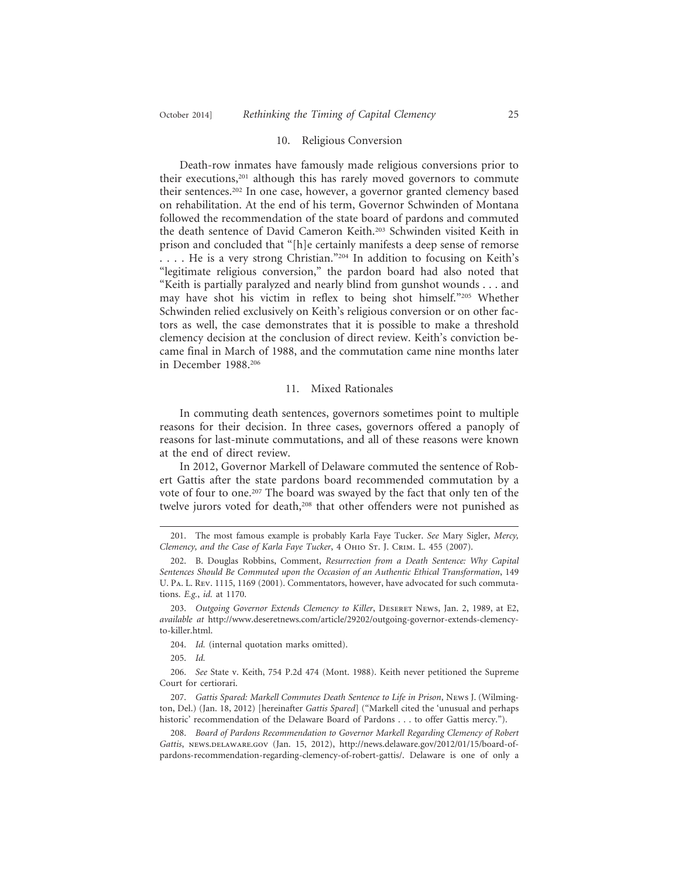# 10. Religious Conversion

Death-row inmates have famously made religious conversions prior to their executions,201 although this has rarely moved governors to commute their sentences.202 In one case, however, a governor granted clemency based on rehabilitation. At the end of his term, Governor Schwinden of Montana followed the recommendation of the state board of pardons and commuted the death sentence of David Cameron Keith.<sup>203</sup> Schwinden visited Keith in prison and concluded that "[h]e certainly manifests a deep sense of remorse .... He is a very strong Christian."<sup>204</sup> In addition to focusing on Keith's "legitimate religious conversion," the pardon board had also noted that "Keith is partially paralyzed and nearly blind from gunshot wounds . . . and may have shot his victim in reflex to being shot himself."205 Whether Schwinden relied exclusively on Keith's religious conversion or on other factors as well, the case demonstrates that it is possible to make a threshold clemency decision at the conclusion of direct review. Keith's conviction became final in March of 1988, and the commutation came nine months later in December 1988.206

#### 11. Mixed Rationales

In commuting death sentences, governors sometimes point to multiple reasons for their decision. In three cases, governors offered a panoply of reasons for last-minute commutations, and all of these reasons were known at the end of direct review.

In 2012, Governor Markell of Delaware commuted the sentence of Robert Gattis after the state pardons board recommended commutation by a vote of four to one.207 The board was swayed by the fact that only ten of the twelve jurors voted for death,<sup>208</sup> that other offenders were not punished as

205. *Id.*

<sup>201.</sup> The most famous example is probably Karla Faye Tucker. *See* Mary Sigler, *Mercy, Clemency, and the Case of Karla Faye Tucker*, 4 Ohio St. J. Crim. L. 455 (2007).

<sup>202.</sup> B. Douglas Robbins, Comment, *Resurrection from a Death Sentence: Why Capital Sentences Should Be Commuted upon the Occasion of an Authentic Ethical Transformation*, 149 U. Pa. L. Rev. 1115, 1169 (2001). Commentators, however, have advocated for such commutations. *E.g.*, *id.* at 1170.

<sup>203.</sup> Outgoing Governor Extends Clemency to Killer, DESERET NEws, Jan. 2, 1989, at E2, *available at* http://www.deseretnews.com/article/29202/outgoing-governor-extends-clemencyto-killer.html.

<sup>204.</sup> *Id.* (internal quotation marks omitted).

<sup>206.</sup> *See* State v. Keith, 754 P.2d 474 (Mont. 1988). Keith never petitioned the Supreme Court for certiorari.

<sup>207.</sup> *Gattis Spared: Markell Commutes Death Sentence to Life in Prison*, News J. (Wilmington, Del.) (Jan. 18, 2012) [hereinafter *Gattis Spared*] ("Markell cited the 'unusual and perhaps historic' recommendation of the Delaware Board of Pardons . . . to offer Gattis mercy.").

<sup>208.</sup> *Board of Pardons Recommendation to Governor Markell Regarding Clemency of Robert* Gattis, NEWS.DELAWARE.GOV (Jan. 15, 2012), http://news.delaware.gov/2012/01/15/board-ofpardons-recommendation-regarding-clemency-of-robert-gattis/. Delaware is one of only a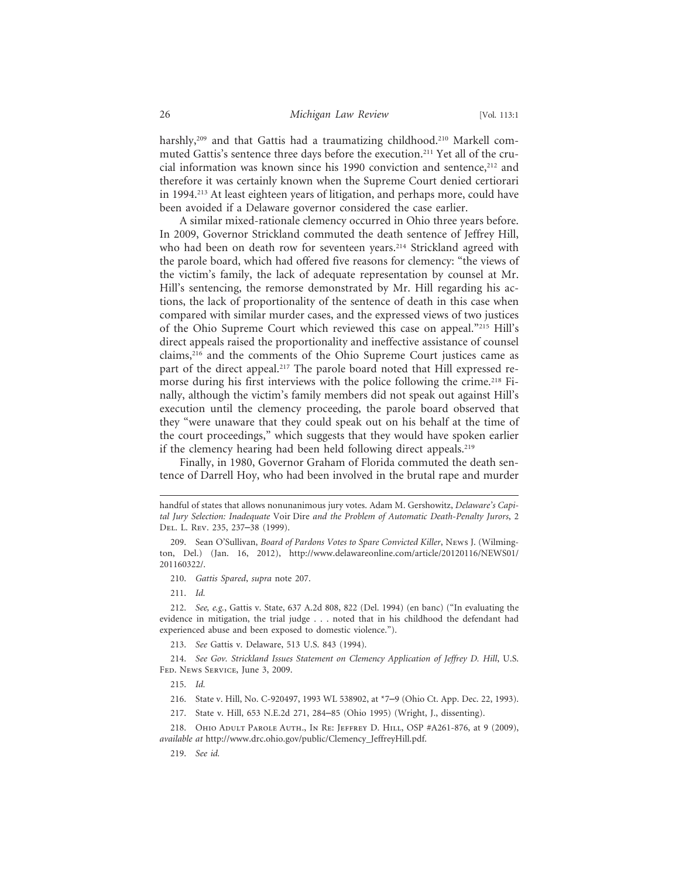harshly,<sup>209</sup> and that Gattis had a traumatizing childhood.<sup>210</sup> Markell commuted Gattis's sentence three days before the execution.211 Yet all of the crucial information was known since his 1990 conviction and sentence,<sup>212</sup> and therefore it was certainly known when the Supreme Court denied certiorari in 1994.213 At least eighteen years of litigation, and perhaps more, could have been avoided if a Delaware governor considered the case earlier.

A similar mixed-rationale clemency occurred in Ohio three years before. In 2009, Governor Strickland commuted the death sentence of Jeffrey Hill, who had been on death row for seventeen years.<sup>214</sup> Strickland agreed with the parole board, which had offered five reasons for clemency: "the views of the victim's family, the lack of adequate representation by counsel at Mr. Hill's sentencing, the remorse demonstrated by Mr. Hill regarding his actions, the lack of proportionality of the sentence of death in this case when compared with similar murder cases, and the expressed views of two justices of the Ohio Supreme Court which reviewed this case on appeal."215 Hill's direct appeals raised the proportionality and ineffective assistance of counsel claims,216 and the comments of the Ohio Supreme Court justices came as part of the direct appeal.<sup>217</sup> The parole board noted that Hill expressed remorse during his first interviews with the police following the crime.<sup>218</sup> Finally, although the victim's family members did not speak out against Hill's execution until the clemency proceeding, the parole board observed that they "were unaware that they could speak out on his behalf at the time of the court proceedings," which suggests that they would have spoken earlier if the clemency hearing had been held following direct appeals.219

Finally, in 1980, Governor Graham of Florida commuted the death sentence of Darrell Hoy, who had been involved in the brutal rape and murder

210. *Gattis Spared*, *supra* note 207.

211. *Id.*

212. *See, e.g.*, Gattis v. State, 637 A.2d 808, 822 (Del. 1994) (en banc) ("In evaluating the evidence in mitigation, the trial judge . . . noted that in his childhood the defendant had experienced abuse and been exposed to domestic violence.").

213. *See* Gattis v. Delaware, 513 U.S. 843 (1994).

214. *See Gov. Strickland Issues Statement on Clemency Application of Jeffrey D. Hill*, U.S. Fed. News Service, June 3, 2009.

215. *Id.*

216. State v. Hill, No. C-920497, 1993 WL 538902, at \*7–9 (Ohio Ct. App. Dec. 22, 1993).

217. State v. Hill, 653 N.E.2d 271, 284–85 (Ohio 1995) (Wright, J., dissenting).

218. Ohio Adult Parole Auth., In Re: Jeffrey D. Hill, OSP #A261-876, at 9 (2009), *available at* http://www.drc.ohio.gov/public/Clemency\_JeffreyHill.pdf.

219. *See id.*

handful of states that allows nonunanimous jury votes. Adam M. Gershowitz, *Delaware's Capital Jury Selection: Inadequate* Voir Dire *and the Problem of Automatic Death-Penalty Jurors*, 2 Del. L. Rev. 235, 237–38 (1999).

<sup>209.</sup> Sean O'Sullivan, *Board of Pardons Votes to Spare Convicted Killer*, News J. (Wilmington, Del.) (Jan. 16, 2012), http://www.delawareonline.com/article/20120116/NEWS01/ 201160322/.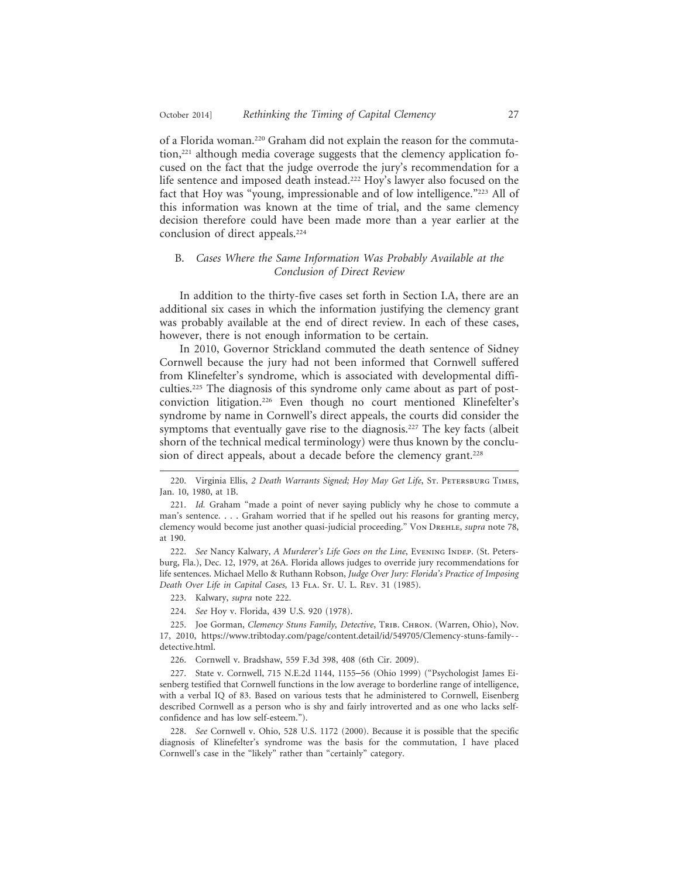of a Florida woman.220 Graham did not explain the reason for the commutation,<sup>221</sup> although media coverage suggests that the clemency application focused on the fact that the judge overrode the jury's recommendation for a life sentence and imposed death instead.222 Hoy's lawyer also focused on the fact that Hoy was "young, impressionable and of low intelligence."<sup>223</sup> All of this information was known at the time of trial, and the same clemency decision therefore could have been made more than a year earlier at the conclusion of direct appeals.224

# B. *Cases Where the Same Information Was Probably Available at the Conclusion of Direct Review*

In addition to the thirty-five cases set forth in Section I.A, there are an additional six cases in which the information justifying the clemency grant was probably available at the end of direct review. In each of these cases, however, there is not enough information to be certain.

In 2010, Governor Strickland commuted the death sentence of Sidney Cornwell because the jury had not been informed that Cornwell suffered from Klinefelter's syndrome, which is associated with developmental difficulties.225 The diagnosis of this syndrome only came about as part of postconviction litigation.226 Even though no court mentioned Klinefelter's syndrome by name in Cornwell's direct appeals, the courts did consider the symptoms that eventually gave rise to the diagnosis.<sup>227</sup> The key facts (albeit shorn of the technical medical terminology) were thus known by the conclusion of direct appeals, about a decade before the clemency grant.<sup>228</sup>

222. See Nancy Kalwary, *A Murderer's Life Goes on the Line*, Evening Indep. (St. Petersburg, Fla.), Dec. 12, 1979, at 26A. Florida allows judges to override jury recommendations for life sentences. Michael Mello & Ruthann Robson, *Judge Over Jury: Florida's Practice of Imposing* Death Over Life in Capital Cases, 13 FLA. ST. U. L. REV. 31 (1985).

223. Kalwary, *supra* note 222.

224. *See* Hoy v. Florida, 439 U.S. 920 (1978).

225. Joe Gorman, *Clemency Stuns Family, Detective*, TRIB. CHRON. (Warren, Ohio), Nov. 17, 2010, https://www.tribtoday.com/page/content.detail/id/549705/Clemency-stuns-family- detective.html.

226. Cornwell v. Bradshaw, 559 F.3d 398, 408 (6th Cir. 2009).

227. State v. Cornwell, 715 N.E.2d 1144, 1155–56 (Ohio 1999) ("Psychologist James Eisenberg testified that Cornwell functions in the low average to borderline range of intelligence, with a verbal IQ of 83. Based on various tests that he administered to Cornwell, Eisenberg described Cornwell as a person who is shy and fairly introverted and as one who lacks selfconfidence and has low self-esteem.").

228. *See* Cornwell v. Ohio, 528 U.S. 1172 (2000). Because it is possible that the specific diagnosis of Klinefelter's syndrome was the basis for the commutation, I have placed Cornwell's case in the "likely" rather than "certainly" category.

<sup>220.</sup> Virginia Ellis, 2 Death Warrants Signed; Hoy May Get Life, ST. PETERSBURG TIMES, Jan. 10, 1980, at 1B.

<sup>221.</sup> *Id.* Graham "made a point of never saying publicly why he chose to commute a man's sentence. . . . Graham worried that if he spelled out his reasons for granting mercy, clemency would become just another quasi-judicial proceeding." Von Drehle, *supra* note 78, at 190.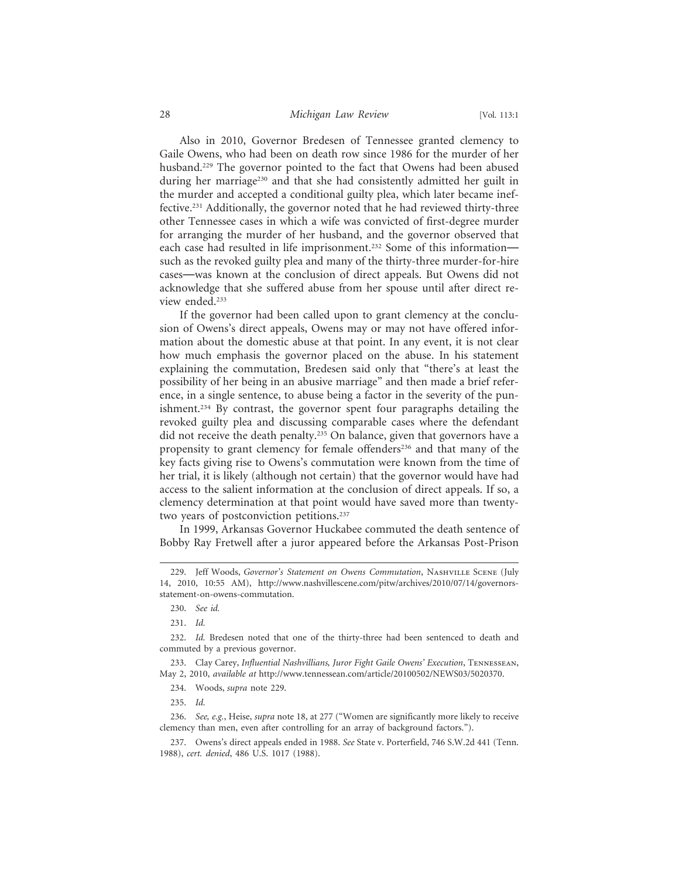#### 28 *Michigan Law Review* [Vol. 113:1

Also in 2010, Governor Bredesen of Tennessee granted clemency to Gaile Owens, who had been on death row since 1986 for the murder of her husband.<sup>229</sup> The governor pointed to the fact that Owens had been abused during her marriage230 and that she had consistently admitted her guilt in the murder and accepted a conditional guilty plea, which later became ineffective.231 Additionally, the governor noted that he had reviewed thirty-three other Tennessee cases in which a wife was convicted of first-degree murder for arranging the murder of her husband, and the governor observed that each case had resulted in life imprisonment.232 Some of this information such as the revoked guilty plea and many of the thirty-three murder-for-hire cases—was known at the conclusion of direct appeals. But Owens did not acknowledge that she suffered abuse from her spouse until after direct review ended.<sup>233</sup>

If the governor had been called upon to grant clemency at the conclusion of Owens's direct appeals, Owens may or may not have offered information about the domestic abuse at that point. In any event, it is not clear how much emphasis the governor placed on the abuse. In his statement explaining the commutation, Bredesen said only that "there's at least the possibility of her being in an abusive marriage" and then made a brief reference, in a single sentence, to abuse being a factor in the severity of the punishment.234 By contrast, the governor spent four paragraphs detailing the revoked guilty plea and discussing comparable cases where the defendant did not receive the death penalty.235 On balance, given that governors have a propensity to grant clemency for female offenders<sup>236</sup> and that many of the key facts giving rise to Owens's commutation were known from the time of her trial, it is likely (although not certain) that the governor would have had access to the salient information at the conclusion of direct appeals. If so, a clemency determination at that point would have saved more than twentytwo years of postconviction petitions.<sup>237</sup>

In 1999, Arkansas Governor Huckabee commuted the death sentence of Bobby Ray Fretwell after a juror appeared before the Arkansas Post-Prison

<sup>229.</sup> Jeff Woods, *Governor's Statement on Owens Commutation*, Nashville Scene (July 14, 2010, 10:55 AM), http://www.nashvillescene.com/pitw/archives/2010/07/14/governorsstatement-on-owens-commutation.

<sup>230.</sup> *See id.*

<sup>231.</sup> *Id.*

<sup>232.</sup> *Id.* Bredesen noted that one of the thirty-three had been sentenced to death and commuted by a previous governor.

<sup>233.</sup> Clay Carey, *Influential Nashvillians, Juror Fight Gaile Owens' Execution*, Tennessean, May 2, 2010, *available at* http://www.tennessean.com/article/20100502/NEWS03/5020370.

<sup>234.</sup> Woods, *supra* note 229.

<sup>235.</sup> *Id.*

<sup>236.</sup> *See, e.g.*, Heise, *supra* note 18, at 277 ("Women are significantly more likely to receive clemency than men, even after controlling for an array of background factors.").

<sup>237.</sup> Owens's direct appeals ended in 1988. *See* State v. Porterfield, 746 S.W.2d 441 (Tenn. 1988), *cert. denied*, 486 U.S. 1017 (1988).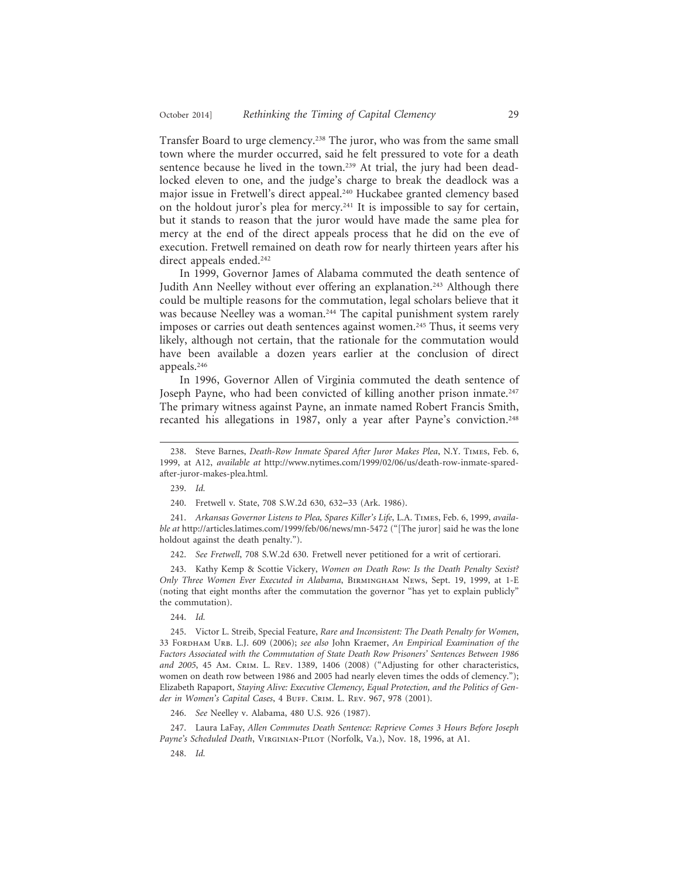Transfer Board to urge clemency.238 The juror, who was from the same small town where the murder occurred, said he felt pressured to vote for a death sentence because he lived in the town.<sup>239</sup> At trial, the jury had been deadlocked eleven to one, and the judge's charge to break the deadlock was a major issue in Fretwell's direct appeal.<sup>240</sup> Huckabee granted clemency based on the holdout juror's plea for mercy.<sup>241</sup> It is impossible to say for certain, but it stands to reason that the juror would have made the same plea for mercy at the end of the direct appeals process that he did on the eve of execution. Fretwell remained on death row for nearly thirteen years after his direct appeals ended.<sup>242</sup>

In 1999, Governor James of Alabama commuted the death sentence of Judith Ann Neelley without ever offering an explanation.<sup>243</sup> Although there could be multiple reasons for the commutation, legal scholars believe that it was because Neelley was a woman.<sup>244</sup> The capital punishment system rarely imposes or carries out death sentences against women.<sup>245</sup> Thus, it seems very likely, although not certain, that the rationale for the commutation would have been available a dozen years earlier at the conclusion of direct appeals.246

In 1996, Governor Allen of Virginia commuted the death sentence of Joseph Payne, who had been convicted of killing another prison inmate.<sup>247</sup> The primary witness against Payne, an inmate named Robert Francis Smith, recanted his allegations in 1987, only a year after Payne's conviction.<sup>248</sup>

239. *Id.*

241. *Arkansas Governor Listens to Plea, Spares Killer's Life*, L.A. Times, Feb. 6, 1999, *available at* http://articles.latimes.com/1999/feb/06/news/mn-5472 ("[The juror] said he was the lone holdout against the death penalty.").

242. *See Fretwell*, 708 S.W.2d 630. Fretwell never petitioned for a writ of certiorari.

243. Kathy Kemp & Scottie Vickery, *Women on Death Row: Is the Death Penalty Sexist? Only Three Women Ever Executed in Alabama*, Birmingham News, Sept. 19, 1999, at 1-E (noting that eight months after the commutation the governor "has yet to explain publicly" the commutation).

244. *Id.*

245. Victor L. Streib, Special Feature, *Rare and Inconsistent: The Death Penalty for Women*, 33 Fordham Urb. L.J. 609 (2006); *see also* John Kraemer, *An Empirical Examination of the Factors Associated with the Commutation of State Death Row Prisoners' Sentences Between 1986* and 2005, 45 Am. CRIM. L. REV. 1389, 1406 (2008) ("Adjusting for other characteristics, women on death row between 1986 and 2005 had nearly eleven times the odds of clemency."); Elizabeth Rapaport, *Staying Alive: Executive Clemency, Equal Protection, and the Politics of Gen*der in Women's Capital Cases, 4 BUFF. CRIM. L. REV. 967, 978 (2001).

246. *See* Neelley v. Alabama, 480 U.S. 926 (1987).

247. Laura LaFay, *Allen Commutes Death Sentence: Reprieve Comes 3 Hours Before Joseph* Payne's Scheduled Death, VIRGINIAN-PILOT (Norfolk, Va.), Nov. 18, 1996, at A1.

248. *Id.*

<sup>238.</sup> Steve Barnes, *Death-Row Inmate Spared After Juror Makes Plea*, N.Y. Times, Feb. 6, 1999, at A12, *available at* http://www.nytimes.com/1999/02/06/us/death-row-inmate-sparedafter-juror-makes-plea.html.

<sup>240.</sup> Fretwell v. State, 708 S.W.2d 630, 632–33 (Ark. 1986).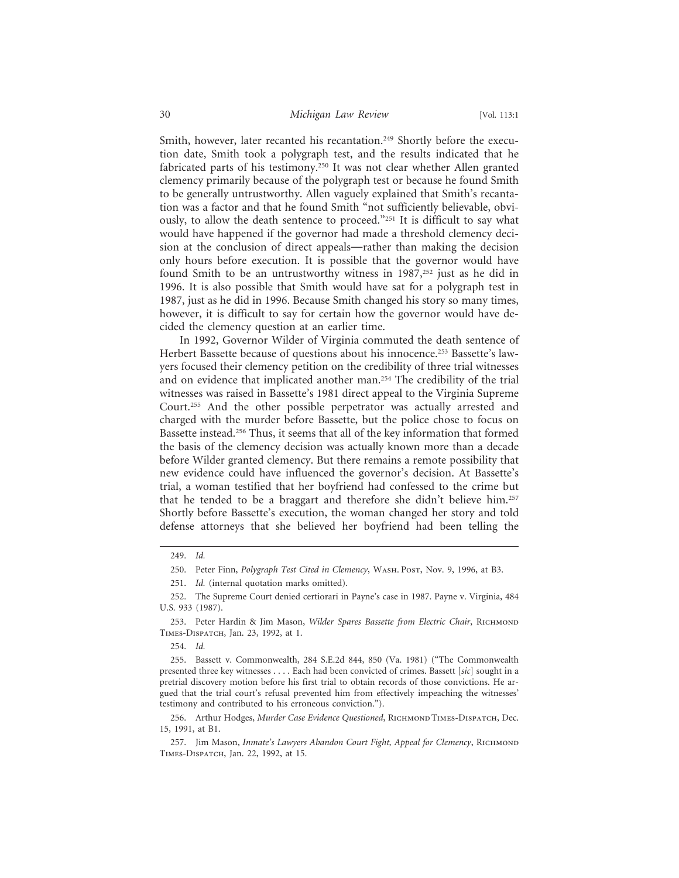Smith, however, later recanted his recantation.<sup>249</sup> Shortly before the execution date, Smith took a polygraph test, and the results indicated that he fabricated parts of his testimony.<sup>250</sup> It was not clear whether Allen granted clemency primarily because of the polygraph test or because he found Smith to be generally untrustworthy. Allen vaguely explained that Smith's recantation was a factor and that he found Smith "not sufficiently believable, obviously, to allow the death sentence to proceed."<sup>251</sup> It is difficult to say what would have happened if the governor had made a threshold clemency decision at the conclusion of direct appeals—rather than making the decision only hours before execution. It is possible that the governor would have found Smith to be an untrustworthy witness in 1987,<sup>252</sup> just as he did in 1996. It is also possible that Smith would have sat for a polygraph test in 1987, just as he did in 1996. Because Smith changed his story so many times, however, it is difficult to say for certain how the governor would have decided the clemency question at an earlier time.

In 1992, Governor Wilder of Virginia commuted the death sentence of Herbert Bassette because of questions about his innocence.<sup>253</sup> Bassette's lawyers focused their clemency petition on the credibility of three trial witnesses and on evidence that implicated another man.254 The credibility of the trial witnesses was raised in Bassette's 1981 direct appeal to the Virginia Supreme Court.255 And the other possible perpetrator was actually arrested and charged with the murder before Bassette, but the police chose to focus on Bassette instead.256 Thus, it seems that all of the key information that formed the basis of the clemency decision was actually known more than a decade before Wilder granted clemency. But there remains a remote possibility that new evidence could have influenced the governor's decision. At Bassette's trial, a woman testified that her boyfriend had confessed to the crime but that he tended to be a braggart and therefore she didn't believe him.257 Shortly before Bassette's execution, the woman changed her story and told defense attorneys that she believed her boyfriend had been telling the

<sup>249.</sup> *Id.*

<sup>250.</sup> Peter Finn, *Polygraph Test Cited in Clemency*, WASH. Post, Nov. 9, 1996, at B3.

<sup>251.</sup> *Id.* (internal quotation marks omitted).

<sup>252.</sup> The Supreme Court denied certiorari in Payne's case in 1987. Payne v. Virginia, 484 U.S. 933 (1987).

<sup>253.</sup> Peter Hardin & Jim Mason, *Wilder Spares Bassette from Electric Chair*, RICHMOND Times-Dispatch, Jan. 23, 1992, at 1.

<sup>254.</sup> *Id.*

<sup>255.</sup> Bassett v. Commonwealth, 284 S.E.2d 844, 850 (Va. 1981) ("The Commonwealth presented three key witnesses . . . . Each had been convicted of crimes. Bassett [*sic*] sought in a pretrial discovery motion before his first trial to obtain records of those convictions. He argued that the trial court's refusal prevented him from effectively impeaching the witnesses' testimony and contributed to his erroneous conviction.").

<sup>256.</sup> Arthur Hodges, *Murder Case Evidence Questioned*, Richmond Times-Dispatch, Dec. 15, 1991, at B1.

<sup>257.</sup> Jim Mason, *Inmate's Lawyers Abandon Court Fight, Appeal for Clemency*, Richmond Times-Dispatch, Jan. 22, 1992, at 15.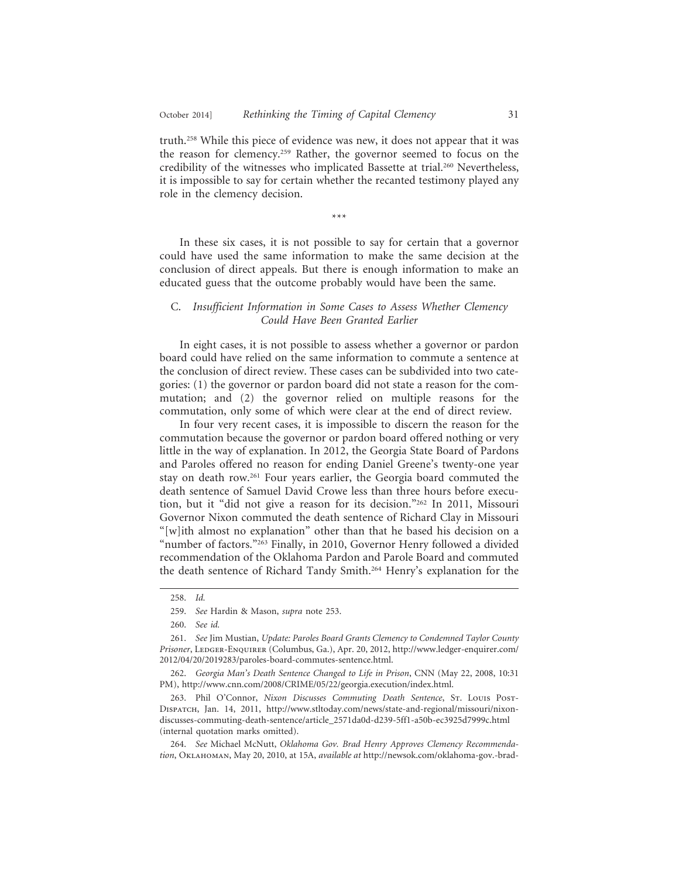truth.258 While this piece of evidence was new, it does not appear that it was the reason for clemency.259 Rather, the governor seemed to focus on the credibility of the witnesses who implicated Bassette at trial.<sup>260</sup> Nevertheless, it is impossible to say for certain whether the recanted testimony played any role in the clemency decision.

\*\*\*

In these six cases, it is not possible to say for certain that a governor could have used the same information to make the same decision at the conclusion of direct appeals. But there is enough information to make an educated guess that the outcome probably would have been the same.

# C. *Insufficient Information in Some Cases to Assess Whether Clemency Could Have Been Granted Earlier*

In eight cases, it is not possible to assess whether a governor or pardon board could have relied on the same information to commute a sentence at the conclusion of direct review. These cases can be subdivided into two categories: (1) the governor or pardon board did not state a reason for the commutation; and (2) the governor relied on multiple reasons for the commutation, only some of which were clear at the end of direct review.

In four very recent cases, it is impossible to discern the reason for the commutation because the governor or pardon board offered nothing or very little in the way of explanation. In 2012, the Georgia State Board of Pardons and Paroles offered no reason for ending Daniel Greene's twenty-one year stay on death row.261 Four years earlier, the Georgia board commuted the death sentence of Samuel David Crowe less than three hours before execution, but it "did not give a reason for its decision."262 In 2011, Missouri Governor Nixon commuted the death sentence of Richard Clay in Missouri "[w]ith almost no explanation" other than that he based his decision on a "number of factors."263 Finally, in 2010, Governor Henry followed a divided recommendation of the Oklahoma Pardon and Parole Board and commuted the death sentence of Richard Tandy Smith.264 Henry's explanation for the

<sup>258.</sup> *Id.*

<sup>259.</sup> *See* Hardin & Mason, *supra* note 253.

<sup>260.</sup> *See id.*

<sup>261.</sup> *See* Jim Mustian, *Update: Paroles Board Grants Clemency to Condemned Taylor County* Prisoner, LEDGER-ENQUIRER (Columbus, Ga.), Apr. 20, 2012, http://www.ledger-enquirer.com/ 2012/04/20/2019283/paroles-board-commutes-sentence.html.

<sup>262.</sup> *Georgia Man's Death Sentence Changed to Life in Prison*, CNN (May 22, 2008, 10:31 PM), http://www.cnn.com/2008/CRIME/05/22/georgia.execution/index.html.

<sup>263.</sup> Phil O'Connor, *Nixon Discusses Commuting Death Sentence*, Sr. Louis Post-Dispatch, Jan. 14, 2011, http://www.stltoday.com/news/state-and-regional/missouri/nixondiscusses-commuting-death-sentence/article\_2571da0d-d239-5ff1-a50b-ec3925d7999c.html (internal quotation marks omitted).

<sup>264.</sup> *See* Michael McNutt, *Oklahoma Gov. Brad Henry Approves Clemency Recommendation*, Oklahoman, May 20, 2010, at 15A, *available at* http://newsok.com/oklahoma-gov.-brad-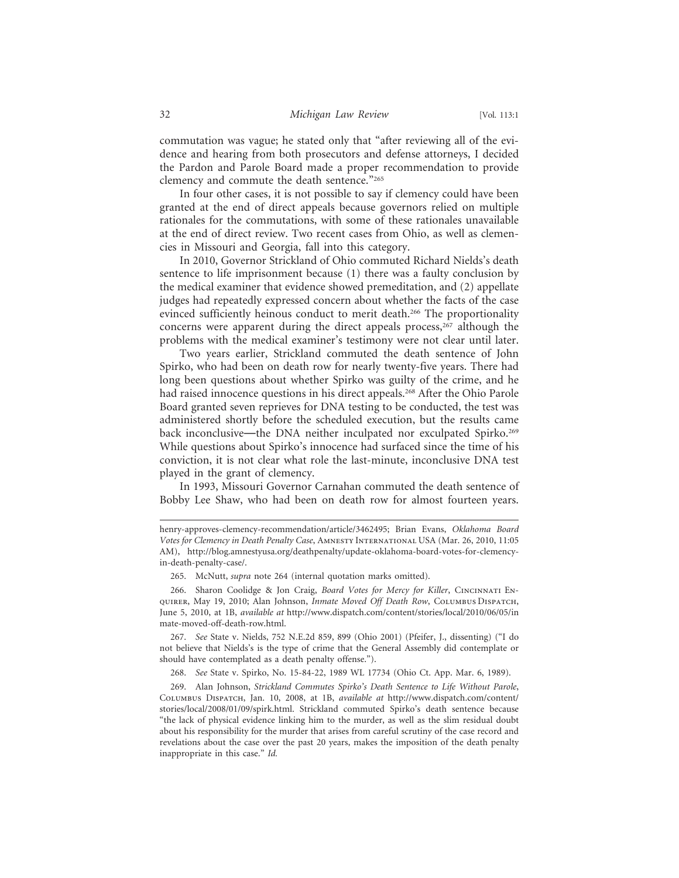commutation was vague; he stated only that "after reviewing all of the evidence and hearing from both prosecutors and defense attorneys, I decided the Pardon and Parole Board made a proper recommendation to provide clemency and commute the death sentence."265

In four other cases, it is not possible to say if clemency could have been granted at the end of direct appeals because governors relied on multiple rationales for the commutations, with some of these rationales unavailable at the end of direct review. Two recent cases from Ohio, as well as clemencies in Missouri and Georgia, fall into this category.

In 2010, Governor Strickland of Ohio commuted Richard Nields's death sentence to life imprisonment because (1) there was a faulty conclusion by the medical examiner that evidence showed premeditation, and (2) appellate judges had repeatedly expressed concern about whether the facts of the case evinced sufficiently heinous conduct to merit death.<sup>266</sup> The proportionality concerns were apparent during the direct appeals process,<sup>267</sup> although the problems with the medical examiner's testimony were not clear until later.

Two years earlier, Strickland commuted the death sentence of John Spirko, who had been on death row for nearly twenty-five years. There had long been questions about whether Spirko was guilty of the crime, and he had raised innocence questions in his direct appeals.<sup>268</sup> After the Ohio Parole Board granted seven reprieves for DNA testing to be conducted, the test was administered shortly before the scheduled execution, but the results came back inconclusive—the DNA neither inculpated nor exculpated Spirko.<sup>269</sup> While questions about Spirko's innocence had surfaced since the time of his conviction, it is not clear what role the last-minute, inconclusive DNA test played in the grant of clemency.

In 1993, Missouri Governor Carnahan commuted the death sentence of Bobby Lee Shaw, who had been on death row for almost fourteen years.

265. McNutt, *supra* note 264 (internal quotation marks omitted).

266. Sharon Coolidge & Jon Craig, *Board Votes for Mercy for Killer*, Cincinnati Enquirer, May 19, 2010; Alan Johnson, *Inmate Moved Off Death Row*, Columbus Dispatch, June 5, 2010, at 1B, *available at* http://www.dispatch.com/content/stories/local/2010/06/05/in mate-moved-off-death-row.html.

267. *See* State v. Nields, 752 N.E.2d 859, 899 (Ohio 2001) (Pfeifer, J., dissenting) ("I do not believe that Nields's is the type of crime that the General Assembly did contemplate or should have contemplated as a death penalty offense.").

268. *See* State v. Spirko, No. 15-84-22, 1989 WL 17734 (Ohio Ct. App. Mar. 6, 1989).

269. Alan Johnson, *Strickland Commutes Spirko's Death Sentence to Life Without Parole*, Columbus Dispatch, Jan. 10, 2008, at 1B, *available at* http://www.dispatch.com/content/ stories/local/2008/01/09/spirk.html. Strickland commuted Spirko's death sentence because "the lack of physical evidence linking him to the murder, as well as the slim residual doubt about his responsibility for the murder that arises from careful scrutiny of the case record and revelations about the case over the past 20 years, makes the imposition of the death penalty inappropriate in this case." *Id.*

henry-approves-clemency-recommendation/article/3462495; Brian Evans, *Oklahoma Board Votes for Clemency in Death Penalty Case*, Amnesty International USA (Mar. 26, 2010, 11:05 AM), http://blog.amnestyusa.org/deathpenalty/update-oklahoma-board-votes-for-clemencyin-death-penalty-case/.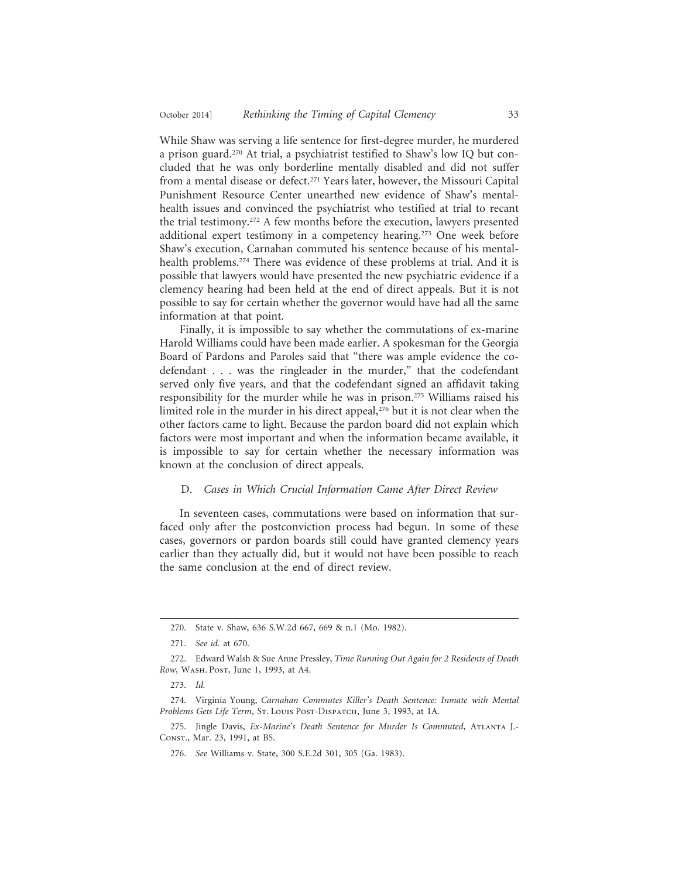While Shaw was serving a life sentence for first-degree murder, he murdered a prison guard.270 At trial, a psychiatrist testified to Shaw's low IQ but concluded that he was only borderline mentally disabled and did not suffer from a mental disease or defect.<sup>271</sup> Years later, however, the Missouri Capital Punishment Resource Center unearthed new evidence of Shaw's mentalhealth issues and convinced the psychiatrist who testified at trial to recant the trial testimony.272 A few months before the execution, lawyers presented additional expert testimony in a competency hearing.273 One week before Shaw's execution, Carnahan commuted his sentence because of his mentalhealth problems.<sup>274</sup> There was evidence of these problems at trial. And it is possible that lawyers would have presented the new psychiatric evidence if a clemency hearing had been held at the end of direct appeals. But it is not possible to say for certain whether the governor would have had all the same information at that point.

Finally, it is impossible to say whether the commutations of ex-marine Harold Williams could have been made earlier. A spokesman for the Georgia Board of Pardons and Paroles said that "there was ample evidence the codefendant . . . was the ringleader in the murder," that the codefendant served only five years, and that the codefendant signed an affidavit taking responsibility for the murder while he was in prison.275 Williams raised his limited role in the murder in his direct appeal,<sup>276</sup> but it is not clear when the other factors came to light. Because the pardon board did not explain which factors were most important and when the information became available, it is impossible to say for certain whether the necessary information was known at the conclusion of direct appeals.

#### D. *Cases in Which Crucial Information Came After Direct Review*

In seventeen cases, commutations were based on information that surfaced only after the postconviction process had begun. In some of these cases, governors or pardon boards still could have granted clemency years earlier than they actually did, but it would not have been possible to reach the same conclusion at the end of direct review.

<sup>270.</sup> State v. Shaw, 636 S.W.2d 667, 669 & n.1 (Mo. 1982).

<sup>271.</sup> *See id.* at 670.

<sup>272.</sup> Edward Walsh & Sue Anne Pressley, *Time Running Out Again for 2 Residents of Death Row*, Wash. Post, June 1, 1993, at A4.

<sup>273.</sup> *Id.*

<sup>274.</sup> Virginia Young, *Carnahan Commutes Killer's Death Sentence: Inmate with Mental* Problems Gets Life Term, St. Louis Post-Dispatch, June 3, 1993, at 1A.

<sup>275.</sup> Jingle Davis, *Ex-Marine's Death Sentence for Murder Is Commuted*, Atlanta J.- Const., Mar. 23, 1991, at B5.

<sup>276.</sup> *See* Williams v. State, 300 S.E.2d 301, 305 (Ga. 1983).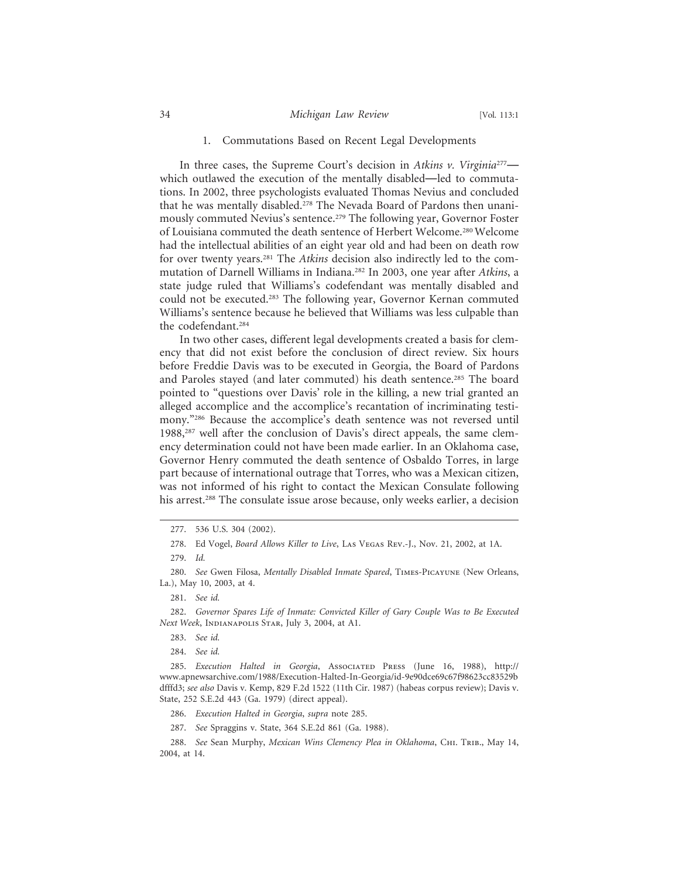#### 34 *Michigan Law Review* [Vol. 113:1

#### 1. Commutations Based on Recent Legal Developments

In three cases, the Supreme Court's decision in *Atkins v. Virginia*<sup>277</sup> which outlawed the execution of the mentally disabled—led to commutations. In 2002, three psychologists evaluated Thomas Nevius and concluded that he was mentally disabled.<sup>278</sup> The Nevada Board of Pardons then unanimously commuted Nevius's sentence.<sup>279</sup> The following year, Governor Foster of Louisiana commuted the death sentence of Herbert Welcome.280 Welcome had the intellectual abilities of an eight year old and had been on death row for over twenty years.281 The *Atkins* decision also indirectly led to the commutation of Darnell Williams in Indiana.282 In 2003, one year after *Atkins*, a state judge ruled that Williams's codefendant was mentally disabled and could not be executed.<sup>283</sup> The following year, Governor Kernan commuted Williams's sentence because he believed that Williams was less culpable than the codefendant.284

In two other cases, different legal developments created a basis for clemency that did not exist before the conclusion of direct review. Six hours before Freddie Davis was to be executed in Georgia, the Board of Pardons and Paroles stayed (and later commuted) his death sentence.<sup>285</sup> The board pointed to "questions over Davis' role in the killing, a new trial granted an alleged accomplice and the accomplice's recantation of incriminating testimony."286 Because the accomplice's death sentence was not reversed until 1988,287 well after the conclusion of Davis's direct appeals, the same clemency determination could not have been made earlier. In an Oklahoma case, Governor Henry commuted the death sentence of Osbaldo Torres, in large part because of international outrage that Torres, who was a Mexican citizen, was not informed of his right to contact the Mexican Consulate following his arrest.<sup>288</sup> The consulate issue arose because, only weeks earlier, a decision

<sup>277. 536</sup> U.S. 304 (2002).

<sup>278.</sup> Ed Vogel, *Board Allows Killer to Live*, Las Vegas Rev.-J., Nov. 21, 2002, at 1A.

<sup>279.</sup> *Id.*

<sup>280.</sup> *See* Gwen Filosa, *Mentally Disabled Inmate Spared*, Times-Picayune (New Orleans, La.), May 10, 2003, at 4.

<sup>281.</sup> *See id.*

<sup>282.</sup> *Governor Spares Life of Inmate: Convicted Killer of Gary Couple Was to Be Executed Next Week*, Indianapolis Star, July 3, 2004, at A1.

<sup>283.</sup> *See id.*

<sup>284.</sup> *See id.*

<sup>285.</sup> *Execution Halted in Georgia*, Associated Press (June 16, 1988), http:// www.apnewsarchive.com/1988/Execution-Halted-In-Georgia/id-9e90dce69c67f98623cc83529b dfffd3; *see also* Davis v. Kemp, 829 F.2d 1522 (11th Cir. 1987) (habeas corpus review); Davis v. State, 252 S.E.2d 443 (Ga. 1979) (direct appeal).

<sup>286.</sup> *Execution Halted in Georgia*, *supra* note 285.

<sup>287.</sup> *See* Spraggins v. State, 364 S.E.2d 861 (Ga. 1988).

<sup>288.</sup> *See* Sean Murphy, *Mexican Wins Clemency Plea in Oklahoma*, Chi. Trib., May 14, 2004, at 14.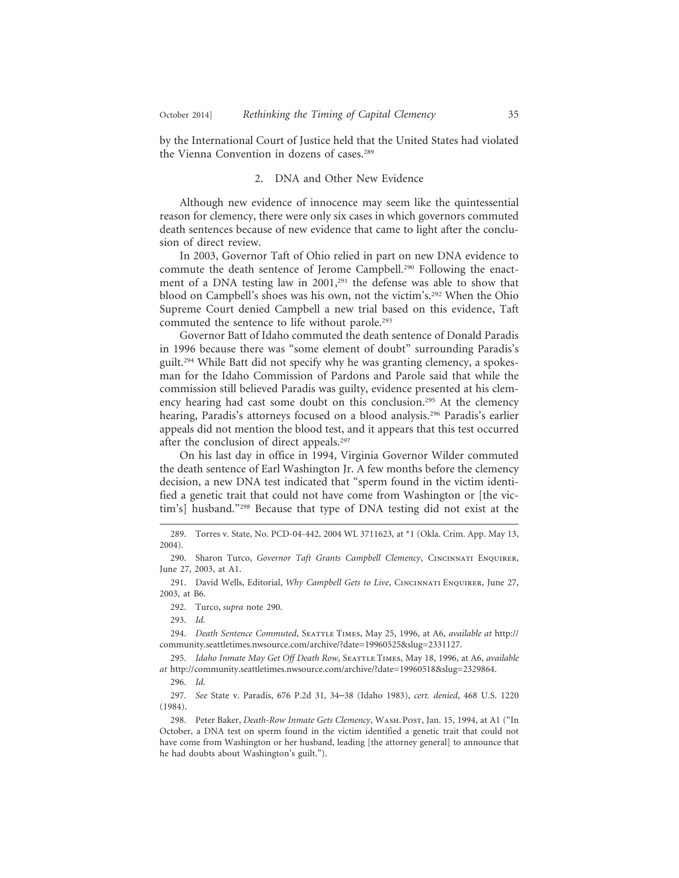by the International Court of Justice held that the United States had violated the Vienna Convention in dozens of cases.<sup>289</sup>

#### 2. DNA and Other New Evidence

Although new evidence of innocence may seem like the quintessential reason for clemency, there were only six cases in which governors commuted death sentences because of new evidence that came to light after the conclusion of direct review.

In 2003, Governor Taft of Ohio relied in part on new DNA evidence to commute the death sentence of Jerome Campbell.<sup>290</sup> Following the enactment of a DNA testing law in 2001,<sup>291</sup> the defense was able to show that blood on Campbell's shoes was his own, not the victim's.292 When the Ohio Supreme Court denied Campbell a new trial based on this evidence, Taft commuted the sentence to life without parole.293

Governor Batt of Idaho commuted the death sentence of Donald Paradis in 1996 because there was "some element of doubt" surrounding Paradis's guilt.294 While Batt did not specify why he was granting clemency, a spokesman for the Idaho Commission of Pardons and Parole said that while the commission still believed Paradis was guilty, evidence presented at his clemency hearing had cast some doubt on this conclusion.<sup>295</sup> At the clemency hearing, Paradis's attorneys focused on a blood analysis.296 Paradis's earlier appeals did not mention the blood test, and it appears that this test occurred after the conclusion of direct appeals.297

On his last day in office in 1994, Virginia Governor Wilder commuted the death sentence of Earl Washington Jr. A few months before the clemency decision, a new DNA test indicated that "sperm found in the victim identified a genetic trait that could not have come from Washington or [the victim's] husband."298 Because that type of DNA testing did not exist at the

290. Sharon Turco, *Governor Taft Grants Campbell Clemency*, Cincinnati Enquirer, June 27, 2003, at A1.

291. David Wells, Editorial, *Why Campbell Gets to Live*, CINCINNATI ENQUIRER, June 27, 2003, at B6.

293. *Id.*

294. *Death Sentence Commuted*, Seattle Times, May 25, 1996, at A6, *available at* http:// community.seattletimes.nwsource.com/archive/?date=19960525&slug=2331127.

295. *Idaho Inmate May Get Off Death Row*, SEATTLE TIMES, May 18, 1996, at A6, *available at* http://community.seattletimes.nwsource.com/archive/?date=19960518&slug=2329864.

296. *Id.*

297. *See* State v. Paradis, 676 P.2d 31, 34–38 (Idaho 1983), *cert. denied*, 468 U.S. 1220 (1984).

298. Peter Baker, *Death-Row Inmate Gets Clemency*, Wash. Post, Jan. 15, 1994, at A1 ("In October, a DNA test on sperm found in the victim identified a genetic trait that could not have come from Washington or her husband, leading [the attorney general] to announce that he had doubts about Washington's guilt.").

<sup>289.</sup> Torres v. State, No. PCD-04-442, 2004 WL 3711623, at \*1 (Okla. Crim. App. May 13, 2004).

<sup>292.</sup> Turco, *supra* note 290.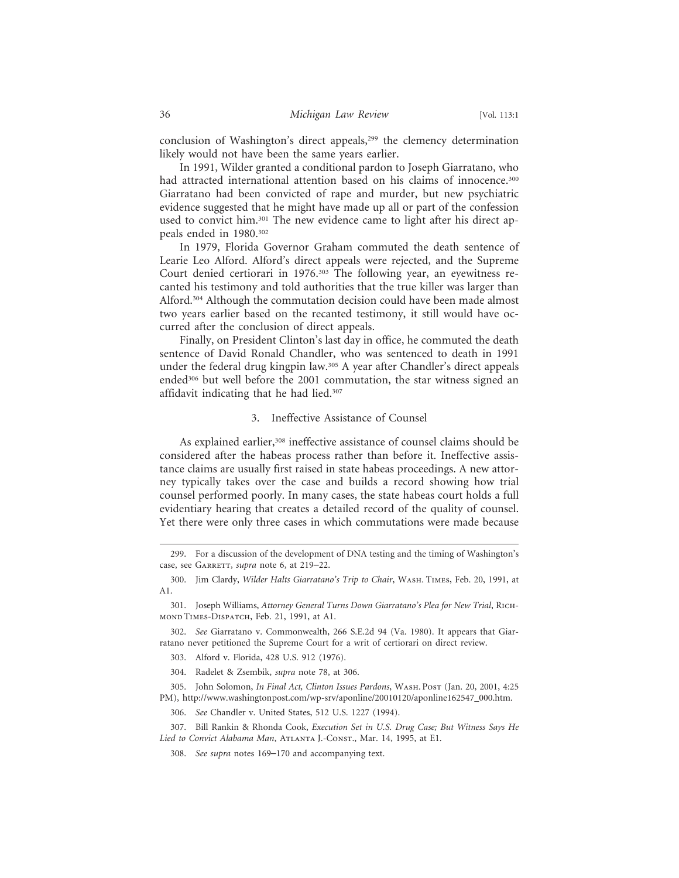conclusion of Washington's direct appeals,<sup>299</sup> the clemency determination likely would not have been the same years earlier.

In 1991, Wilder granted a conditional pardon to Joseph Giarratano, who had attracted international attention based on his claims of innocence.<sup>300</sup> Giarratano had been convicted of rape and murder, but new psychiatric evidence suggested that he might have made up all or part of the confession used to convict him.301 The new evidence came to light after his direct appeals ended in 1980.302

In 1979, Florida Governor Graham commuted the death sentence of Learie Leo Alford. Alford's direct appeals were rejected, and the Supreme Court denied certiorari in 1976.<sup>303</sup> The following year, an eyewitness recanted his testimony and told authorities that the true killer was larger than Alford.304 Although the commutation decision could have been made almost two years earlier based on the recanted testimony, it still would have occurred after the conclusion of direct appeals.

Finally, on President Clinton's last day in office, he commuted the death sentence of David Ronald Chandler, who was sentenced to death in 1991 under the federal drug kingpin law.305 A year after Chandler's direct appeals ended306 but well before the 2001 commutation, the star witness signed an affidavit indicating that he had lied.307

#### 3. Ineffective Assistance of Counsel

As explained earlier,<sup>308</sup> ineffective assistance of counsel claims should be considered after the habeas process rather than before it. Ineffective assistance claims are usually first raised in state habeas proceedings. A new attorney typically takes over the case and builds a record showing how trial counsel performed poorly. In many cases, the state habeas court holds a full evidentiary hearing that creates a detailed record of the quality of counsel. Yet there were only three cases in which commutations were made because

<sup>299.</sup> For a discussion of the development of DNA testing and the timing of Washington's case, see GARRETT, *supra* note 6, at 219-22.

<sup>300.</sup> Jim Clardy, *Wilder Halts Giarratano's Trip to Chair*, Wash. Times, Feb. 20, 1991, at A1.

<sup>301.</sup> Joseph Williams, *Attorney General Turns Down Giarratano's Plea for New Trial*, Richmond Times-Dispatch, Feb. 21, 1991, at A1.

<sup>302.</sup> *See* Giarratano v. Commonwealth, 266 S.E.2d 94 (Va. 1980). It appears that Giarratano never petitioned the Supreme Court for a writ of certiorari on direct review.

<sup>303.</sup> Alford v. Florida, 428 U.S. 912 (1976).

<sup>304.</sup> Radelet & Zsembik, *supra* note 78, at 306.

<sup>305.</sup> John Solomon, *In Final Act, Clinton Issues Pardons*, Wash. Post (Jan. 20, 2001, 4:25 PM), http://www.washingtonpost.com/wp-srv/aponline/20010120/aponline162547\_000.htm.

<sup>306.</sup> *See* Chandler v. United States, 512 U.S. 1227 (1994).

<sup>307.</sup> Bill Rankin & Rhonda Cook, *Execution Set in U.S. Drug Case; But Witness Says He* Lied to Convict Alabama Man, ATLANTA J.-CONST., Mar. 14, 1995, at E1.

<sup>308.</sup> *See supra* notes 169–170 and accompanying text.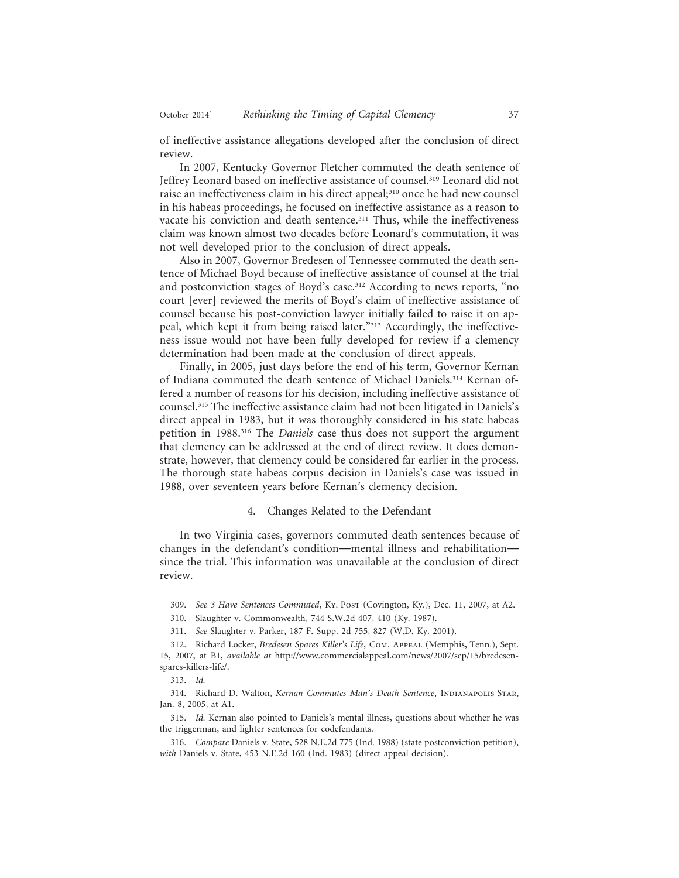of ineffective assistance allegations developed after the conclusion of direct review.

In 2007, Kentucky Governor Fletcher commuted the death sentence of Jeffrey Leonard based on ineffective assistance of counsel.309 Leonard did not raise an ineffectiveness claim in his direct appeal;<sup>310</sup> once he had new counsel in his habeas proceedings, he focused on ineffective assistance as a reason to vacate his conviction and death sentence.<sup>311</sup> Thus, while the ineffectiveness claim was known almost two decades before Leonard's commutation, it was not well developed prior to the conclusion of direct appeals.

Also in 2007, Governor Bredesen of Tennessee commuted the death sentence of Michael Boyd because of ineffective assistance of counsel at the trial and postconviction stages of Boyd's case.312 According to news reports, "no court [ever] reviewed the merits of Boyd's claim of ineffective assistance of counsel because his post-conviction lawyer initially failed to raise it on appeal, which kept it from being raised later."313 Accordingly, the ineffectiveness issue would not have been fully developed for review if a clemency determination had been made at the conclusion of direct appeals.

Finally, in 2005, just days before the end of his term, Governor Kernan of Indiana commuted the death sentence of Michael Daniels.<sup>314</sup> Kernan offered a number of reasons for his decision, including ineffective assistance of counsel.315 The ineffective assistance claim had not been litigated in Daniels's direct appeal in 1983, but it was thoroughly considered in his state habeas petition in 1988.316 The *Daniels* case thus does not support the argument that clemency can be addressed at the end of direct review. It does demonstrate, however, that clemency could be considered far earlier in the process. The thorough state habeas corpus decision in Daniels's case was issued in 1988, over seventeen years before Kernan's clemency decision.

#### 4. Changes Related to the Defendant

In two Virginia cases, governors commuted death sentences because of changes in the defendant's condition—mental illness and rehabilitation since the trial. This information was unavailable at the conclusion of direct review.

<sup>309.</sup> See 3 Have Sentences Commuted, Ky. Post (Covington, Ky.), Dec. 11, 2007, at A2.

<sup>310.</sup> Slaughter v. Commonwealth, 744 S.W.2d 407, 410 (Ky. 1987).

<sup>311.</sup> *See* Slaughter v. Parker, 187 F. Supp. 2d 755, 827 (W.D. Ky. 2001).

<sup>312.</sup> Richard Locker, *Bredesen Spares Killer's Life*, Com. Appeal (Memphis, Tenn.), Sept. 15, 2007, at B1, *available at* http://www.commercialappeal.com/news/2007/sep/15/bredesenspares-killers-life/.

<sup>313.</sup> *Id.*

<sup>314.</sup> Richard D. Walton, *Kernan Commutes Man's Death Sentence*, INDIANAPOLIS STAR, Jan. 8, 2005, at A1.

<sup>315.</sup> *Id.* Kernan also pointed to Daniels's mental illness, questions about whether he was the triggerman, and lighter sentences for codefendants.

<sup>316.</sup> *Compare* Daniels v. State, 528 N.E.2d 775 (Ind. 1988) (state postconviction petition), *with* Daniels v. State, 453 N.E.2d 160 (Ind. 1983) (direct appeal decision).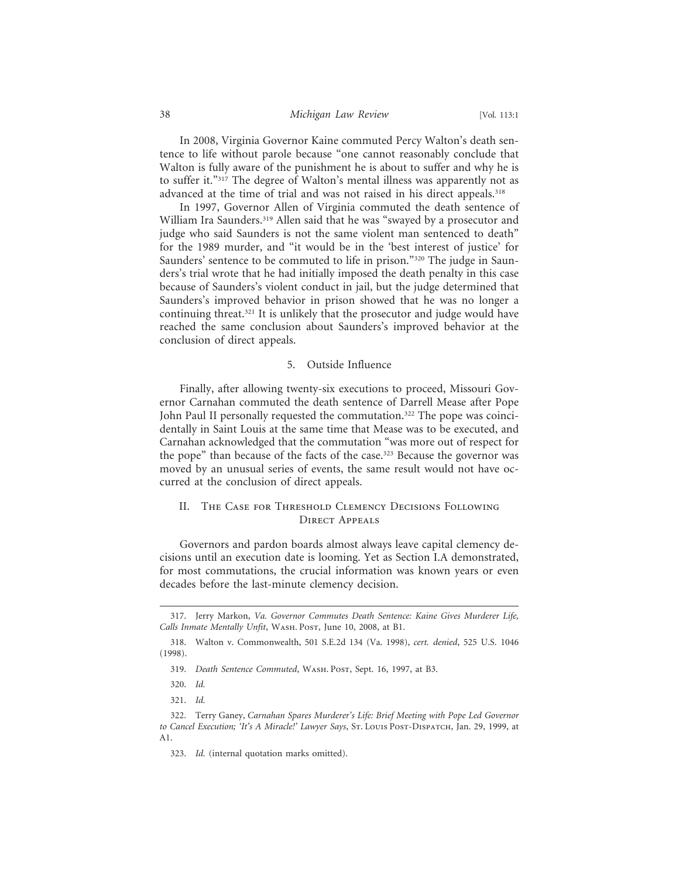In 2008, Virginia Governor Kaine commuted Percy Walton's death sentence to life without parole because "one cannot reasonably conclude that Walton is fully aware of the punishment he is about to suffer and why he is to suffer it."317 The degree of Walton's mental illness was apparently not as advanced at the time of trial and was not raised in his direct appeals.<sup>318</sup>

In 1997, Governor Allen of Virginia commuted the death sentence of William Ira Saunders.<sup>319</sup> Allen said that he was "swayed by a prosecutor and judge who said Saunders is not the same violent man sentenced to death" for the 1989 murder, and "it would be in the 'best interest of justice' for Saunders' sentence to be commuted to life in prison."<sup>320</sup> The judge in Saunders's trial wrote that he had initially imposed the death penalty in this case because of Saunders's violent conduct in jail, but the judge determined that Saunders's improved behavior in prison showed that he was no longer a continuing threat.321 It is unlikely that the prosecutor and judge would have reached the same conclusion about Saunders's improved behavior at the conclusion of direct appeals.

#### 5. Outside Influence

Finally, after allowing twenty-six executions to proceed, Missouri Governor Carnahan commuted the death sentence of Darrell Mease after Pope John Paul II personally requested the commutation.322 The pope was coincidentally in Saint Louis at the same time that Mease was to be executed, and Carnahan acknowledged that the commutation "was more out of respect for the pope" than because of the facts of the case.<sup>323</sup> Because the governor was moved by an unusual series of events, the same result would not have occurred at the conclusion of direct appeals.

# II. The Case for Threshold Clemency Decisions Following Direct Appeals

Governors and pardon boards almost always leave capital clemency decisions until an execution date is looming. Yet as Section I.A demonstrated, for most commutations, the crucial information was known years or even decades before the last-minute clemency decision.

<sup>317.</sup> Jerry Markon, *Va. Governor Commutes Death Sentence: Kaine Gives Murderer Life, Calls Inmate Mentally Unfit*, Wash. Post, June 10, 2008, at B1.

<sup>318.</sup> Walton v. Commonwealth, 501 S.E.2d 134 (Va. 1998), *cert. denied*, 525 U.S. 1046 (1998).

<sup>319.</sup> *Death Sentence Commuted*, WASH. Post, Sept. 16, 1997, at B3.

<sup>320.</sup> *Id.*

<sup>321.</sup> *Id.*

<sup>322.</sup> Terry Ganey, *Carnahan Spares Murderer's Life: Brief Meeting with Pope Led Governor* to Cancel Execution; 'It's A Miracle!' Lawyer Says, Sr. Louis Post-Dispatch, Jan. 29, 1999, at A1.

<sup>323.</sup> *Id.* (internal quotation marks omitted).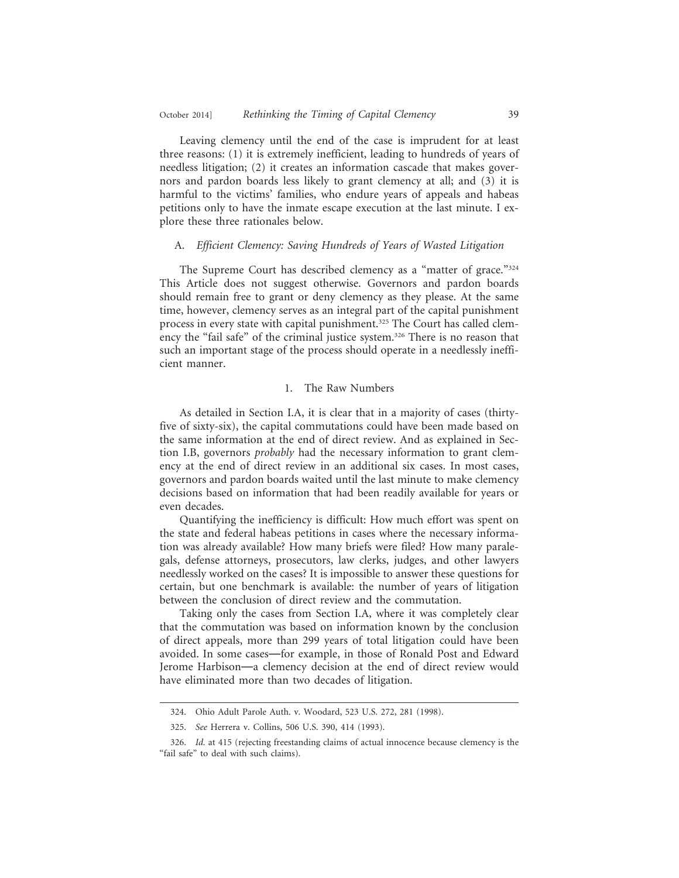Leaving clemency until the end of the case is imprudent for at least three reasons: (1) it is extremely inefficient, leading to hundreds of years of needless litigation; (2) it creates an information cascade that makes governors and pardon boards less likely to grant clemency at all; and (3) it is harmful to the victims' families, who endure years of appeals and habeas petitions only to have the inmate escape execution at the last minute. I explore these three rationales below.

#### A. *Efficient Clemency: Saving Hundreds of Years of Wasted Litigation*

The Supreme Court has described clemency as a "matter of grace."<sup>324</sup> This Article does not suggest otherwise. Governors and pardon boards should remain free to grant or deny clemency as they please. At the same time, however, clemency serves as an integral part of the capital punishment process in every state with capital punishment.<sup>325</sup> The Court has called clemency the "fail safe" of the criminal justice system.<sup>326</sup> There is no reason that such an important stage of the process should operate in a needlessly inefficient manner.

#### 1. The Raw Numbers

As detailed in Section I.A, it is clear that in a majority of cases (thirtyfive of sixty-six), the capital commutations could have been made based on the same information at the end of direct review. And as explained in Section I.B, governors *probably* had the necessary information to grant clemency at the end of direct review in an additional six cases. In most cases, governors and pardon boards waited until the last minute to make clemency decisions based on information that had been readily available for years or even decades.

Quantifying the inefficiency is difficult: How much effort was spent on the state and federal habeas petitions in cases where the necessary information was already available? How many briefs were filed? How many paralegals, defense attorneys, prosecutors, law clerks, judges, and other lawyers needlessly worked on the cases? It is impossible to answer these questions for certain, but one benchmark is available: the number of years of litigation between the conclusion of direct review and the commutation.

Taking only the cases from Section I.A, where it was completely clear that the commutation was based on information known by the conclusion of direct appeals, more than 299 years of total litigation could have been avoided. In some cases—for example, in those of Ronald Post and Edward Jerome Harbison—a clemency decision at the end of direct review would have eliminated more than two decades of litigation.

<sup>324.</sup> Ohio Adult Parole Auth. v. Woodard, 523 U.S. 272, 281 (1998).

<sup>325.</sup> *See* Herrera v. Collins, 506 U.S. 390, 414 (1993).

<sup>326.</sup> *Id.* at 415 (rejecting freestanding claims of actual innocence because clemency is the "fail safe" to deal with such claims).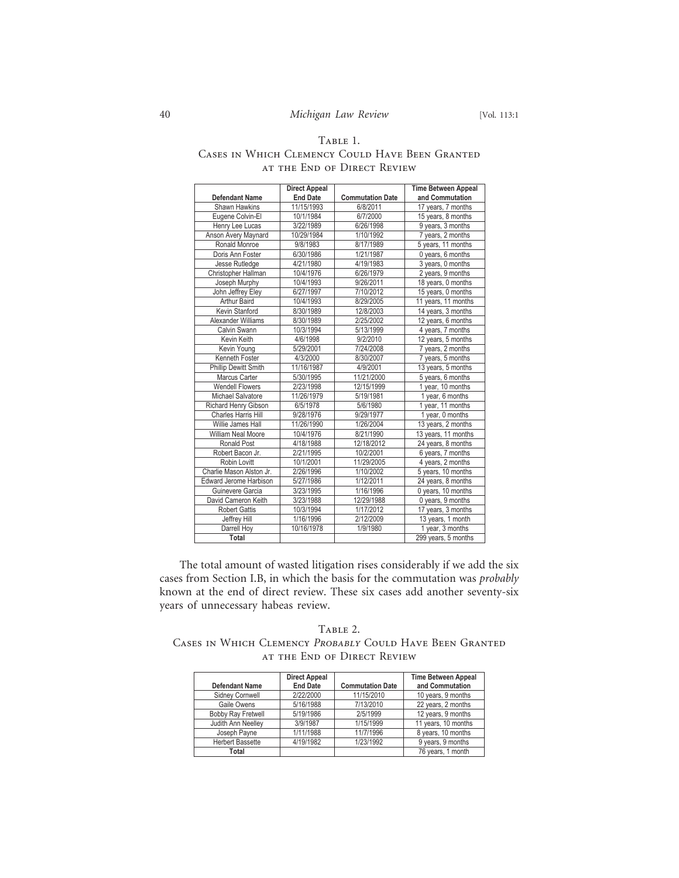# TABLE 1. Cases in Which Clemency Could Have Been Granted at the End of Direct Review

|                            | <b>Direct Appeal</b> |                              | <b>Time Between Appeal</b> |  |
|----------------------------|----------------------|------------------------------|----------------------------|--|
| <b>Defendant Name</b>      | <b>End Date</b>      | <b>Commutation Date</b>      | and Commutation            |  |
| <b>Shawn Hawkins</b>       | 11/15/1993           | 6/8/2011                     | 17 years, 7 months         |  |
| Eugene Colvin-El           | 10/1/1984            | 6/7/2000                     | 15 years, 8 months         |  |
| Henry Lee Lucas            | 3/22/1989            | 6/26/1998                    | 9 years, 3 months          |  |
| Anson Avery Maynard        | 10/29/1984           | 1/10/1992                    | 7 years, 2 months          |  |
| Ronald Monroe              | 9/8/1983             | 8/17/1989                    | 5 years, 11 months         |  |
| Doris Ann Foster           | 6/30/1986            | 1/21/1987                    | 0 years, 6 months          |  |
| Jesse Rutledge             | 4/21/1980            | 4/19/1983                    | 3 years, 0 months          |  |
| Christopher Hallman        | 10/4/1976            | 6/26/1979                    | 2 years, 9 months          |  |
| Joseph Murphy              | 10/4/1993            | 9/26/2011                    | 18 years, 0 months         |  |
| John Jeffrey Eley          | 6/27/1997            | 7/10/2012                    | 15 years, 0 months         |  |
| <b>Arthur Baird</b>        | 10/4/1993            | 8/29/2005                    | 11 years, 11 months        |  |
| Kevin Stanford             | 8/30/1989            | 12/8/2003                    | 14 years, 3 months         |  |
| Alexander Williams         | 8/30/1989            | 2/25/2002                    | 12 years, 6 months         |  |
| Calvin Swann               | 10/3/1994            | 5/13/1999                    | 4 years, 7 months          |  |
| Kevin Keith                | 4/6/1998             | 9/2/2010                     | 12 years, 5 months         |  |
| Kevin Young                | 5/29/2001            | 7/24/2008                    | 7 years, 2 months          |  |
| Kenneth Foster             | 4/3/2000             | 8/30/2007                    | 7 years, 5 months          |  |
| Phillip Dewitt Smith       | 11/16/1987           | 4/9/2001                     | 13 years, 5 months         |  |
| Marcus Carter              | 5/30/1995            | 11/21/2000                   | 5 years, 6 months          |  |
| <b>Wendell Flowers</b>     | 2/23/1998            | 12/15/1999                   | 1 year, 10 months          |  |
| Michael Salvatore          | 11/26/1979           | 5/19/1981                    | 1 year, 6 months           |  |
| Richard Henry Gibson       | 6/5/1978             | 5/6/1980                     | 1 year, 11 months          |  |
| <b>Charles Harris Hill</b> | 9/28/1976            | 9/29/1977                    | 1 year, 0 months           |  |
| Willie James Hall          | 11/26/1990           | 1/26/2004                    | 13 years, 2 months         |  |
| William Neal Moore         | 10/4/1976            | 8/21/1990                    | 13 years, 11 months        |  |
| <b>Ronald Post</b>         | 4/18/1988            | 12/18/2012                   | 24 years, 8 months         |  |
| Robert Bacon Jr.           | 2/21/1995            | 10/2/2001                    | 6 years, 7 months          |  |
| Robin Lovitt               | 10/1/2001            | 11/29/2005                   | 4 years, 2 months          |  |
| Charlie Mason Alston Jr.   | 2/26/1996            | 1/10/2002                    | 5 years, 10 months         |  |
| Edward Jerome Harbison     | 5/27/1986            | 1/12/2011                    | 24 years, 8 months         |  |
| Guinevere Garcia           | 3/23/1995            | 1/16/1996                    | 0 years, 10 months         |  |
| David Cameron Keith        | 3/23/1988            | 12/29/1988                   | 0 years, 9 months          |  |
| <b>Robert Gattis</b>       | 10/3/1994            | 1/17/2012                    | 17 years, 3 months         |  |
| Jeffrey Hill               | 1/16/1996            | 2/12/2009                    | 13 years, 1 month          |  |
| Darrell Hoy                | 10/16/1978           | 1 year, 3 months<br>1/9/1980 |                            |  |
| Total                      |                      |                              | 299 years, 5 months        |  |

The total amount of wasted litigation rises considerably if we add the six cases from Section I.B, in which the basis for the commutation was *probably* known at the end of direct review. These six cases add another seventy-six years of unnecessary habeas review.

Table 2. Cases in Which Clemency *Probably* Could Have Been Granted at the End of Direct Review

| <b>Defendant Name</b>     | <b>Direct Appeal</b><br><b>End Date</b> | <b>Commutation Date</b> | <b>Time Between Appeal</b><br>and Commutation |
|---------------------------|-----------------------------------------|-------------------------|-----------------------------------------------|
|                           | 2/22/2000                               | 11/15/2010              |                                               |
| <b>Sidney Cornwell</b>    |                                         |                         | 10 years, 9 months                            |
| Gaile Owens               | 5/16/1988                               | 7/13/2010               | 22 years, 2 months                            |
| <b>Bobby Ray Fretwell</b> | 5/19/1986                               | 2/5/1999                | 12 years, 9 months                            |
| Judith Ann Neellev        | 3/9/1987                                | 1/15/1999               | 11 years, 10 months                           |
| Joseph Payne              | 1/11/1988                               | 11/7/1996               | 8 years, 10 months                            |
| <b>Herbert Bassette</b>   | 4/19/1982                               | 1/23/1992               | 9 years, 9 months                             |
| Total                     |                                         |                         | 76 years, 1 month                             |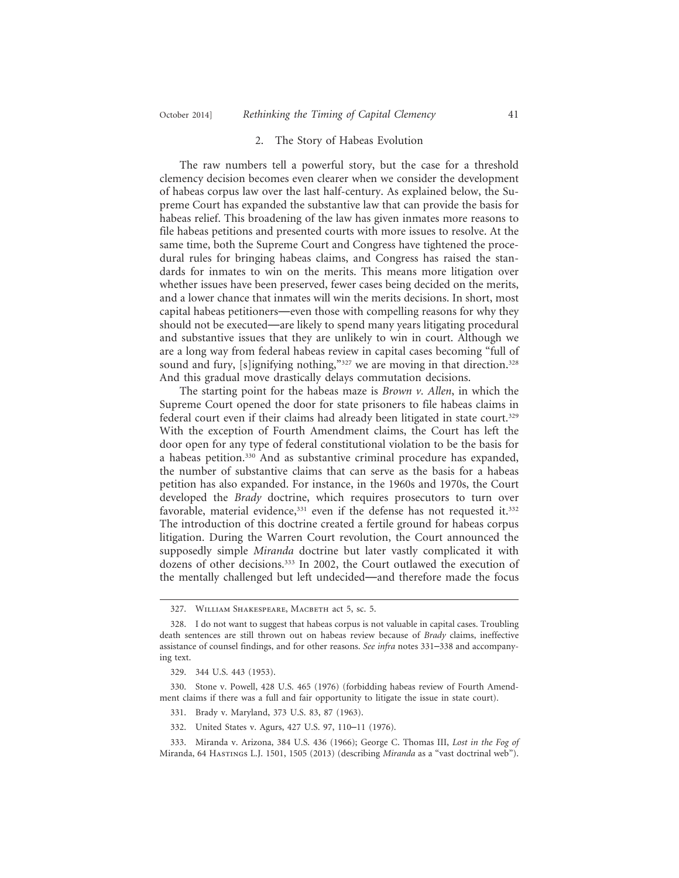# 2. The Story of Habeas Evolution

The raw numbers tell a powerful story, but the case for a threshold clemency decision becomes even clearer when we consider the development of habeas corpus law over the last half-century. As explained below, the Supreme Court has expanded the substantive law that can provide the basis for habeas relief. This broadening of the law has given inmates more reasons to file habeas petitions and presented courts with more issues to resolve. At the same time, both the Supreme Court and Congress have tightened the procedural rules for bringing habeas claims, and Congress has raised the standards for inmates to win on the merits. This means more litigation over whether issues have been preserved, fewer cases being decided on the merits, and a lower chance that inmates will win the merits decisions. In short, most capital habeas petitioners—even those with compelling reasons for why they should not be executed—are likely to spend many years litigating procedural and substantive issues that they are unlikely to win in court. Although we are a long way from federal habeas review in capital cases becoming "full of sound and fury, [s]ignifying nothing,"327 we are moving in that direction.<sup>328</sup> And this gradual move drastically delays commutation decisions.

The starting point for the habeas maze is *Brown v. Allen*, in which the Supreme Court opened the door for state prisoners to file habeas claims in federal court even if their claims had already been litigated in state court.329 With the exception of Fourth Amendment claims, the Court has left the door open for any type of federal constitutional violation to be the basis for a habeas petition.<sup>330</sup> And as substantive criminal procedure has expanded, the number of substantive claims that can serve as the basis for a habeas petition has also expanded. For instance, in the 1960s and 1970s, the Court developed the *Brady* doctrine, which requires prosecutors to turn over favorable, material evidence, $331$  even if the defense has not requested it. $332$ The introduction of this doctrine created a fertile ground for habeas corpus litigation. During the Warren Court revolution, the Court announced the supposedly simple *Miranda* doctrine but later vastly complicated it with dozens of other decisions.333 In 2002, the Court outlawed the execution of the mentally challenged but left undecided—and therefore made the focus

<sup>327.</sup> William Shakespeare, Macbeth act 5, sc. 5.

<sup>328.</sup> I do not want to suggest that habeas corpus is not valuable in capital cases. Troubling death sentences are still thrown out on habeas review because of *Brady* claims, ineffective assistance of counsel findings, and for other reasons. *See infra* notes 331–338 and accompanying text.

<sup>329. 344</sup> U.S. 443 (1953).

<sup>330.</sup> Stone v. Powell, 428 U.S. 465 (1976) (forbidding habeas review of Fourth Amendment claims if there was a full and fair opportunity to litigate the issue in state court).

<sup>331.</sup> Brady v. Maryland, 373 U.S. 83, 87 (1963).

<sup>332.</sup> United States v. Agurs, 427 U.S. 97, 110–11 (1976).

<sup>333.</sup> Miranda v. Arizona, 384 U.S. 436 (1966); George C. Thomas III, *Lost in the Fog of* Miranda, 64 Hastings L.J. 1501, 1505 (2013) (describing *Miranda* as a "vast doctrinal web").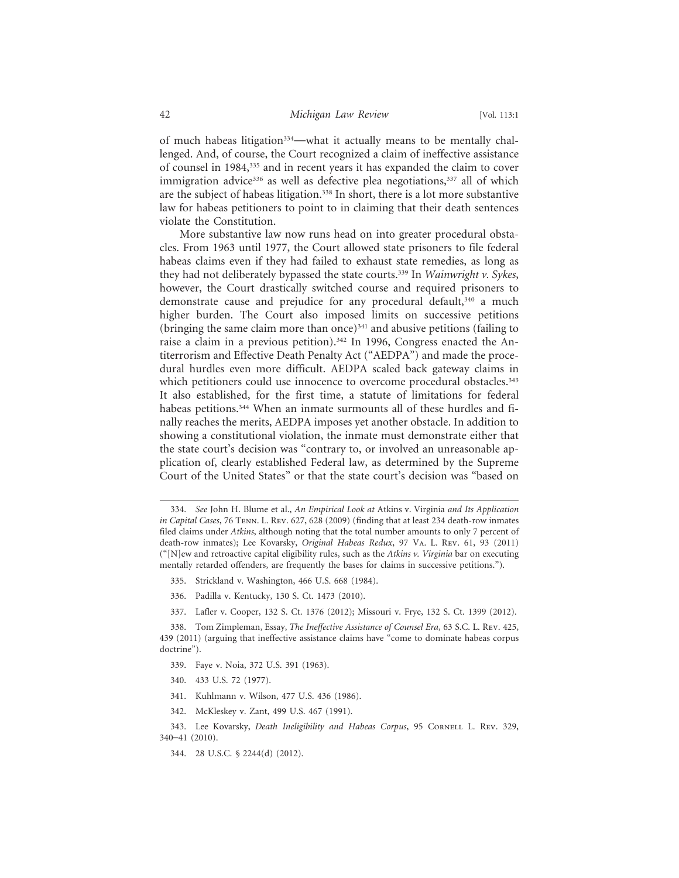of much habeas litigation<sup>334</sup>—what it actually means to be mentally challenged. And, of course, the Court recognized a claim of ineffective assistance of counsel in 1984,335 and in recent years it has expanded the claim to cover immigration advice<sup>336</sup> as well as defective plea negotiations, $337$  all of which are the subject of habeas litigation.<sup>338</sup> In short, there is a lot more substantive law for habeas petitioners to point to in claiming that their death sentences violate the Constitution.

More substantive law now runs head on into greater procedural obstacles. From 1963 until 1977, the Court allowed state prisoners to file federal habeas claims even if they had failed to exhaust state remedies, as long as they had not deliberately bypassed the state courts.339 In *Wainwright v. Sykes*, however, the Court drastically switched course and required prisoners to demonstrate cause and prejudice for any procedural default,<sup>340</sup> a much higher burden. The Court also imposed limits on successive petitions (bringing the same claim more than once)<sup>341</sup> and abusive petitions (failing to raise a claim in a previous petition).342 In 1996, Congress enacted the Antiterrorism and Effective Death Penalty Act ("AEDPA") and made the procedural hurdles even more difficult. AEDPA scaled back gateway claims in which petitioners could use innocence to overcome procedural obstacles.<sup>343</sup> It also established, for the first time, a statute of limitations for federal habeas petitions.<sup>344</sup> When an inmate surmounts all of these hurdles and finally reaches the merits, AEDPA imposes yet another obstacle. In addition to showing a constitutional violation, the inmate must demonstrate either that the state court's decision was "contrary to, or involved an unreasonable application of, clearly established Federal law, as determined by the Supreme Court of the United States" or that the state court's decision was "based on

336. Padilla v. Kentucky, 130 S. Ct. 1473 (2010).

- 339. Faye v. Noia, 372 U.S. 391 (1963).
- 340. 433 U.S. 72 (1977).
- 341. Kuhlmann v. Wilson, 477 U.S. 436 (1986).
- 342. McKleskey v. Zant, 499 U.S. 467 (1991).

<sup>334.</sup> *See* John H. Blume et al., *An Empirical Look at* Atkins v. Virginia *and Its Application in Capital Cases*, 76 Tenn. L. Rev. 627, 628 (2009) (finding that at least 234 death-row inmates filed claims under *Atkins*, although noting that the total number amounts to only 7 percent of death-row inmates); Lee Kovarsky, *Original Habeas Redux*, 97 Va. L. Rev. 61, 93 (2011) ("[N]ew and retroactive capital eligibility rules, such as the *Atkins v. Virginia* bar on executing mentally retarded offenders, are frequently the bases for claims in successive petitions.").

<sup>335.</sup> Strickland v. Washington, 466 U.S. 668 (1984).

<sup>337.</sup> Lafler v. Cooper, 132 S. Ct. 1376 (2012); Missouri v. Frye, 132 S. Ct. 1399 (2012).

<sup>338.</sup> Tom Zimpleman, Essay, *The Ineffective Assistance of Counsel Era*, 63 S.C. L. Rev. 425, 439 (2011) (arguing that ineffective assistance claims have "come to dominate habeas corpus doctrine").

<sup>343.</sup> Lee Kovarsky, *Death Ineligibility and Habeas Corpus*, 95 Cornell L. Rev. 329, 340–41 (2010).

<sup>344. 28</sup> U.S.C. § 2244(d) (2012).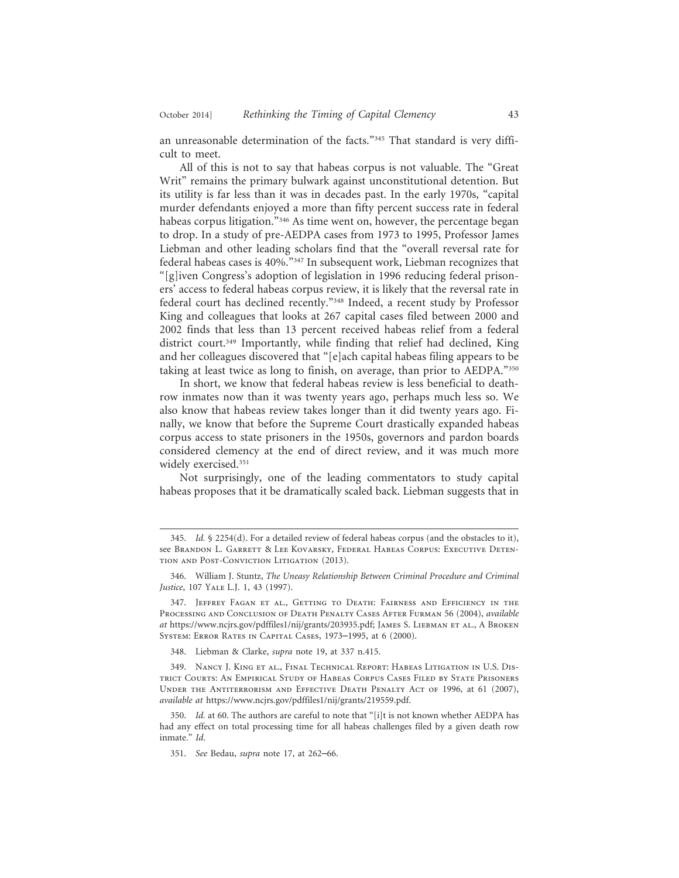an unreasonable determination of the facts."<sup>345</sup> That standard is very difficult to meet.

All of this is not to say that habeas corpus is not valuable. The "Great Writ" remains the primary bulwark against unconstitutional detention. But its utility is far less than it was in decades past. In the early 1970s, "capital murder defendants enjoyed a more than fifty percent success rate in federal habeas corpus litigation."346 As time went on, however, the percentage began to drop. In a study of pre-AEDPA cases from 1973 to 1995, Professor James Liebman and other leading scholars find that the "overall reversal rate for federal habeas cases is 40%."347 In subsequent work, Liebman recognizes that "[g]iven Congress's adoption of legislation in 1996 reducing federal prisoners' access to federal habeas corpus review, it is likely that the reversal rate in federal court has declined recently."348 Indeed, a recent study by Professor King and colleagues that looks at 267 capital cases filed between 2000 and 2002 finds that less than 13 percent received habeas relief from a federal district court.<sup>349</sup> Importantly, while finding that relief had declined, King and her colleagues discovered that "[e]ach capital habeas filing appears to be taking at least twice as long to finish, on average, than prior to AEDPA."350

In short, we know that federal habeas review is less beneficial to deathrow inmates now than it was twenty years ago, perhaps much less so. We also know that habeas review takes longer than it did twenty years ago. Finally, we know that before the Supreme Court drastically expanded habeas corpus access to state prisoners in the 1950s, governors and pardon boards considered clemency at the end of direct review, and it was much more widely exercised.351

Not surprisingly, one of the leading commentators to study capital habeas proposes that it be dramatically scaled back. Liebman suggests that in

<sup>345.</sup> *Id.* § 2254(d). For a detailed review of federal habeas corpus (and the obstacles to it), see Brandon L. Garrett & Lee Kovarsky, Federal Habeas Corpus: Executive Detention and Post-Conviction Litigation (2013).

<sup>346.</sup> William J. Stuntz, *The Uneasy Relationship Between Criminal Procedure and Criminal Justice*, 107 YALE L.J. 1, 43 (1997).

<sup>347.</sup> Jeffrey Fagan et al., Getting to Death: Fairness and Efficiency in the Processing and Conclusion of Death Penalty Cases After Furman 56 (2004), *available at* https://www.ncjrs.gov/pdffiles1/nij/grants/203935.pdf; James S. Liebman et al., A Broken System: Error Rates in Capital Cases, 1973–1995, at 6 (2000).

<sup>348.</sup> Liebman & Clarke, *supra* note 19, at 337 n.415.

<sup>349.</sup> Nancy J. King et al., Final Technical Report: Habeas Litigation in U.S. District Courts: An Empirical Study of Habeas Corpus Cases Filed by State Prisoners Under the Antiterrorism and Effective Death Penalty Act of 1996, at 61 (2007), *available at* https://www.ncjrs.gov/pdffiles1/nij/grants/219559.pdf.

<sup>350.</sup> *Id.* at 60. The authors are careful to note that "[i]t is not known whether AEDPA has had any effect on total processing time for all habeas challenges filed by a given death row inmate." *Id*.

<sup>351.</sup> *See* Bedau, *supra* note 17, at 262–66.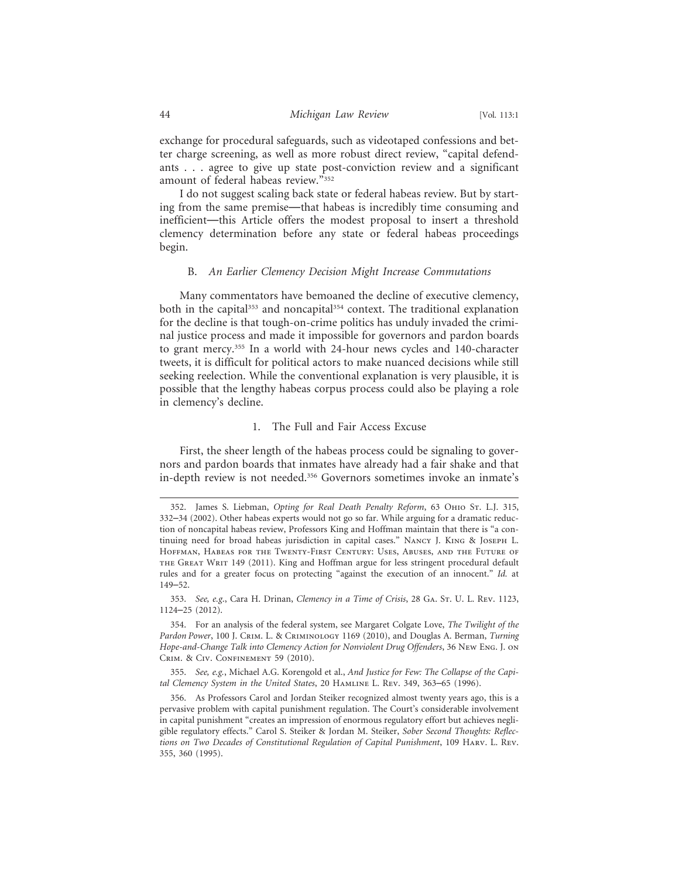exchange for procedural safeguards, such as videotaped confessions and better charge screening, as well as more robust direct review, "capital defendants . . . agree to give up state post-conviction review and a significant amount of federal habeas review."352

I do not suggest scaling back state or federal habeas review. But by starting from the same premise—that habeas is incredibly time consuming and inefficient—this Article offers the modest proposal to insert a threshold clemency determination before any state or federal habeas proceedings begin.

#### B. *An Earlier Clemency Decision Might Increase Commutations*

Many commentators have bemoaned the decline of executive clemency, both in the capital<sup>353</sup> and noncapital<sup>354</sup> context. The traditional explanation for the decline is that tough-on-crime politics has unduly invaded the criminal justice process and made it impossible for governors and pardon boards to grant mercy.355 In a world with 24-hour news cycles and 140-character tweets, it is difficult for political actors to make nuanced decisions while still seeking reelection. While the conventional explanation is very plausible, it is possible that the lengthy habeas corpus process could also be playing a role in clemency's decline.

#### 1. The Full and Fair Access Excuse

First, the sheer length of the habeas process could be signaling to governors and pardon boards that inmates have already had a fair shake and that in-depth review is not needed.356 Governors sometimes invoke an inmate's

<sup>352.</sup> James S. Liebman, *Opting for Real Death Penalty Reform*, 63 Ohio St. L.J. 315, 332–34 (2002). Other habeas experts would not go so far. While arguing for a dramatic reduction of noncapital habeas review, Professors King and Hoffman maintain that there is "a continuing need for broad habeas jurisdiction in capital cases." Nancy J. King & Joseph L. Hoffman, Habeas for the Twenty-First Century: Uses, Abuses, and the Future of the Great Writ 149 (2011). King and Hoffman argue for less stringent procedural default rules and for a greater focus on protecting "against the execution of an innocent." *Id.* at 149–52.

<sup>353.</sup> *See, e.g*., Cara H. Drinan, *Clemency in a Time of Crisis*, 28 Ga. St. U. L. Rev. 1123, 1124–25 (2012).

<sup>354.</sup> For an analysis of the federal system, see Margaret Colgate Love, *The Twilight of the Pardon Power*, 100 J. Crim. L. & Criminology 1169 (2010), and Douglas A. Berman, *Turning Hope-and-Change Talk into Clemency Action for Nonviolent Drug Offenders*, 36 New Eng. J. on Crim. & Civ. Confinement 59 (2010).

<sup>355.</sup> *See, e.g.*, Michael A.G. Korengold et al., *And Justice for Few: The Collapse of the Capital Clemency System in the United States*, 20 Hamline L. Rev. 349, 363–65 (1996).

<sup>356.</sup> As Professors Carol and Jordan Steiker recognized almost twenty years ago, this is a pervasive problem with capital punishment regulation. The Court's considerable involvement in capital punishment "creates an impression of enormous regulatory effort but achieves negligible regulatory effects." Carol S. Steiker & Jordan M. Steiker, *Sober Second Thoughts: Reflections on Two Decades of Constitutional Regulation of Capital Punishment*, 109 Harv. L. Rev. 355, 360 (1995).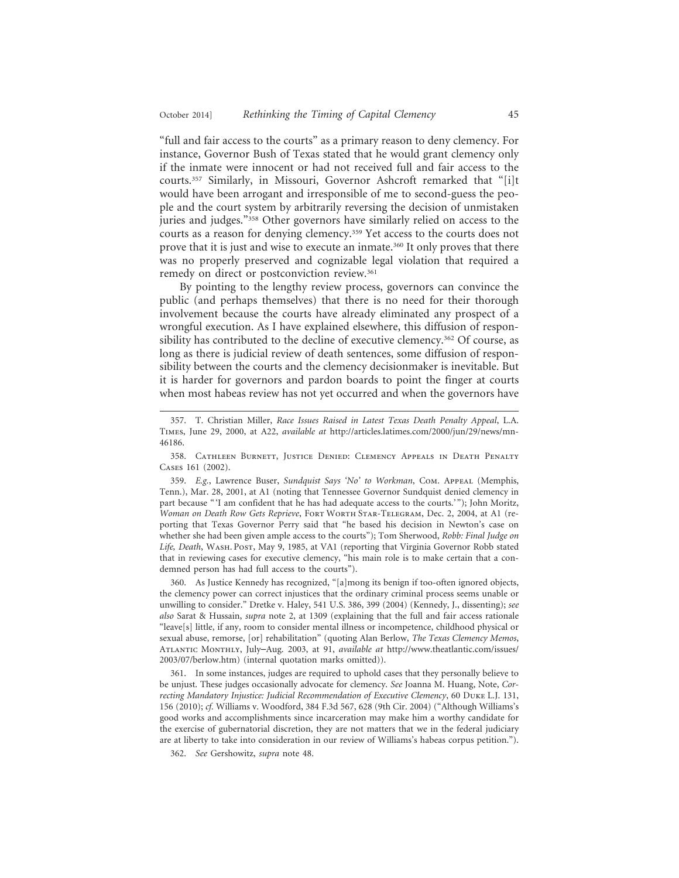"full and fair access to the courts" as a primary reason to deny clemency. For instance, Governor Bush of Texas stated that he would grant clemency only if the inmate were innocent or had not received full and fair access to the courts.357 Similarly, in Missouri, Governor Ashcroft remarked that "[i]t would have been arrogant and irresponsible of me to second-guess the people and the court system by arbitrarily reversing the decision of unmistaken juries and judges."358 Other governors have similarly relied on access to the courts as a reason for denying clemency.359 Yet access to the courts does not prove that it is just and wise to execute an inmate.<sup>360</sup> It only proves that there was no properly preserved and cognizable legal violation that required a remedy on direct or postconviction review.<sup>361</sup>

By pointing to the lengthy review process, governors can convince the public (and perhaps themselves) that there is no need for their thorough involvement because the courts have already eliminated any prospect of a wrongful execution. As I have explained elsewhere, this diffusion of responsibility has contributed to the decline of executive clemency.<sup>362</sup> Of course, as long as there is judicial review of death sentences, some diffusion of responsibility between the courts and the clemency decisionmaker is inevitable. But it is harder for governors and pardon boards to point the finger at courts when most habeas review has not yet occurred and when the governors have

360. As Justice Kennedy has recognized, "[a]mong its benign if too-often ignored objects, the clemency power can correct injustices that the ordinary criminal process seems unable or unwilling to consider." Dretke v. Haley, 541 U.S. 386, 399 (2004) (Kennedy, J., dissenting); *see also* Sarat & Hussain, *supra* note 2, at 1309 (explaining that the full and fair access rationale "leave[s] little, if any, room to consider mental illness or incompetence, childhood physical or sexual abuse, remorse, [or] rehabilitation" (quoting Alan Berlow, *The Texas Clemency Memos*, Atlantic Monthly, July–Aug. 2003, at 91, *available at* http://www.theatlantic.com/issues/ 2003/07/berlow.htm) (internal quotation marks omitted)).

361. In some instances, judges are required to uphold cases that they personally believe to be unjust. These judges occasionally advocate for clemency. *See* Joanna M. Huang, Note, *Correcting Mandatory Injustice: Judicial Recommendation of Executive Clemency*, 60 Duke L.J. 131, 156 (2010); *cf.* Williams v. Woodford, 384 F.3d 567, 628 (9th Cir. 2004) ("Although Williams's good works and accomplishments since incarceration may make him a worthy candidate for the exercise of gubernatorial discretion, they are not matters that we in the federal judiciary are at liberty to take into consideration in our review of Williams's habeas corpus petition.").

362. *See* Gershowitz, *supra* note 48.

<sup>357.</sup> T. Christian Miller, *Race Issues Raised in Latest Texas Death Penalty Appeal*, L.A. Times, June 29, 2000, at A22, *available at* http://articles.latimes.com/2000/jun/29/news/mn-46186.

<sup>358.</sup> Cathleen Burnett, Justice Denied: Clemency Appeals in Death Penalty Cases 161 (2002).

<sup>359.</sup> *E.g.*, Lawrence Buser, *Sundquist Says 'No' to Workman*, Com. Appeal (Memphis, Tenn.), Mar. 28, 2001, at A1 (noting that Tennessee Governor Sundquist denied clemency in part because " 'I am confident that he has had adequate access to the courts.' "); John Moritz, *Woman on Death Row Gets Reprieve, FORT WORTH STAR-TELEGRAM, Dec. 2, 2004, at A1 (re*porting that Texas Governor Perry said that "he based his decision in Newton's case on whether she had been given ample access to the courts"); Tom Sherwood, *Robb: Final Judge on* Life, Death, WASH. POST, May 9, 1985, at VA1 (reporting that Virginia Governor Robb stated that in reviewing cases for executive clemency, "his main role is to make certain that a condemned person has had full access to the courts").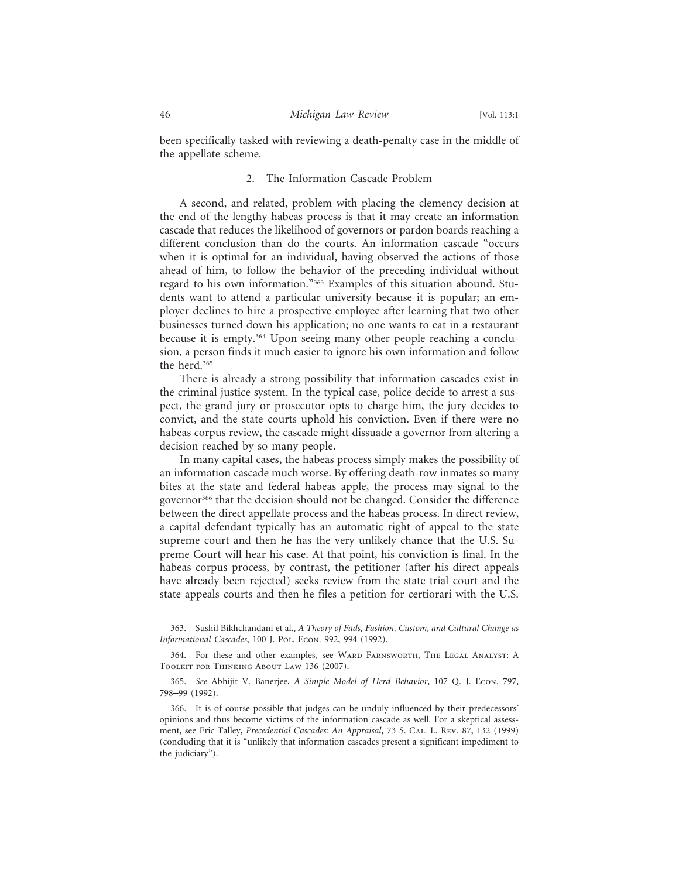been specifically tasked with reviewing a death-penalty case in the middle of the appellate scheme.

#### 2. The Information Cascade Problem

A second, and related, problem with placing the clemency decision at the end of the lengthy habeas process is that it may create an information cascade that reduces the likelihood of governors or pardon boards reaching a different conclusion than do the courts. An information cascade "occurs when it is optimal for an individual, having observed the actions of those ahead of him, to follow the behavior of the preceding individual without regard to his own information."363 Examples of this situation abound. Students want to attend a particular university because it is popular; an employer declines to hire a prospective employee after learning that two other businesses turned down his application; no one wants to eat in a restaurant because it is empty.<sup>364</sup> Upon seeing many other people reaching a conclusion, a person finds it much easier to ignore his own information and follow the herd.<sup>365</sup>

There is already a strong possibility that information cascades exist in the criminal justice system. In the typical case, police decide to arrest a suspect, the grand jury or prosecutor opts to charge him, the jury decides to convict, and the state courts uphold his conviction. Even if there were no habeas corpus review, the cascade might dissuade a governor from altering a decision reached by so many people.

In many capital cases, the habeas process simply makes the possibility of an information cascade much worse. By offering death-row inmates so many bites at the state and federal habeas apple, the process may signal to the governor<sup>366</sup> that the decision should not be changed. Consider the difference between the direct appellate process and the habeas process. In direct review, a capital defendant typically has an automatic right of appeal to the state supreme court and then he has the very unlikely chance that the U.S. Supreme Court will hear his case. At that point, his conviction is final. In the habeas corpus process, by contrast, the petitioner (after his direct appeals have already been rejected) seeks review from the state trial court and the state appeals courts and then he files a petition for certiorari with the U.S.

<sup>363.</sup> Sushil Bikhchandani et al., *A Theory of Fads, Fashion, Custom, and Cultural Change as Informational Cascades*, 100 J. Pol. Econ. 992, 994 (1992).

<sup>364.</sup> For these and other examples, see Ward Farnsworth, The Legal Analyst: A Toolkit for Thinking About Law 136 (2007).

<sup>365.</sup> *See* Abhijit V. Banerjee, *A Simple Model of Herd Behavior*, 107 Q. J. Econ. 797, 798–99 (1992).

<sup>366.</sup> It is of course possible that judges can be unduly influenced by their predecessors' opinions and thus become victims of the information cascade as well. For a skeptical assessment, see Eric Talley, *Precedential Cascades: An Appraisal*, 73 S. Cal. L. Rev. 87, 132 (1999) (concluding that it is "unlikely that information cascades present a significant impediment to the judiciary").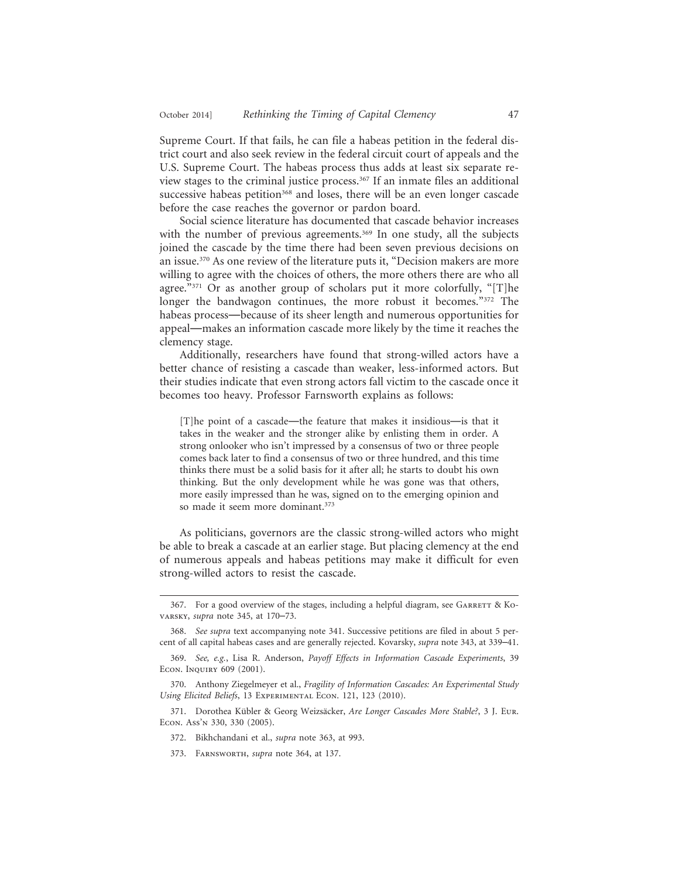Supreme Court. If that fails, he can file a habeas petition in the federal district court and also seek review in the federal circuit court of appeals and the U.S. Supreme Court. The habeas process thus adds at least six separate review stages to the criminal justice process.367 If an inmate files an additional successive habeas petition<sup>368</sup> and loses, there will be an even longer cascade before the case reaches the governor or pardon board.

Social science literature has documented that cascade behavior increases with the number of previous agreements.<sup>369</sup> In one study, all the subjects joined the cascade by the time there had been seven previous decisions on an issue.370 As one review of the literature puts it, "Decision makers are more willing to agree with the choices of others, the more others there are who all agree."<sup>371</sup> Or as another group of scholars put it more colorfully, "[T]he longer the bandwagon continues, the more robust it becomes."372 The habeas process—because of its sheer length and numerous opportunities for appeal—makes an information cascade more likely by the time it reaches the clemency stage.

Additionally, researchers have found that strong-willed actors have a better chance of resisting a cascade than weaker, less-informed actors. But their studies indicate that even strong actors fall victim to the cascade once it becomes too heavy. Professor Farnsworth explains as follows:

[T]he point of a cascade—the feature that makes it insidious—is that it takes in the weaker and the stronger alike by enlisting them in order. A strong onlooker who isn't impressed by a consensus of two or three people comes back later to find a consensus of two or three hundred, and this time thinks there must be a solid basis for it after all; he starts to doubt his own thinking. But the only development while he was gone was that others, more easily impressed than he was, signed on to the emerging opinion and so made it seem more dominant.<sup>373</sup>

As politicians, governors are the classic strong-willed actors who might be able to break a cascade at an earlier stage. But placing clemency at the end of numerous appeals and habeas petitions may make it difficult for even strong-willed actors to resist the cascade.

370. Anthony Ziegelmeyer et al., *Fragility of Information Cascades: An Experimental Study Using Elicited Beliefs*, 13 Experimental Econ. 121, 123 (2010).

371. Dorothea Kübler & Georg Weizsäcker, *Are Longer Cascades More Stable?*, 3 J. Eur. Econ. Ass'n 330, 330 (2005).

<sup>367.</sup> For a good overview of the stages, including a helpful diagram, see GARRETT & Kovarsky, *supra* note 345, at 170–73.

<sup>368.</sup> *See supra* text accompanying note 341. Successive petitions are filed in about 5 percent of all capital habeas cases and are generally rejected. Kovarsky, *supra* note 343, at 339–41.

<sup>369.</sup> *See, e.g.*, Lisa R. Anderson, *Payoff Effects in Information Cascade Experiments*, 39 Econ. Inquiry 609 (2001).

<sup>372.</sup> Bikhchandani et al., *supra* note 363, at 993.

<sup>373.</sup> Farnsworth, *supra* note 364, at 137.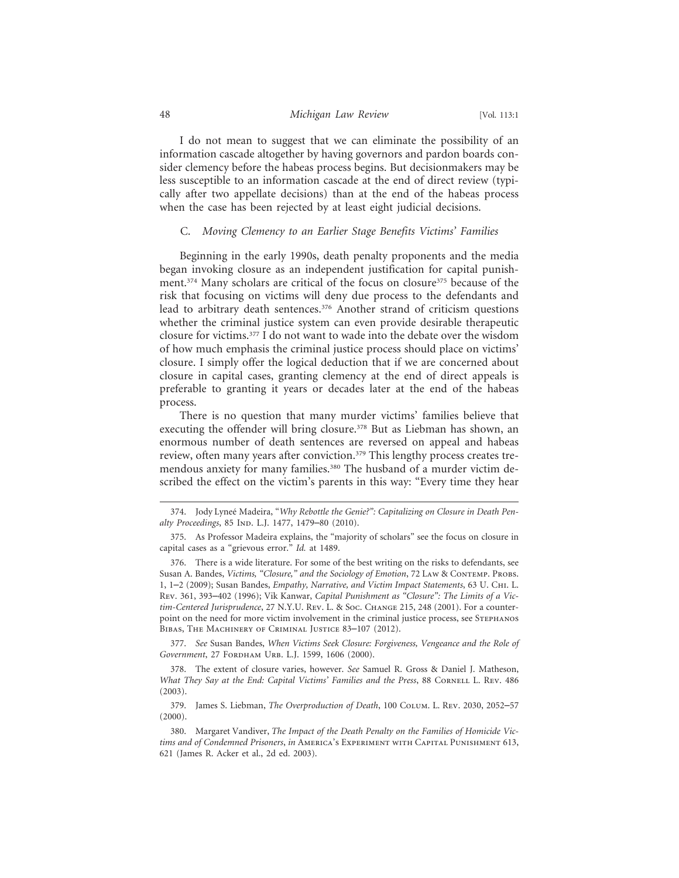#### 48 *Michigan Law Review* [Vol. 113:1

I do not mean to suggest that we can eliminate the possibility of an information cascade altogether by having governors and pardon boards consider clemency before the habeas process begins. But decisionmakers may be less susceptible to an information cascade at the end of direct review (typically after two appellate decisions) than at the end of the habeas process when the case has been rejected by at least eight judicial decisions.

#### C. *Moving Clemency to an Earlier Stage Benefits Victims' Families*

Beginning in the early 1990s, death penalty proponents and the media began invoking closure as an independent justification for capital punishment.<sup>374</sup> Many scholars are critical of the focus on closure<sup>375</sup> because of the risk that focusing on victims will deny due process to the defendants and lead to arbitrary death sentences.<sup>376</sup> Another strand of criticism questions whether the criminal justice system can even provide desirable therapeutic closure for victims.377 I do not want to wade into the debate over the wisdom of how much emphasis the criminal justice process should place on victims' closure. I simply offer the logical deduction that if we are concerned about closure in capital cases, granting clemency at the end of direct appeals is preferable to granting it years or decades later at the end of the habeas process.

There is no question that many murder victims' families believe that executing the offender will bring closure.<sup>378</sup> But as Liebman has shown, an enormous number of death sentences are reversed on appeal and habeas review, often many years after conviction.<sup>379</sup> This lengthy process creates tremendous anxiety for many families.<sup>380</sup> The husband of a murder victim described the effect on the victim's parents in this way: "Every time they hear

377. *See* Susan Bandes, *When Victims Seek Closure: Forgiveness, Vengeance and the Role of* Government, 27 FORDHAM URB. L.J. 1599, 1606 (2000).

378. The extent of closure varies, however. *See* Samuel R. Gross & Daniel J. Matheson, *What They Say at the End: Capital Victims' Families and the Press*, 88 CORNELL L. REV. 486 (2003).

379. James S. Liebman, *The Overproduction of Death*, 100 Colum. L. Rev. 2030, 2052–57  $(2000)$ .

380. Margaret Vandiver, *The Impact of the Death Penalty on the Families of Homicide Victims and of Condemned Prisoners*, *in* America's Experiment with Capital Punishment 613, 621 (James R. Acker et al., 2d ed. 2003).

<sup>374.</sup> Jody Lyneé Madeira, "Why Rebottle the Genie?": Capitalizing on Closure in Death Penalty Proceedings, 85 Inp. L.J. 1477, 1479–80 (2010).

<sup>375.</sup> As Professor Madeira explains, the "majority of scholars" see the focus on closure in capital cases as a "grievous error." *Id.* at 1489.

<sup>376.</sup> There is a wide literature. For some of the best writing on the risks to defendants, see Susan A. Bandes, *Victims, "Closure," and the Sociology of Emotion*, 72 Law & Contemp. Probs. 1, 1–2 (2009); Susan Bandes, *Empathy, Narrative, and Victim Impact Statements*, 63 U. Chi. L. Rev. 361, 393–402 (1996); Vik Kanwar, *Capital Punishment as "Closure": The Limits of a Victim-Centered Jurisprudence*, 27 N.Y.U. Rev. L. & Soc. Change 215, 248 (2001). For a counterpoint on the need for more victim involvement in the criminal justice process, see Stephanos BIBAS, THE MACHINERY OF CRIMINAL JUSTICE 83-107 (2012).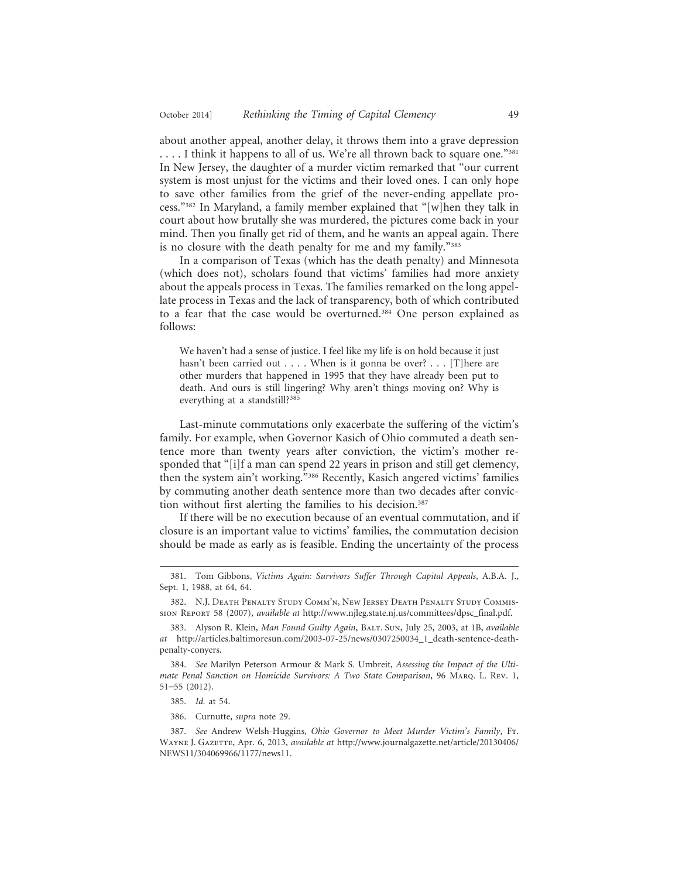about another appeal, another delay, it throws them into a grave depression .... I think it happens to all of us. We're all thrown back to square one."<sup>381</sup> In New Jersey, the daughter of a murder victim remarked that "our current system is most unjust for the victims and their loved ones. I can only hope to save other families from the grief of the never-ending appellate process."382 In Maryland, a family member explained that "[w]hen they talk in court about how brutally she was murdered, the pictures come back in your mind. Then you finally get rid of them, and he wants an appeal again. There is no closure with the death penalty for me and my family."383

In a comparison of Texas (which has the death penalty) and Minnesota (which does not), scholars found that victims' families had more anxiety about the appeals process in Texas. The families remarked on the long appellate process in Texas and the lack of transparency, both of which contributed to a fear that the case would be overturned.384 One person explained as follows:

We haven't had a sense of justice. I feel like my life is on hold because it just hasn't been carried out . . . . When is it gonna be over? . . . [T]here are other murders that happened in 1995 that they have already been put to death. And ours is still lingering? Why aren't things moving on? Why is everything at a standstill?<sup>385</sup>

Last-minute commutations only exacerbate the suffering of the victim's family. For example, when Governor Kasich of Ohio commuted a death sentence more than twenty years after conviction, the victim's mother responded that "[i]f a man can spend 22 years in prison and still get clemency, then the system ain't working."386 Recently, Kasich angered victims' families by commuting another death sentence more than two decades after conviction without first alerting the families to his decision.<sup>387</sup>

If there will be no execution because of an eventual commutation, and if closure is an important value to victims' families, the commutation decision should be made as early as is feasible. Ending the uncertainty of the process

386. Curnutte, *supra* note 29.

<sup>381.</sup> Tom Gibbons, *Victims Again: Survivors Suffer Through Capital Appeals*, A.B.A. J., Sept. 1, 1988, at 64, 64.

<sup>382.</sup> N.J. Death Penalty Study Comm'n, New Jersey Death Penalty Study Commission Report 58 (2007), *available at* http://www.njleg.state.nj.us/committees/dpsc\_final.pdf.

<sup>383.</sup> Alyson R. Klein, *Man Found Guilty Again*, Balt. Sun, July 25, 2003, at 1B, *available at* http://articles.baltimoresun.com/2003-07-25/news/0307250034\_1\_death-sentence-deathpenalty-conyers.

<sup>384.</sup> *See* Marilyn Peterson Armour & Mark S. Umbreit, *Assessing the Impact of the Ultimate Penal Sanction on Homicide Survivors: A Two State Comparison*, 96 Marq. L. Rev. 1, 51–55 (2012).

<sup>385.</sup> *Id.* at 54.

<sup>387.</sup> *See* Andrew Welsh-Huggins, *Ohio Governor to Meet Murder Victim's Family*, Ft. Wayne J. Gazette, Apr. 6, 2013, *available at* http://www.journalgazette.net/article/20130406/ NEWS11/304069966/1177/news11.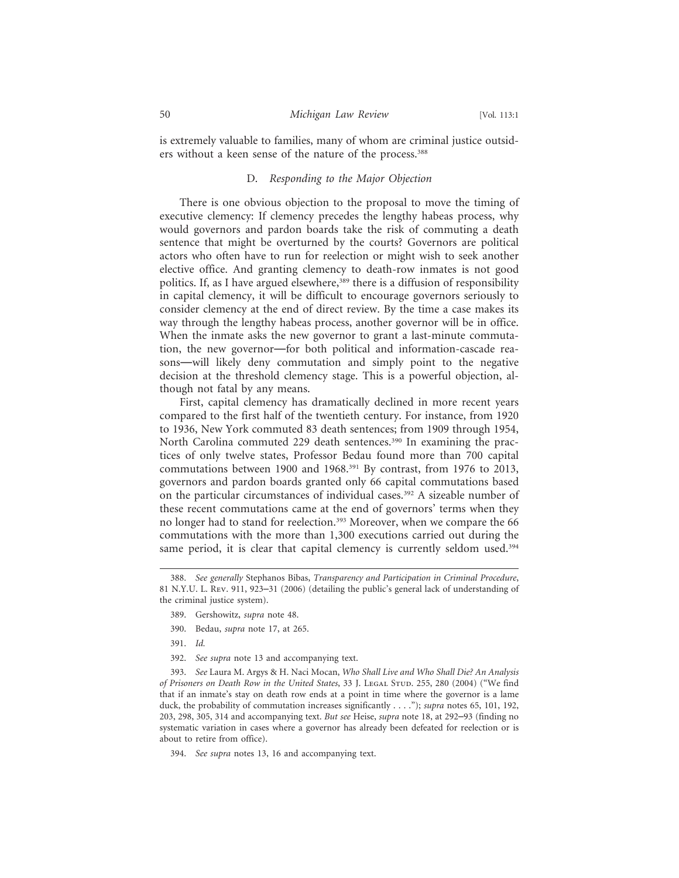is extremely valuable to families, many of whom are criminal justice outsiders without a keen sense of the nature of the process.<sup>388</sup>

#### D. *Responding to the Major Objection*

There is one obvious objection to the proposal to move the timing of executive clemency: If clemency precedes the lengthy habeas process, why would governors and pardon boards take the risk of commuting a death sentence that might be overturned by the courts? Governors are political actors who often have to run for reelection or might wish to seek another elective office. And granting clemency to death-row inmates is not good politics. If, as I have argued elsewhere,<sup>389</sup> there is a diffusion of responsibility in capital clemency, it will be difficult to encourage governors seriously to consider clemency at the end of direct review. By the time a case makes its way through the lengthy habeas process, another governor will be in office. When the inmate asks the new governor to grant a last-minute commutation, the new governor—for both political and information-cascade reasons—will likely deny commutation and simply point to the negative decision at the threshold clemency stage. This is a powerful objection, although not fatal by any means.

First, capital clemency has dramatically declined in more recent years compared to the first half of the twentieth century. For instance, from 1920 to 1936, New York commuted 83 death sentences; from 1909 through 1954, North Carolina commuted 229 death sentences.<sup>390</sup> In examining the practices of only twelve states, Professor Bedau found more than 700 capital commutations between 1900 and 1968.391 By contrast, from 1976 to 2013, governors and pardon boards granted only 66 capital commutations based on the particular circumstances of individual cases.392 A sizeable number of these recent commutations came at the end of governors' terms when they no longer had to stand for reelection.<sup>393</sup> Moreover, when we compare the 66 commutations with the more than 1,300 executions carried out during the same period, it is clear that capital clemency is currently seldom used.<sup>394</sup>

- 389. Gershowitz, *supra* note 48.
- 390. Bedau, *supra* note 17, at 265.
- 391. *Id.*
- 392. *See supra* note 13 and accompanying text.

393. *See* Laura M. Argys & H. Naci Mocan, *Who Shall Live and Who Shall Die? An Analysis of Prisoners on Death Row in the United States, 33 J. LEGAL STUD. 255, 280 (2004) ("We find* that if an inmate's stay on death row ends at a point in time where the governor is a lame duck, the probability of commutation increases significantly . . . ."); *supra* notes 65, 101, 192, 203, 298, 305, 314 and accompanying text. *But see* Heise, *supra* note 18, at 292–93 (finding no systematic variation in cases where a governor has already been defeated for reelection or is about to retire from office).

394. *See supra* notes 13, 16 and accompanying text.

<sup>388.</sup> *See generally* Stephanos Bibas, *Transparency and Participation in Criminal Procedure*, 81 N.Y.U. L. Rev. 911, 923–31 (2006) (detailing the public's general lack of understanding of the criminal justice system).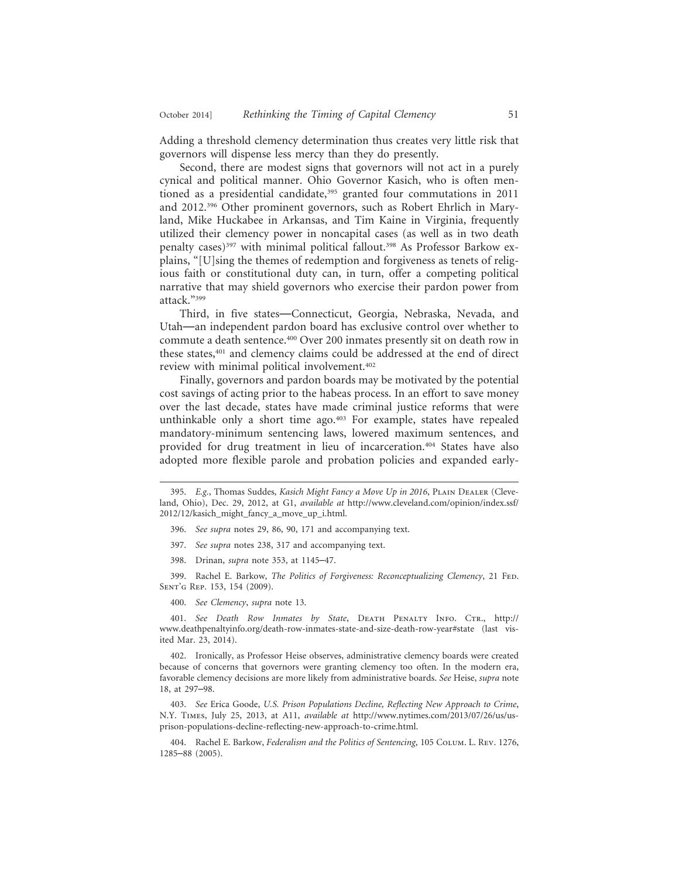Adding a threshold clemency determination thus creates very little risk that governors will dispense less mercy than they do presently.

Second, there are modest signs that governors will not act in a purely cynical and political manner. Ohio Governor Kasich, who is often mentioned as a presidential candidate,<sup>395</sup> granted four commutations in 2011 and 2012.396 Other prominent governors, such as Robert Ehrlich in Maryland, Mike Huckabee in Arkansas, and Tim Kaine in Virginia, frequently utilized their clemency power in noncapital cases (as well as in two death penalty cases)<sup>397</sup> with minimal political fallout.<sup>398</sup> As Professor Barkow explains, "[U]sing the themes of redemption and forgiveness as tenets of religious faith or constitutional duty can, in turn, offer a competing political narrative that may shield governors who exercise their pardon power from attack."399

Third, in five states—Connecticut, Georgia, Nebraska, Nevada, and Utah—an independent pardon board has exclusive control over whether to commute a death sentence.400 Over 200 inmates presently sit on death row in these states,<sup>401</sup> and clemency claims could be addressed at the end of direct review with minimal political involvement.402

Finally, governors and pardon boards may be motivated by the potential cost savings of acting prior to the habeas process. In an effort to save money over the last decade, states have made criminal justice reforms that were unthinkable only a short time ago.<sup>403</sup> For example, states have repealed mandatory-minimum sentencing laws, lowered maximum sentences, and provided for drug treatment in lieu of incarceration.404 States have also adopted more flexible parole and probation policies and expanded early-

- 396. *See supra* notes 29, 86, 90, 171 and accompanying text.
- 397. *See supra* notes 238, 317 and accompanying text.
- 398. Drinan, *supra* note 353, at 1145–47.

399. Rachel E. Barkow, *The Politics of Forgiveness: Reconceptualizing Clemency*, 21 Fed. Sent'g Rep. 153, 154 (2009).

400. *See Clemency*, *supra* note 13.

401. *See Death Row Inmates by State*, Death Penalty Info. Ctr., http:// www.deathpenaltyinfo.org/death-row-inmates-state-and-size-death-row-year#state (last visited Mar. 23, 2014).

402. Ironically, as Professor Heise observes, administrative clemency boards were created because of concerns that governors were granting clemency too often. In the modern era, favorable clemency decisions are more likely from administrative boards. *See* Heise, *supra* note 18, at 297–98.

403. *See* Erica Goode, *U.S. Prison Populations Decline, Reflecting New Approach to Crime*, N.Y. Times, July 25, 2013, at A11, *available at* http://www.nytimes.com/2013/07/26/us/usprison-populations-decline-reflecting-new-approach-to-crime.html.

404. Rachel E. Barkow, *Federalism and the Politics of Sentencing*, 105 Colum. L. Rev. 1276, 1285–88 (2005).

<sup>395.</sup> *E.g.*, Thomas Suddes, *Kasich Might Fancy a Move Up in 2016*, Plain Dealer (Cleveland, Ohio), Dec. 29, 2012, at G1, *available at* http://www.cleveland.com/opinion/index.ssf/ 2012/12/kasich\_might\_fancy\_a\_move\_up\_i.html.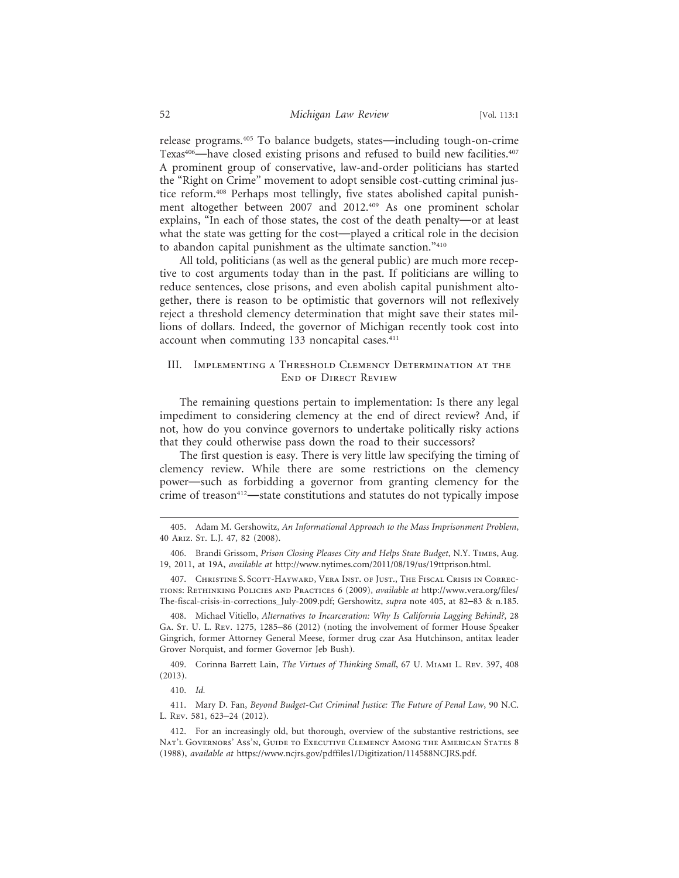release programs.405 To balance budgets, states—including tough-on-crime Texas406—have closed existing prisons and refused to build new facilities.407 A prominent group of conservative, law-and-order politicians has started the "Right on Crime" movement to adopt sensible cost-cutting criminal justice reform.408 Perhaps most tellingly, five states abolished capital punishment altogether between 2007 and 2012.409 As one prominent scholar explains, "In each of those states, the cost of the death penalty—or at least what the state was getting for the cost—played a critical role in the decision to abandon capital punishment as the ultimate sanction."410

All told, politicians (as well as the general public) are much more receptive to cost arguments today than in the past. If politicians are willing to reduce sentences, close prisons, and even abolish capital punishment altogether, there is reason to be optimistic that governors will not reflexively reject a threshold clemency determination that might save their states millions of dollars. Indeed, the governor of Michigan recently took cost into account when commuting 133 noncapital cases.<sup>411</sup>

# III. Implementing a Threshold Clemency Determination at the End of Direct Review

The remaining questions pertain to implementation: Is there any legal impediment to considering clemency at the end of direct review? And, if not, how do you convince governors to undertake politically risky actions that they could otherwise pass down the road to their successors?

The first question is easy. There is very little law specifying the timing of clemency review. While there are some restrictions on the clemency power—such as forbidding a governor from granting clemency for the crime of treason<sup>412</sup>—state constitutions and statutes do not typically impose

409. Corinna Barrett Lain, *The Virtues of Thinking Small*, 67 U. Miami L. Rev. 397, 408 (2013).

410. *Id.*

411. Mary D. Fan, *Beyond Budget-Cut Criminal Justice: The Future of Penal Law*, 90 N.C. L. Rev. 581, 623–24 (2012).

<sup>405.</sup> Adam M. Gershowitz, *An Informational Approach to the Mass Imprisonment Problem*, 40 Ariz. St. L.J. 47, 82 (2008).

<sup>406.</sup> Brandi Grissom, *Prison Closing Pleases City and Helps State Budget*, N.Y. Times, Aug. 19, 2011, at 19A, *available at* http://www.nytimes.com/2011/08/19/us/19ttprison.html.

<sup>407.</sup> Christine S. Scott-Hayward, Vera Inst. of Just., The Fiscal Crisis in Corrections: Rethinking Policies and Practices 6 (2009), *available at* http://www.vera.org/files/ The-fiscal-crisis-in-corrections\_July-2009.pdf; Gershowitz, *supra* note 405, at 82–83 & n.185.

<sup>408.</sup> Michael Vitiello, *Alternatives to Incarceration: Why Is California Lagging Behind?*, 28 Ga. St. U. L. Rev. 1275, 1285–86 (2012) (noting the involvement of former House Speaker Gingrich, former Attorney General Meese, former drug czar Asa Hutchinson, antitax leader Grover Norquist, and former Governor Jeb Bush).

<sup>412.</sup> For an increasingly old, but thorough, overview of the substantive restrictions, see Nat'l Governors' Ass'n, Guide to Executive Clemency Among the American States 8 (1988), *available at* https://www.ncjrs.gov/pdffiles1/Digitization/114588NCJRS.pdf.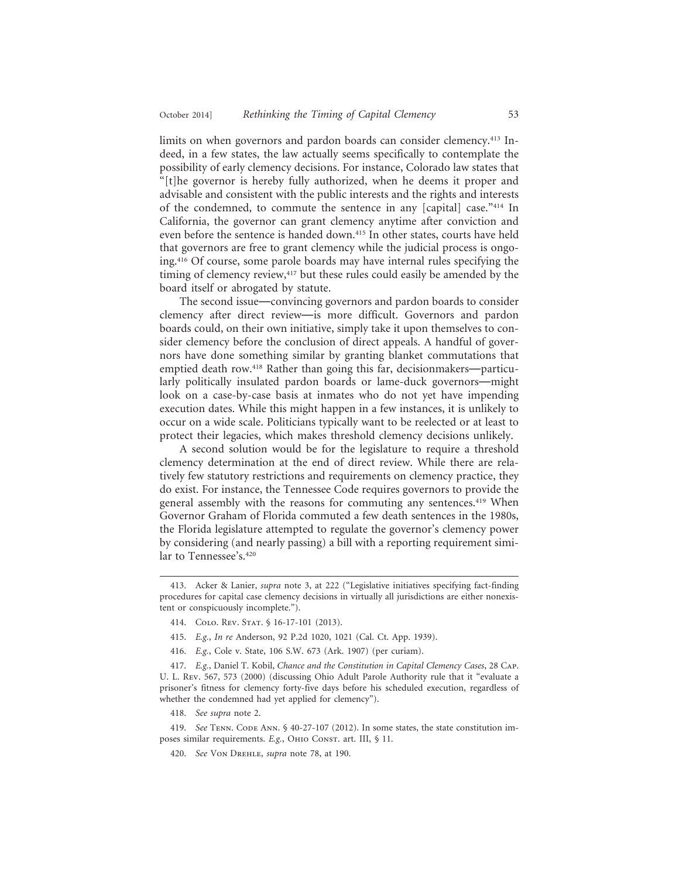limits on when governors and pardon boards can consider clemency.<sup>413</sup> Indeed, in a few states, the law actually seems specifically to contemplate the possibility of early clemency decisions. For instance, Colorado law states that "[t]he governor is hereby fully authorized, when he deems it proper and advisable and consistent with the public interests and the rights and interests of the condemned, to commute the sentence in any [capital] case."414 In California, the governor can grant clemency anytime after conviction and even before the sentence is handed down.415 In other states, courts have held that governors are free to grant clemency while the judicial process is ongoing.416 Of course, some parole boards may have internal rules specifying the timing of clemency review,<sup>417</sup> but these rules could easily be amended by the board itself or abrogated by statute.

The second issue—convincing governors and pardon boards to consider clemency after direct review—is more difficult. Governors and pardon boards could, on their own initiative, simply take it upon themselves to consider clemency before the conclusion of direct appeals. A handful of governors have done something similar by granting blanket commutations that emptied death row.418 Rather than going this far, decisionmakers—particularly politically insulated pardon boards or lame-duck governors—might look on a case-by-case basis at inmates who do not yet have impending execution dates. While this might happen in a few instances, it is unlikely to occur on a wide scale. Politicians typically want to be reelected or at least to protect their legacies, which makes threshold clemency decisions unlikely.

A second solution would be for the legislature to require a threshold clemency determination at the end of direct review. While there are relatively few statutory restrictions and requirements on clemency practice, they do exist. For instance, the Tennessee Code requires governors to provide the general assembly with the reasons for commuting any sentences.419 When Governor Graham of Florida commuted a few death sentences in the 1980s, the Florida legislature attempted to regulate the governor's clemency power by considering (and nearly passing) a bill with a reporting requirement similar to Tennessee's.<sup>420</sup>

<sup>413.</sup> Acker & Lanier, *supra* note 3, at 222 ("Legislative initiatives specifying fact-finding procedures for capital case clemency decisions in virtually all jurisdictions are either nonexistent or conspicuously incomplete.").

<sup>414.</sup> COLO. REV. STAT. § 16-17-101 (2013).

<sup>415.</sup> *E.g.*, *In re* Anderson, 92 P.2d 1020, 1021 (Cal. Ct. App. 1939).

<sup>416.</sup> *E.g.*, Cole v. State, 106 S.W. 673 (Ark. 1907) (per curiam).

<sup>417.</sup> *E.g.*, Daniel T. Kobil, *Chance and the Constitution in Capital Clemency Cases*, 28 Cap. U. L. Rev. 567, 573 (2000) (discussing Ohio Adult Parole Authority rule that it "evaluate a prisoner's fitness for clemency forty-five days before his scheduled execution, regardless of whether the condemned had yet applied for clemency").

<sup>418.</sup> *See supra* note 2.

<sup>419.</sup> *See* TENN. CODE ANN. § 40-27-107 (2012). In some states, the state constitution imposes similar requirements. *E.g.*, OHIO CONST. art. III, § 11.

<sup>420.</sup> *See* Von Drehle, *supra* note 78, at 190.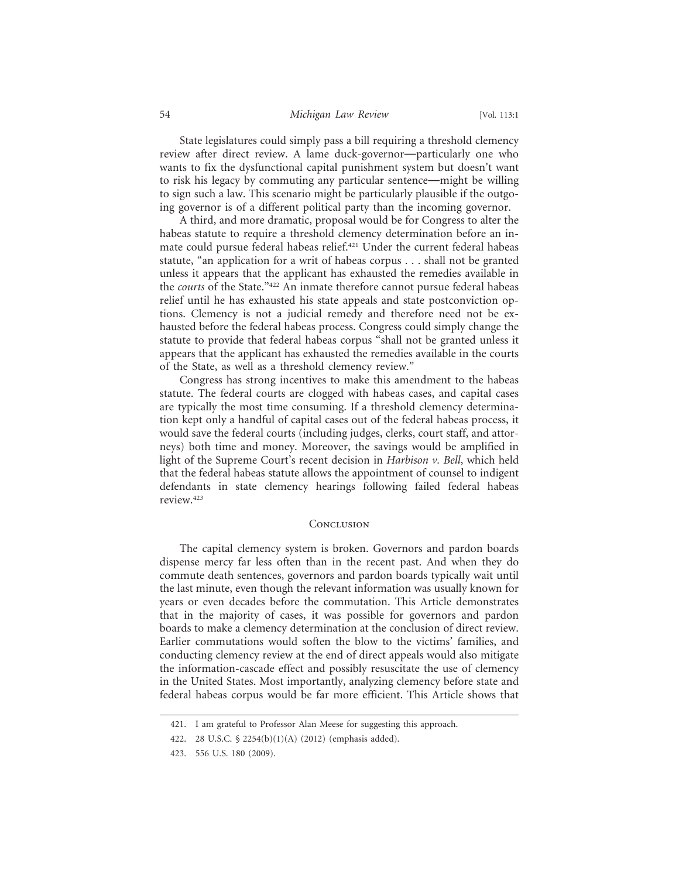#### 54 *Michigan Law Review* [Vol. 113:1

State legislatures could simply pass a bill requiring a threshold clemency review after direct review. A lame duck-governor—particularly one who wants to fix the dysfunctional capital punishment system but doesn't want to risk his legacy by commuting any particular sentence—might be willing to sign such a law. This scenario might be particularly plausible if the outgoing governor is of a different political party than the incoming governor.

A third, and more dramatic, proposal would be for Congress to alter the habeas statute to require a threshold clemency determination before an inmate could pursue federal habeas relief.<sup>421</sup> Under the current federal habeas statute, "an application for a writ of habeas corpus . . . shall not be granted unless it appears that the applicant has exhausted the remedies available in the *courts* of the State."422 An inmate therefore cannot pursue federal habeas relief until he has exhausted his state appeals and state postconviction options. Clemency is not a judicial remedy and therefore need not be exhausted before the federal habeas process. Congress could simply change the statute to provide that federal habeas corpus "shall not be granted unless it appears that the applicant has exhausted the remedies available in the courts of the State, as well as a threshold clemency review."

Congress has strong incentives to make this amendment to the habeas statute. The federal courts are clogged with habeas cases, and capital cases are typically the most time consuming. If a threshold clemency determination kept only a handful of capital cases out of the federal habeas process, it would save the federal courts (including judges, clerks, court staff, and attorneys) both time and money. Moreover, the savings would be amplified in light of the Supreme Court's recent decision in *Harbison v. Bell*, which held that the federal habeas statute allows the appointment of counsel to indigent defendants in state clemency hearings following failed federal habeas review.423

#### **CONCLUSION**

The capital clemency system is broken. Governors and pardon boards dispense mercy far less often than in the recent past. And when they do commute death sentences, governors and pardon boards typically wait until the last minute, even though the relevant information was usually known for years or even decades before the commutation. This Article demonstrates that in the majority of cases, it was possible for governors and pardon boards to make a clemency determination at the conclusion of direct review. Earlier commutations would soften the blow to the victims' families, and conducting clemency review at the end of direct appeals would also mitigate the information-cascade effect and possibly resuscitate the use of clemency in the United States. Most importantly, analyzing clemency before state and federal habeas corpus would be far more efficient. This Article shows that

<sup>421.</sup> I am grateful to Professor Alan Meese for suggesting this approach.

<sup>422. 28</sup> U.S.C. § 2254(b)(1)(A) (2012) (emphasis added).

<sup>423. 556</sup> U.S. 180 (2009).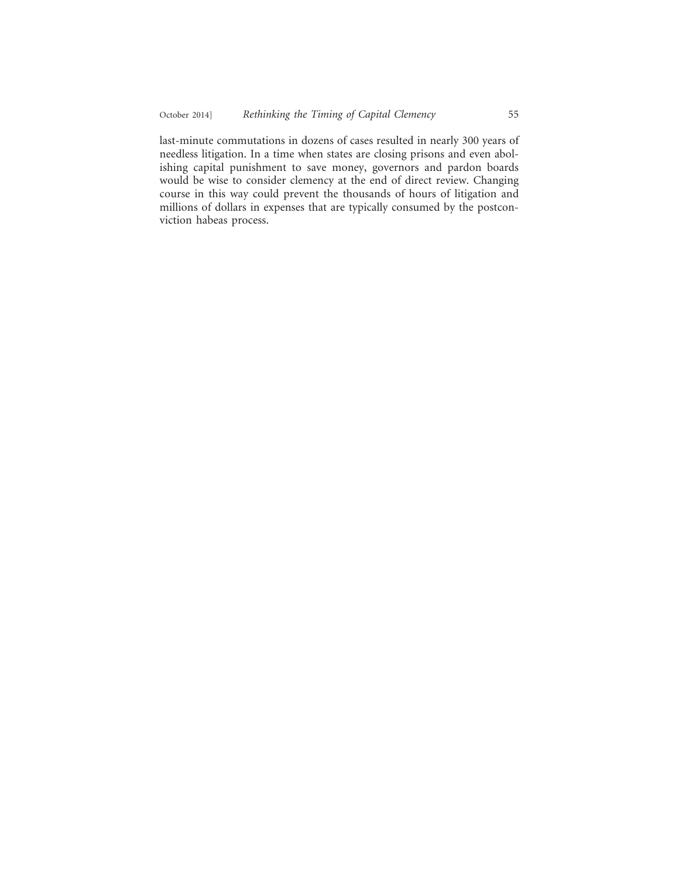last-minute commutations in dozens of cases resulted in nearly 300 years of needless litigation. In a time when states are closing prisons and even abolishing capital punishment to save money, governors and pardon boards would be wise to consider clemency at the end of direct review. Changing course in this way could prevent the thousands of hours of litigation and millions of dollars in expenses that are typically consumed by the postconviction habeas process.